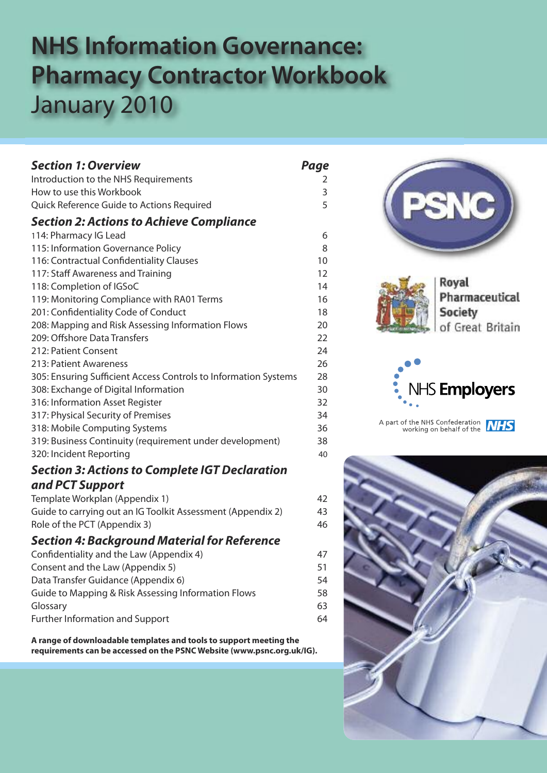# **NHS Information Governance: Pharmacy Contractor Workbook** January 2010

| <b>Section 1: Overview</b>                                      | Page |
|-----------------------------------------------------------------|------|
| Introduction to the NHS Requirements                            | 2    |
| How to use this Workbook                                        | 3    |
| Quick Reference Guide to Actions Required                       | 5    |
| <b>Section 2: Actions to Achieve Compliance</b>                 |      |
| 114: Pharmacy IG Lead                                           | 6    |
| 115: Information Governance Policy                              | 8    |
| 116: Contractual Confidentiality Clauses                        | 10   |
| 117: Staff Awareness and Training                               | 12   |
| 118: Completion of IGSoC                                        | 14   |
| 119: Monitoring Compliance with RA01 Terms                      | 16   |
| 201: Confidentiality Code of Conduct                            | 18   |
| 208: Mapping and Risk Assessing Information Flows               | 20   |
| 209: Offshore Data Transfers                                    | 22   |
| 212: Patient Consent                                            | 24   |
| 213: Patient Awareness                                          | 26   |
| 305: Ensuring Sufficient Access Controls to Information Systems | 28   |
| 308: Exchange of Digital Information                            | 30   |
| 316: Information Asset Register                                 | 32   |
| 317: Physical Security of Premises                              | 34   |
| 318: Mobile Computing Systems                                   | 36   |
| 319: Business Continuity (requirement under development)        | 38   |
| 320: Incident Reporting                                         | 40   |
| <b>Section 3: Actions to Complete IGT Declaration</b>           |      |
| and PCT Support                                                 |      |
| Template Workplan (Appendix 1)                                  | 42   |
| Guide to carrying out an IG Toolkit Assessment (Appendix 2)     | 43   |
| Role of the PCT (Appendix 3)                                    | 46   |
| <b>Section 4: Background Material for Reference</b>             |      |
| Confidentiality and the Law (Appendix 4)                        | 47   |
| Consent and the Law (Appendix 5)                                | 51   |
| Data Transfer Guidance (Appendix 6)                             | 54   |
| Guide to Mapping & Risk Assessing Information Flows             | 58   |
| Glossary                                                        | 63   |
| <b>Further Information and Support</b>                          | 64   |
|                                                                 |      |

**A range of downloadable templates and tools to support meeting the requirements can be accessed on the PSNC Website (www.psnc.org.uk/IG).**

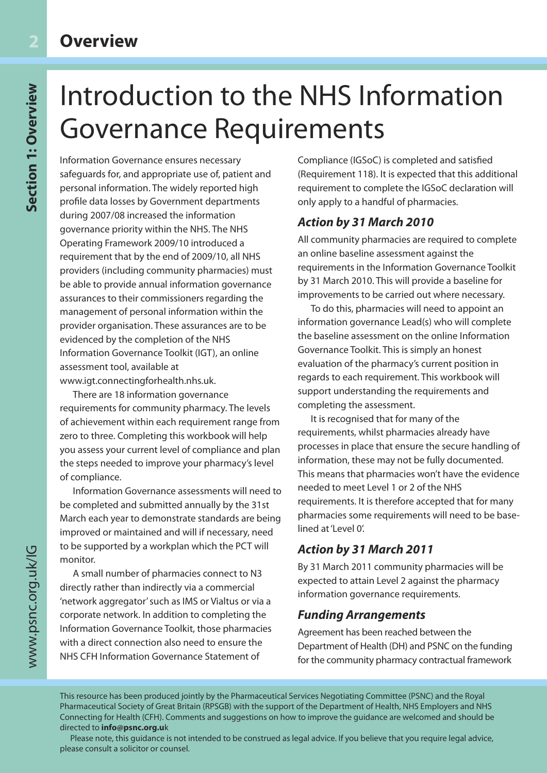# Introduction to the NHS Information Governance Requirements

Information Governance ensures necessary safeguards for, and appropriate use of, patient and personal information. The widely reported high profile data losses by Government departments during 2007/08 increased the information governance priority within the NHS. The NHS Operating Framework 2009/10 introduced a requirement that by the end of 2009/10, all NHS providers (including community pharmacies) must be able to provide annual information governance assurances to their commissioners regarding the management of personal information within the provider organisation. These assurances are to be evidenced by the completion of the NHS Information Governance Toolkit (IGT), an online assessment tool, available at www.igt.connectingforhealth.nhs.uk.

There are 18 information governance requirements for community pharmacy. The levels of achievement within each requirement range from zero to three. Completing this workbook will help you assess your current level of compliance and plan the steps needed to improve your pharmacy's level of compliance.

Information Governance assessments will need to be completed and submitted annually by the 31st March each year to demonstrate standards are being improved or maintained and will if necessary, need to be supported by a workplan which the PCT will monitor.

A small number of pharmacies connect to N3 directly rather than indirectly via a commercial 'network aggregator' such as IMS or Vialtus or via a corporate network. In addition to completing the Information Governance Toolkit, those pharmacies with a direct connection also need to ensure the NHS CFH Information Governance Statement of

Compliance (IGSoC) is completed and satisfied (Requirement 118). It is expected that this additional requirement to complete the IGSoC declaration will only apply to a handful of pharmacies.

### *Action by 31 March 2010*

All community pharmacies are required to complete an online baseline assessment against the requirements in the Information Governance Toolkit by 31 March 2010. This will provide a baseline for improvements to be carried out where necessary.

To do this, pharmacies will need to appoint an information governance Lead(s) who will complete the baseline assessment on the online Information Governance Toolkit. This is simply an honest evaluation of the pharmacy's current position in regards to each requirement. This workbook will support understanding the requirements and completing the assessment.

It is recognised that for many of the requirements, whilst pharmacies already have processes in place that ensure the secure handling of information, these may not be fully documented. This means that pharmacies won't have the evidence needed to meet Level 1 or 2 of the NHS requirements. It is therefore accepted that for many pharmacies some requirements will need to be baselined at 'Level 0'.

### *Action by 31 March 2011*

By 31 March 2011 community pharmacies will be expected to attain Level 2 against the pharmacy information governance requirements.

#### *Funding Arrangements*

Agreement has been reached between the Department of Health (DH) and PSNC on the funding for the community pharmacy contractual framework

This resource has been produced jointly by the Pharmaceutical Services Negotiating Committee (PSNC) and the Royal Pharmaceutical Society of Great Britain (RPSGB) with the support of the Department of Health, NHS Employers and NHS Connecting for Health (CFH). Comments and suggestions on how to improve the guidance are welcomed and should be directed to **info@psnc.org.u**k

Please note, this guidance is not intended to be construed as legal advice. If you believe that you require legal advice, please consult a solicitor or counsel.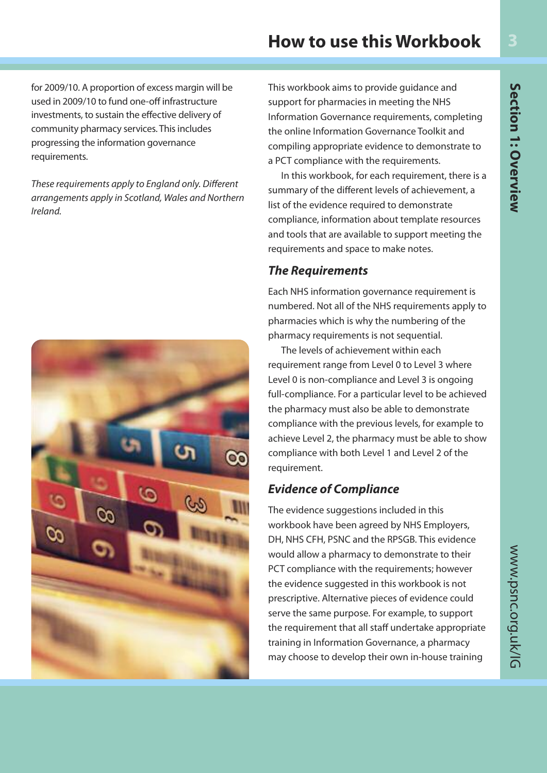### **How to use this Workbook**

for 2009/10. A proportion of excess margin will be used in 2009/10 to fund one-off infrastructure investments, to sustain the effective delivery of community pharmacy services. This includes progressing the information governance requirements.

These requirements apply to England only. Different arrangements apply in Scotland, Wales and Northern Ireland.



This workbook aims to provide guidance and support for pharmacies in meeting the NHS Information Governance requirements, completing the online Information Governance Toolkit and compiling appropriate evidence to demonstrate to a PCT compliance with the requirements.

In this workbook, for each requirement, there is a summary of the different levels of achievement, a list of the evidence required to demonstrate compliance, information about template resources and tools that are available to support meeting the requirements and space to make notes.

#### *The Requirements*

Each NHS information governance requirement is numbered. Not all of the NHS requirements apply to pharmacies which is why the numbering of the pharmacy requirements is not sequential.

The levels of achievement within each requirement range from Level 0 to Level 3 where Level 0 is non-compliance and Level 3 is ongoing full-compliance. For a particular level to be achieved the pharmacy must also be able to demonstrate compliance with the previous levels, for example to achieve Level 2, the pharmacy must be able to show compliance with both Level 1 and Level 2 of the requirement.

#### *Evidence of Compliance*

The evidence suggestions included in this workbook have been agreed by NHS Employers, DH, NHS CFH, PSNC and the RPSGB. This evidence would allow a pharmacy to demonstrate to their PCT compliance with the requirements; however the evidence suggested in this workbook is not prescriptive. Alternative pieces of evidence could serve the same purpose. For example, to support the requirement that all staff undertake appropriate training in Information Governance, a pharmacy may choose to develop their own in-house training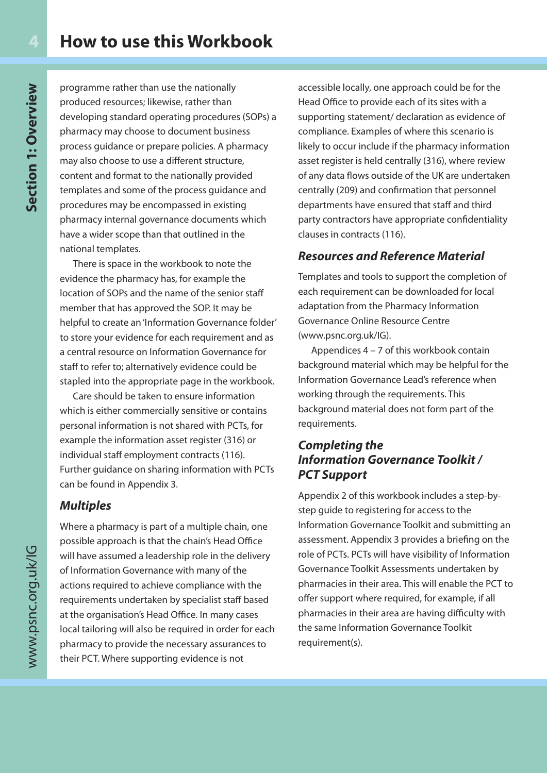programme rather than use the nationally produced resources; likewise, rather than developing standard operating procedures (SOPs) a pharmacy may choose to document business process guidance or prepare policies. A pharmacy may also choose to use a different structure, content and format to the nationally provided templates and some of the process guidance and procedures may be encompassed in existing pharmacy internal governance documents which have a wider scope than that outlined in the national templates.

There is space in the workbook to note the evidence the pharmacy has, for example the location of SOPs and the name of the senior staff member that has approved the SOP. It may be helpful to create an 'Information Governance folder' to store your evidence for each requirement and as a central resource on Information Governance for staff to refer to; alternatively evidence could be stapled into the appropriate page in the workbook.

Care should be taken to ensure information which is either commercially sensitive or contains personal information is not shared with PCTs, for example the information asset register (316) or individual staff employment contracts (116). Further guidance on sharing information with PCTs can be found in Appendix 3.

#### *Multiples*

Where a pharmacy is part of a multiple chain, one possible approach is that the chain's Head Office will have assumed a leadership role in the delivery of Information Governance with many of the actions required to achieve compliance with the requirements undertaken by specialist staff based at the organisation's Head Office. In many cases local tailoring will also be required in order for each pharmacy to provide the necessary assurances to their PCT. Where supporting evidence is not

accessible locally, one approach could be for the Head Office to provide each of its sites with a supporting statement/ declaration as evidence of compliance. Examples of where this scenario is likely to occur include if the pharmacy information asset register is held centrally (316), where review of any data flows outside of the UK are undertaken centrally (209) and confirmation that personnel departments have ensured that staff and third party contractors have appropriate confidentiality clauses in contracts (116).

#### *Resources and Reference Material*

Templates and tools to support the completion of each requirement can be downloaded for local adaptation from the Pharmacy Information Governance Online Resource Centre (www.psnc.org.uk/IG).

Appendices 4 – 7 of this workbook contain background material which may be helpful for the Information Governance Lead's reference when working through the requirements. This background material does not form part of the requirements.

#### *Completing the Information Governance Toolkit / PCT Support*

Appendix 2 of this workbook includes a step-bystep guide to registering for access to the Information Governance Toolkit and submitting an assessment. Appendix 3 provides a briefing on the role of PCTs. PCTs will have visibility of Information Governance Toolkit Assessments undertaken by pharmacies in their area. This will enable the PCT to offer support where required, for example, if all pharmacies in their area are having difficulty with the same Information Governance Toolkit requirement(s).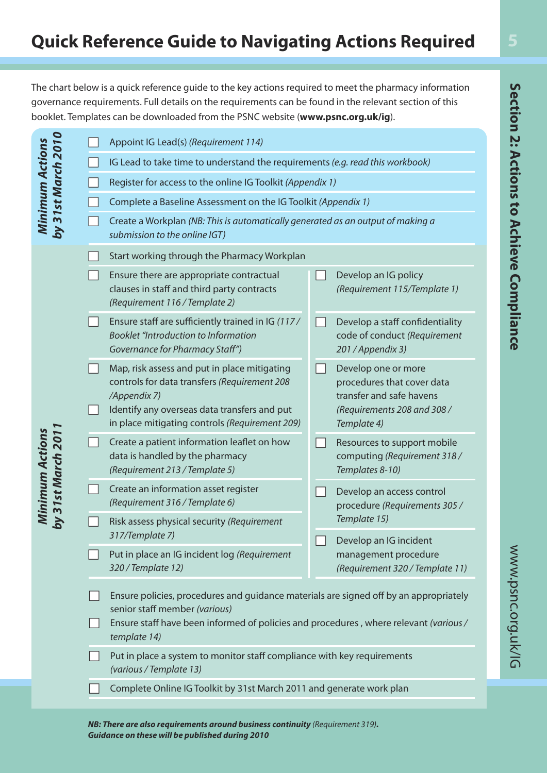The chart below is a quick reference guide to the key actions required to meet the pharmacy information governance requirements. Full details on the requirements can be found in the relevant section of this booklet. Templates can be downloaded from the PSNC website (**www.psnc.org.uk/ig**).

|                                              | Appoint IG Lead(s) (Requirement 114)                                                                                                                                                                                           |                |                                                                                                                             |  |
|----------------------------------------------|--------------------------------------------------------------------------------------------------------------------------------------------------------------------------------------------------------------------------------|----------------|-----------------------------------------------------------------------------------------------------------------------------|--|
|                                              | IG Lead to take time to understand the requirements (e.g. read this workbook)                                                                                                                                                  |                |                                                                                                                             |  |
|                                              | Register for access to the online IG Toolkit (Appendix 1)                                                                                                                                                                      |                |                                                                                                                             |  |
|                                              | Complete a Baseline Assessment on the IG Toolkit (Appendix 1)                                                                                                                                                                  |                |                                                                                                                             |  |
| by 31st March 2010<br><b>Minimum Actions</b> | Create a Workplan (NB: This is automatically generated as an output of making a<br>submission to the online IGT)                                                                                                               |                |                                                                                                                             |  |
|                                              | Start working through the Pharmacy Workplan                                                                                                                                                                                    |                |                                                                                                                             |  |
|                                              | Ensure there are appropriate contractual<br>clauses in staff and third party contracts<br>(Requirement 116 / Template 2)                                                                                                       |                | Develop an IG policy<br>(Requirement 115/Template 1)                                                                        |  |
|                                              | Ensure staff are sufficiently trained in IG (117/<br><b>Booklet "Introduction to Information</b><br>Governance for Pharmacy Staff")                                                                                            |                | Develop a staff confidentiality<br>code of conduct (Requirement<br>201 / Appendix 3)                                        |  |
|                                              | Map, risk assess and put in place mitigating<br>controls for data transfers (Requirement 208<br>/Appendix 7)<br>Identify any overseas data transfers and put<br>in place mitigating controls (Requirement 209)                 |                | Develop one or more<br>procedures that cover data<br>transfer and safe havens<br>(Requirements 208 and 308 /<br>Template 4) |  |
| Minimum Actions<br>by 31st March 201         | Create a patient information leaflet on how<br>data is handled by the pharmacy<br>(Requirement 213 / Template 5)                                                                                                               | $\mathcal{L}$  | Resources to support mobile<br>computing (Requirement 318/<br>Templates 8-10)                                               |  |
|                                              | Create an information asset register<br>(Requirement 316 / Template 6)                                                                                                                                                         | $\blacksquare$ | Develop an access control<br>procedure (Requirements 305 /                                                                  |  |
|                                              | Risk assess physical security (Requirement<br>317/Template 7)                                                                                                                                                                  |                | Template 15)                                                                                                                |  |
|                                              | Put in place an IG incident log (Requirement<br>320 / Template 12)                                                                                                                                                             |                | Develop an IG incident<br>management procedure<br>(Requirement 320 / Template 11)                                           |  |
|                                              | Ensure policies, procedures and guidance materials are signed off by an appropriately<br>senior staff member (various)<br>Ensure staff have been informed of policies and procedures, where relevant (various/<br>template 14) |                |                                                                                                                             |  |
|                                              | Put in place a system to monitor staff compliance with key requirements<br>(various / Template 13)                                                                                                                             |                |                                                                                                                             |  |
|                                              | Complete Online IG Toolkit by 31st March 2011 and generate work plan                                                                                                                                                           |                |                                                                                                                             |  |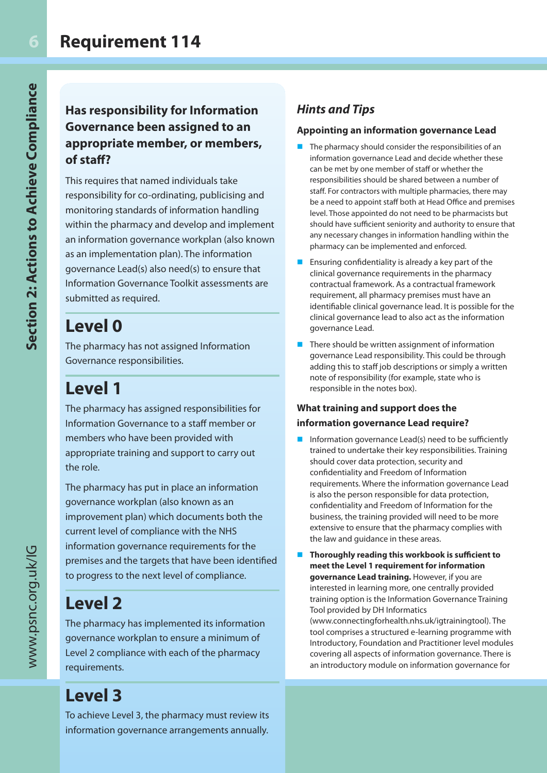### **Has responsibility for Information Governance been assigned to an appropriate member, or members, of staff?**

This requires that named individuals take responsibility for co-ordinating, publicising and monitoring standards of information handling within the pharmacy and develop and implement an information governance workplan (also known as an implementation plan). The information governance Lead(s) also need(s) to ensure that Information Governance Toolkit assessments are submitted as required.

### **Level 0**

The pharmacy has not assigned Information Governance responsibilities.

## **Level 1**

The pharmacy has assigned responsibilities for Information Governance to a staff member or members who have been provided with appropriate training and support to carry out the role.

The pharmacy has put in place an information governance workplan (also known as an improvement plan) which documents both the current level of compliance with the NHS information governance requirements for the premises and the targets that have been identified to progress to the next level of compliance.

### **Level 2**

The pharmacy has implemented its information governance workplan to ensure a minimum of Level 2 compliance with each of the pharmacy requirements.

## **Level 3**

To achieve Level 3, the pharmacy must review its information governance arrangements annually.

### *Hints and Tips*

#### **Appointing an information governance Lead**

- The pharmacy should consider the responsibilities of an information governance Lead and decide whether these can be met by one member of staff or whether the responsibilities should be shared between a number of staff. For contractors with multiple pharmacies, there may be a need to appoint staff both at Head Office and premises level. Those appointed do not need to be pharmacists but should have sufficient seniority and authority to ensure that any necessary changes in information handling within the pharmacy can be implemented and enforced.
- **Ensuring confidentiality is already a key part of the** clinical governance requirements in the pharmacy contractual framework. As a contractual framework requirement, all pharmacy premises must have an identifiable clinical governance lead. It is possible for the clinical governance lead to also act as the information governance Lead.
- $\blacksquare$  There should be written assignment of information governance Lead responsibility. This could be through adding this to staff job descriptions or simply a written note of responsibility (for example, state who is responsible in the notes box).

#### **What training and support does the information governance Lead require?**

- Information governance Lead(s) need to be sufficiently trained to undertake their key responsibilities. Training should cover data protection, security and confidentiality and Freedom of Information requirements. Where the information governance Lead is also the person responsible for data protection, confidentiality and Freedom of Information for the business, the training provided will need to be more extensive to ensure that the pharmacy complies with the law and guidance in these areas.
- n **Thoroughly reading this workbook is sufficient to meet the Level 1 requirement for information governance Lead training.** However, if you are interested in learning more, one centrally provided training option is the Information Governance Training Tool provided by DH Informatics (www.connectingforhealth.nhs.uk/igtrainingtool). The tool comprises a structured e-learning programme with Introductory, Foundation and Practitioner level modules covering all aspects of information governance. There is an introductory module on information governance for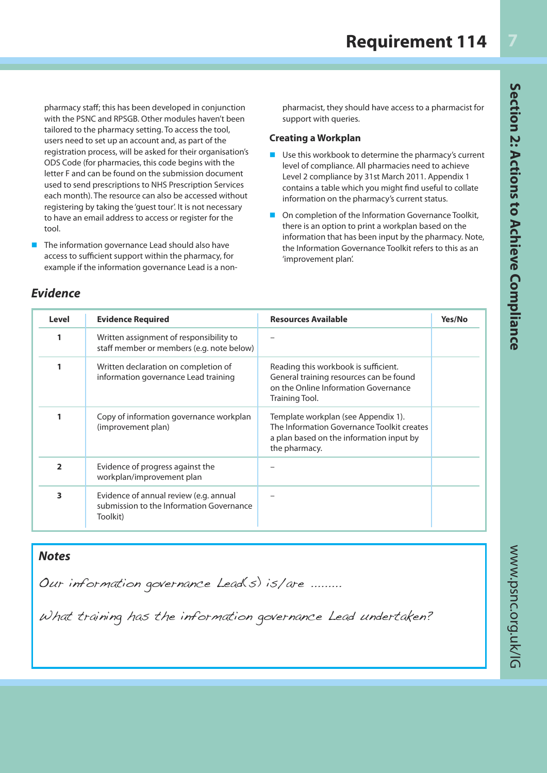Section 2: Actions to Achieve Compliance

pharmacy staff; this has been developed in conjunction with the PSNC and RPSGB. Other modules haven't been tailored to the pharmacy setting. To access the tool, users need to set up an account and, as part of the registration process, will be asked for their organisation's ODS Code (for pharmacies, this code begins with the letter F and can be found on the submission document used to send prescriptions to NHS Prescription Services each month). The resource can also be accessed without registering by taking the 'guest tour'. It is not necessary to have an email address to access or register for the tool.

The information governance Lead should also have access to sufficient support within the pharmacy, for example if the information governance Lead is a nonpharmacist, they should have access to a pharmacist for support with queries.

#### **Creating a Workplan**

- Use this workbook to determine the pharmacy's current level of compliance. All pharmacies need to achieve Level 2 compliance by 31st March 2011. Appendix 1 contains a table which you might find useful to collate information on the pharmacy's current status.
- On completion of the Information Governance Toolkit, there is an option to print a workplan based on the information that has been input by the pharmacy. Note, the Information Governance Toolkit refers to this as an 'improvement plan'.

| Level          | <b>Evidence Required</b>                                                                       | <b>Resources Available</b>                                                                                                                     | Yes/No |
|----------------|------------------------------------------------------------------------------------------------|------------------------------------------------------------------------------------------------------------------------------------------------|--------|
|                | Written assignment of responsibility to<br>staff member or members (e.g. note below)           |                                                                                                                                                |        |
|                | Written declaration on completion of<br>information governance Lead training                   | Reading this workbook is sufficient.<br>General training resources can be found<br>on the Online Information Governance<br>Training Tool.      |        |
|                | Copy of information governance workplan<br>(improvement plan)                                  | Template workplan (see Appendix 1).<br>The Information Governance Toolkit creates<br>a plan based on the information input by<br>the pharmacy. |        |
| $\overline{2}$ | Evidence of progress against the<br>workplan/improvement plan                                  |                                                                                                                                                |        |
| 3              | Evidence of annual review (e.g. annual<br>submission to the Information Governance<br>Toolkit) |                                                                                                                                                |        |

#### *Notes*

Our information governance Lead(s) is/are .........

What training has the information governance Lead undertaken?

#### *Evidence*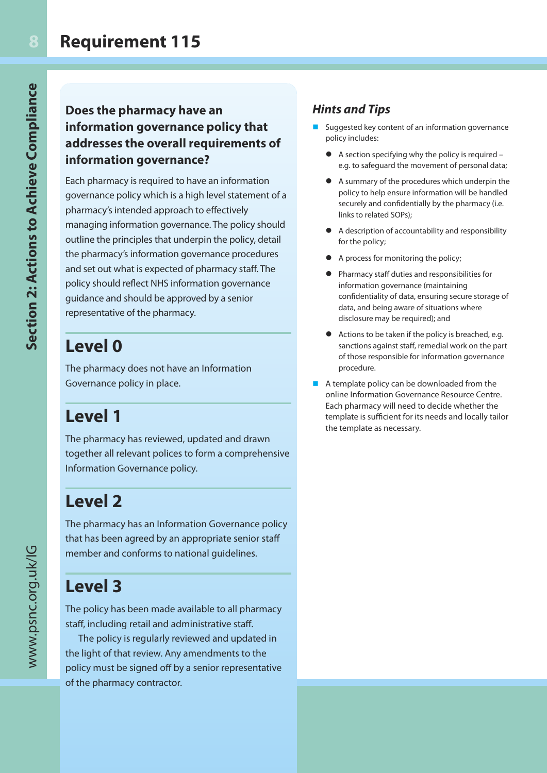### **Does the pharmacy have an information governance policy that addresses the overall requirements of information governance?**

Each pharmacy is required to have an information governance policy which is a high level statement of a pharmacy's intended approach to effectively managing information governance. The policy should outline the principles that underpin the policy, detail the pharmacy's information governance procedures and set out what is expected of pharmacy staff. The policy should reflect NHS information governance guidance and should be approved by a senior representative of the pharmacy.

### **Level 0**

The pharmacy does not have an Information Governance policy in place.

## **Level 1**

The pharmacy has reviewed, updated and drawn together all relevant polices to form a comprehensive Information Governance policy.

### **Level 2**

The pharmacy has an Information Governance policy that has been agreed by an appropriate senior staff member and conforms to national guidelines.

### **Level 3**

The policy has been made available to all pharmacy staff, including retail and administrative staff.

The policy is regularly reviewed and updated in the light of that review. Any amendments to the policy must be signed off by a senior representative of the pharmacy contractor.

### *Hints and Tips*

- Suggested key content of an information governance policy includes:
	- $\bullet$  A section specifying why the policy is required e.g. to safeguard the movement of personal data;
	- l A summary of the procedures which underpin the policy to help ensure information will be handled securely and confidentially by the pharmacy (i.e. links to related SOPs);
	- $\bullet$  A description of accountability and responsibility for the policy;
	- **•** A process for monitoring the policy;
	- Pharmacy staff duties and responsibilities for information governance (maintaining confidentiality of data, ensuring secure storage of data, and being aware of situations where disclosure may be required); and
	- $\bullet$  Actions to be taken if the policy is breached, e.g. sanctions against staff, remedial work on the part of those responsible for information governance procedure.
- $\blacksquare$  A template policy can be downloaded from the online Information Governance Resource Centre. Each pharmacy will need to decide whether the template is sufficient for its needs and locally tailor the template as necessary.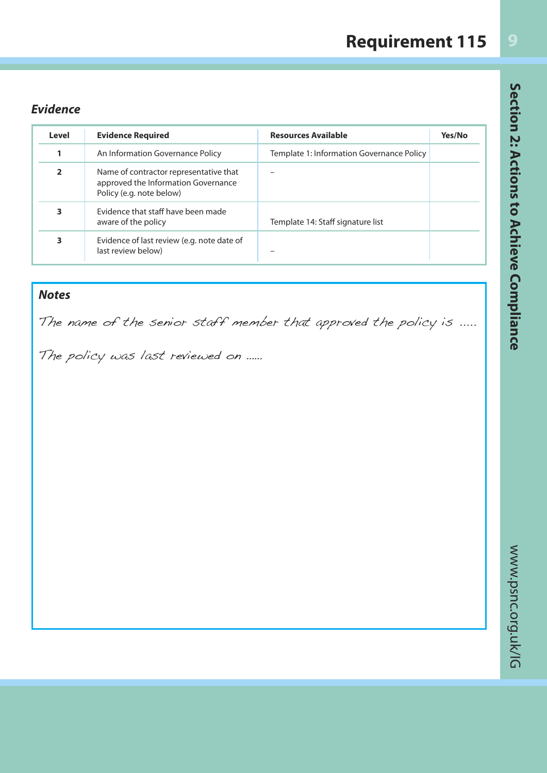## **Requirement 115**

### *Evidence*

| Level          | <b>Evidence Required</b>                                                                                  | <b>Resources Available</b>                | Yes/No |
|----------------|-----------------------------------------------------------------------------------------------------------|-------------------------------------------|--------|
|                | An Information Governance Policy                                                                          | Template 1: Information Governance Policy |        |
| $\overline{2}$ | Name of contractor representative that<br>approved the Information Governance<br>Policy (e.g. note below) |                                           |        |
| 3              | Evidence that staff have been made<br>aware of the policy                                                 | Template 14: Staff signature list         |        |
| 3              | Evidence of last review (e.g. note date of<br>last review below)                                          |                                           |        |

### *Notes*

The name of the senior staff member that approved the policy is .....

The policy was last reviewed on ......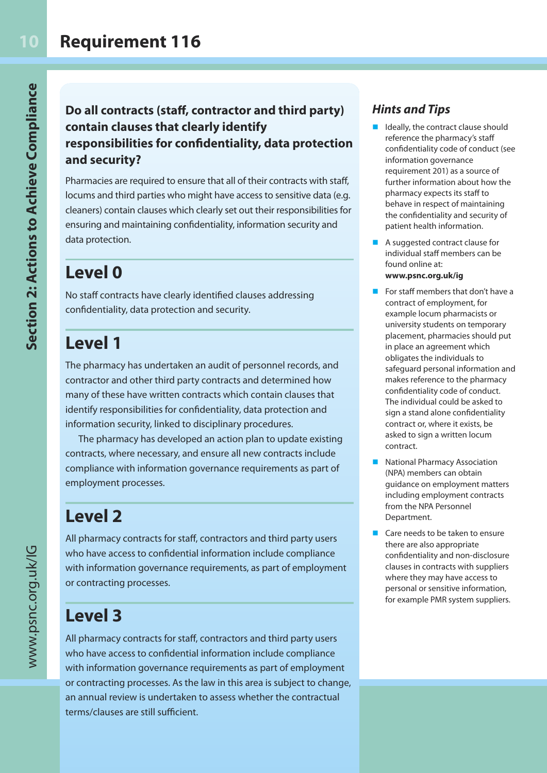### **Do all contracts (staff, contractor and third party) contain clauses that clearly identify responsibilities for confidentiality, data protection and security?**

Pharmacies are required to ensure that all of their contracts with staff, locums and third parties who might have access to sensitive data (e.g. cleaners) contain clauses which clearly set out their responsibilities for ensuring and maintaining confidentiality, information security and data protection.

## **Level 0**

No staff contracts have clearly identified clauses addressing confidentiality, data protection and security.

### **Level 1**

The pharmacy has undertaken an audit of personnel records, and contractor and other third party contracts and determined how many of these have written contracts which contain clauses that identify responsibilities for confidentiality, data protection and information security, linked to disciplinary procedures.

The pharmacy has developed an action plan to update existing contracts, where necessary, and ensure all new contracts include compliance with information governance requirements as part of employment processes.

## **Level 2**

All pharmacy contracts for staff, contractors and third party users who have access to confidential information include compliance with information governance requirements, as part of employment or contracting processes.

## **Level 3**

All pharmacy contracts for staff, contractors and third party users who have access to confidential information include compliance with information governance requirements as part of employment or contracting processes. As the law in this area is subject to change, an annual review is undertaken to assess whether the contractual terms/clauses are still sufficient.

### *Hints and Tips*

- Ideally, the contract clause should reference the pharmacy's staff confidentiality code of conduct (see information governance requirement 201) as a source of further information about how the pharmacy expects its staff to behave in respect of maintaining the confidentiality and security of patient health information.
- $\blacksquare$  A suggested contract clause for individual staff members can be found online at:
	- **www.psnc.org.uk/ig**
- For staff members that don't have a contract of employment, for example locum pharmacists or university students on temporary placement, pharmacies should put in place an agreement which obligates the individuals to safeguard personal information and makes reference to the pharmacy confidentiality code of conduct. The individual could be asked to sign a stand alone confidentiality contract or, where it exists, be asked to sign a written locum contract.
- n National Pharmacy Association (NPA) members can obtain guidance on employment matters including employment contracts from the NPA Personnel Department.
- Care needs to be taken to ensure there are also appropriate confidentiality and non-disclosure clauses in contracts with suppliers where they may have access to personal or sensitive information, for example PMR system suppliers.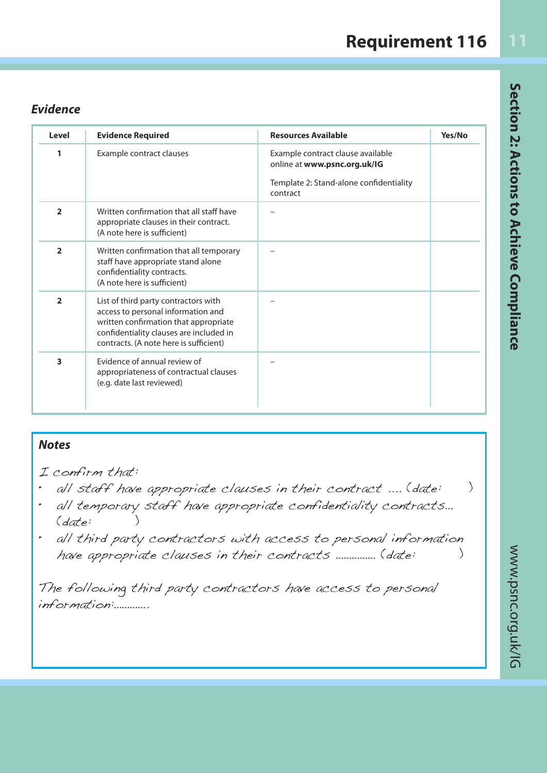### *Evidence*

| Level          | <b>Evidence Required</b>                                                                                                                                                                                 | <b>Resources Available</b>                                        | Yes/No |
|----------------|----------------------------------------------------------------------------------------------------------------------------------------------------------------------------------------------------------|-------------------------------------------------------------------|--------|
| 1              | Example contract clauses                                                                                                                                                                                 | Example contract clause available<br>online at www.psnc.org.uk/IG |        |
|                |                                                                                                                                                                                                          | Template 2: Stand-alone confidentiality<br>contract               |        |
| $\overline{2}$ | Written confirmation that all staff have<br>appropriate clauses in their contract.<br>(A note here is sufficient)                                                                                        |                                                                   |        |
| $\overline{2}$ | Written confirmation that all temporary<br>staff have appropriate stand alone<br>confidentiality contracts.<br>(A note here is sufficient)                                                               |                                                                   |        |
| $\overline{2}$ | List of third party contractors with<br>access to personal information and<br>written confirmation that appropriate<br>confidentiality clauses are included in<br>contracts. (A note here is sufficient) |                                                                   |        |
| 3              | Evidence of annual review of<br>appropriateness of contractual clauses<br>(e.g. date last reviewed)                                                                                                      |                                                                   |        |

### *Notes*

I confirm that:

- all staff have appropriate clauses in their contract .... (date: )
- all temporary staff have appropriate confidentiality contracts… (date: )
- all third party contractors with access to personal information have appropriate clauses in their contracts …………… (date: )

The following third party contractors have access to personal information:………….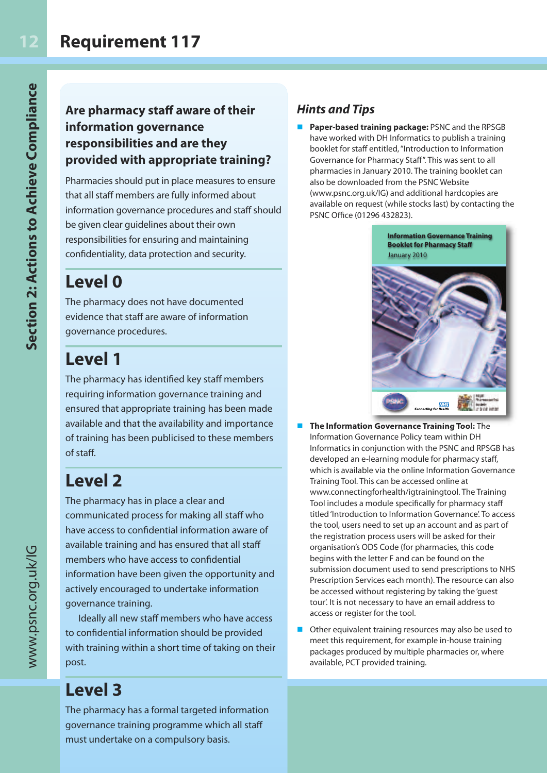### **Are pharmacy staff aware of their information governance responsibilities and are they provided with appropriate training?**

Pharmacies should put in place measures to ensure that all staff members are fully informed about information governance procedures and staff should be given clear guidelines about their own responsibilities for ensuring and maintaining confidentiality, data protection and security.

### **Level 0**

The pharmacy does not have documented evidence that staff are aware of information governance procedures.

## **Level 1**

The pharmacy has identified key staff members requiring information governance training and ensured that appropriate training has been made available and that the availability and importance of training has been publicised to these members of staff.

## **Level 2**

The pharmacy has in place a clear and communicated process for making all staff who have access to confidential information aware of available training and has ensured that all staff members who have access to confidential information have been given the opportunity and actively encouraged to undertake information governance training.

Ideally all new staff members who have access to confidential information should be provided with training within a short time of taking on their post.

### **Level 3**

The pharmacy has a formal targeted information governance training programme which all staff must undertake on a compulsory basis.

### *Hints and Tips*

Paper-based training package: PSNC and the RPSGB have worked with DH Informatics to publish a training booklet for staff entitled, "Introduction to Information Governance for Pharmacy Staff". This was sent to all pharmacies in January 2010. The training booklet can also be downloaded from the PSNC Website (www.psnc.org.uk/IG) and additional hardcopies are available on request (while stocks last) by contacting the PSNC Office (01296 432823).



- **n** The Information Governance Training Tool: The Information Governance Policy team within DH Informatics in conjunction with the PSNC and RPSGB has developed an e-learning module for pharmacy staff, which is available via the online Information Governance Training Tool. This can be accessed online at www.connectingforhealth/igtrainingtool. The Training Tool includes a module specifically for pharmacy staff titled 'Introduction to Information Governance'. To access the tool, users need to set up an account and as part of the registration process users will be asked for their organisation's ODS Code (for pharmacies, this code begins with the letter F and can be found on the submission document used to send prescriptions to NHS Prescription Services each month). The resource can also be accessed without registering by taking the 'guest tour'. It is not necessary to have an email address to access or register for the tool.
- Other equivalent training resources may also be used to meet this requirement, for example in-house training packages produced by multiple pharmacies or, where available, PCT provided training.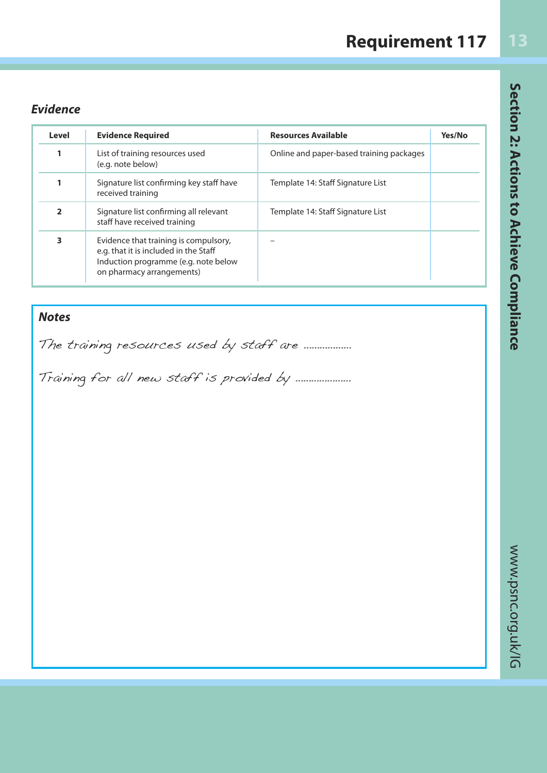## **Requirement 117**

### *Evidence*

| Level                    | <b>Evidence Required</b>                                                                                                                            | <b>Resources Available</b>               | Yes/No |
|--------------------------|-----------------------------------------------------------------------------------------------------------------------------------------------------|------------------------------------------|--------|
| 1                        | List of training resources used<br>(e.g. note below)                                                                                                | Online and paper-based training packages |        |
| 1                        | Signature list confirming key staff have<br>received training                                                                                       | Template 14: Staff Signature List        |        |
| $\overline{\phantom{a}}$ | Signature list confirming all relevant<br>staff have received training                                                                              | Template 14: Staff Signature List        |        |
| 3                        | Evidence that training is compulsory,<br>e.g. that it is included in the Staff<br>Induction programme (e.g. note below<br>on pharmacy arrangements) |                                          |        |

### *Notes*

The training resources used by staff are .................

Training for all new staff is provided by …………………

Section 2: Actions to Achieve Compliance www.psnc.org.uk/IG **Section 2: Actions to Achieve Compliance**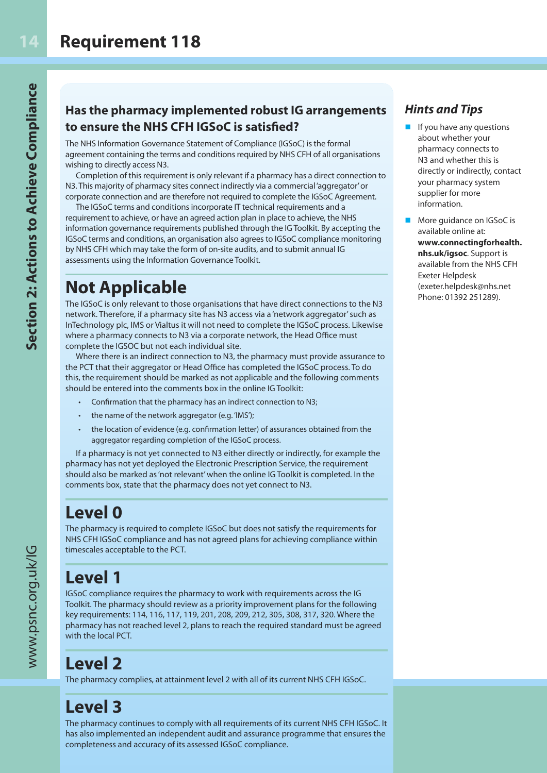### **Has the pharmacy implemented robust IG arrangements to ensure the NHS CFH IGSoC is satisfied?**

The NHS Information Governance Statement of Compliance (IGSoC) is the formal agreement containing the terms and conditions required by NHS CFH of all organisations wishing to directly access N3.

Completion of this requirement is only relevant if a pharmacy has a direct connection to N3. This majority of pharmacy sites connect indirectly via a commercial 'aggregator' or corporate connection and are therefore not required to complete the IGSoC Agreement.

The IGSoC terms and conditions incorporate IT technical requirements and a requirement to achieve, or have an agreed action plan in place to achieve, the NHS information governance requirements published through the IG Toolkit. By accepting the IGSoC terms and conditions, an organisation also agrees to IGSoC compliance monitoring by NHS CFH which may take the form of on-site audits, and to submit annual IG assessments using the Information Governance Toolkit.

### **Not Applicable**

The IGSoC is only relevant to those organisations that have direct connections to the N3 network. Therefore, if a pharmacy site has N3 access via a 'network aggregator' such as InTechnology plc, IMS or Vialtus it will not need to complete the IGSoC process. Likewise where a pharmacy connects to N3 via a corporate network, the Head Office must complete the IGSOC but not each individual site.

Where there is an indirect connection to N3, the pharmacy must provide assurance to the PCT that their aggregator or Head Office has completed the IGSoC process. To do this, the requirement should be marked as not applicable and the following comments should be entered into the comments box in the online IG Toolkit:

- Confirmation that the pharmacy has an indirect connection to N3;
- the name of the network aggregator (e.g. 'IMS');
- the location of evidence (e.g. confirmation letter) of assurances obtained from the aggregator regarding completion of the IGSoC process.

If a pharmacy is not yet connected to N3 either directly or indirectly, for example the pharmacy has not yet deployed the Electronic Prescription Service, the requirement should also be marked as 'not relevant' when the online IG Toolkit is completed. In the comments box, state that the pharmacy does not yet connect to N3.

## **Level 0**

The pharmacy is required to complete IGSoC but does not satisfy the requirements for NHS CFH IGSoC compliance and has not agreed plans for achieving compliance within timescales acceptable to the PCT.

## **Level 1**

IGSoC compliance requires the pharmacy to work with requirements across the IG Toolkit. The pharmacy should review as a priority improvement plans for the following key requirements: 114, 116, 117, 119, 201, 208, 209, 212, 305, 308, 317, 320. Where the pharmacy has not reached level 2, plans to reach the required standard must be agreed with the local PCT.

## **Level 2**

The pharmacy complies, at attainment level 2 with all of its current NHS CFH IGSoC.

## **Level 3**

The pharmacy continues to comply with all requirements of its current NHS CFH IGSoC. It has also implemented an independent audit and assurance programme that ensures the completeness and accuracy of its assessed IGSoC compliance.

### *Hints and Tips*

- If you have any questions about whether your pharmacy connects to N3 and whether this is directly or indirectly, contact your pharmacy system supplier for more information.
- More guidance on IGSoC is available online at: **www.connectingforhealth. nhs.uk/igsoc**. Support is available from the NHS CFH Exeter Helpdesk (exeter.helpdesk@nhs.net Phone: 01392 251289).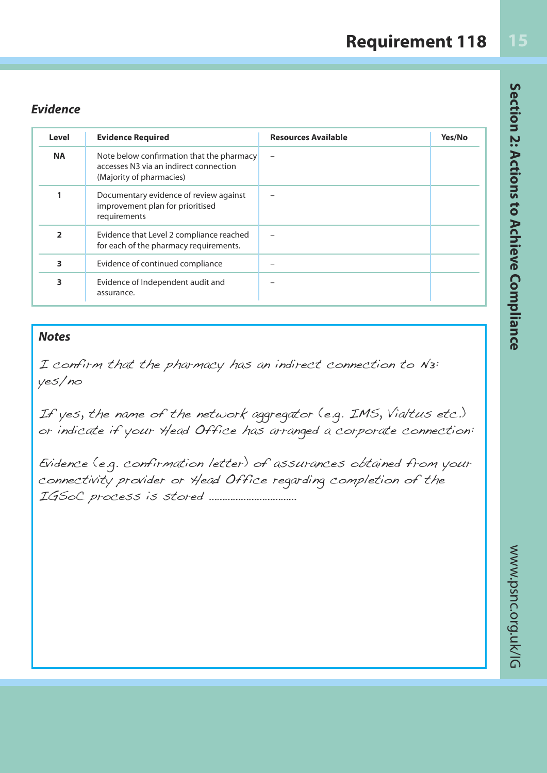#### *Evidence*

| Level          | <b>Evidence Required</b>                                                                                        | <b>Resources Available</b> | Yes/No |
|----------------|-----------------------------------------------------------------------------------------------------------------|----------------------------|--------|
| <b>NA</b>      | Note below confirmation that the pharmacy<br>accesses N3 via an indirect connection<br>(Majority of pharmacies) |                            |        |
|                | Documentary evidence of review against<br>improvement plan for prioritised<br>requirements                      |                            |        |
| $\overline{2}$ | Evidence that Level 2 compliance reached<br>for each of the pharmacy requirements.                              |                            |        |
| 3              | Evidence of continued compliance                                                                                |                            |        |
| 3              | Evidence of Independent audit and<br>assurance.                                                                 |                            |        |

#### *Notes*

I confirm that the pharmacy has an indirect connection to N3: yes/no

If yes, the name of the network aggregator (e.g. IMS, Vialtus etc.) or indicate if your Head Office has arranged a corporate connection:

Evidence (e.g. confirmation letter) of assurances obtained from your connectivity provider or Head Office regarding completion of the IGSoC process is stored ……………………………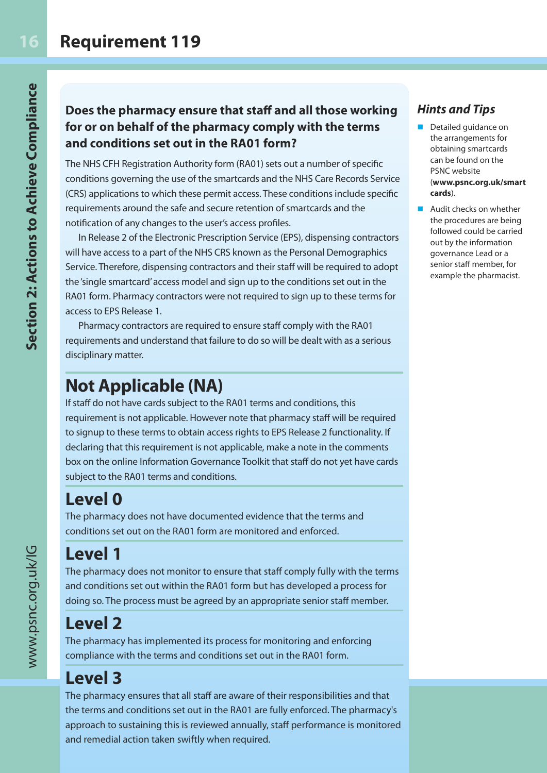### **Does the pharmacy ensure that staff and all those working for or on behalf of the pharmacy comply with the terms and conditions set out in the RA01 form?**

The NHS CFH Registration Authority form (RA01) sets out a number of specific conditions governing the use of the smartcards and the NHS Care Records Service (CRS) applications to which these permit access. These conditions include specific requirements around the safe and secure retention of smartcards and the notification of any changes to the user's access profiles.

In Release 2 of the Electronic Prescription Service (EPS), dispensing contractors will have access to a part of the NHS CRS known as the Personal Demographics Service. Therefore, dispensing contractors and their staff will be required to adopt the 'single smartcard' access model and sign up to the conditions set out in the RA01 form. Pharmacy contractors were not required to sign up to these terms for access to EPS Release 1.

Pharmacy contractors are required to ensure staff comply with the RA01 requirements and understand that failure to do so will be dealt with as a serious disciplinary matter.

### **Not Applicable (NA)**

If staff do not have cards subject to the RA01 terms and conditions, this requirement is not applicable. However note that pharmacy staff will be required to signup to these terms to obtain access rights to EPS Release 2 functionality. If declaring that this requirement is not applicable, make a note in the comments box on the online Information Governance Toolkit that staff do not yet have cards subject to the RA01 terms and conditions.

### **Level 0**

The pharmacy does not have documented evidence that the terms and conditions set out on the RA01 form are monitored and enforced.

### **Level 1**

The pharmacy does not monitor to ensure that staff comply fully with the terms and conditions set out within the RA01 form but has developed a process for doing so. The process must be agreed by an appropriate senior staff member.

### **Level 2**

The pharmacy has implemented its process for monitoring and enforcing compliance with the terms and conditions set out in the RA01 form.

### **Level 3**

The pharmacy ensures that all staff are aware of their responsibilities and that the terms and conditions set out in the RA01 are fully enforced. The pharmacy's approach to sustaining this is reviewed annually, staff performance is monitored and remedial action taken swiftly when required.

### *Hints and Tips*

- Detailed quidance on the arrangements for obtaining smartcards can be found on the PSNC website (**www.psnc.org.uk/smart cards**).
- **n** Audit checks on whether the procedures are being followed could be carried out by the information governance Lead or a senior staff member, for example the pharmacist.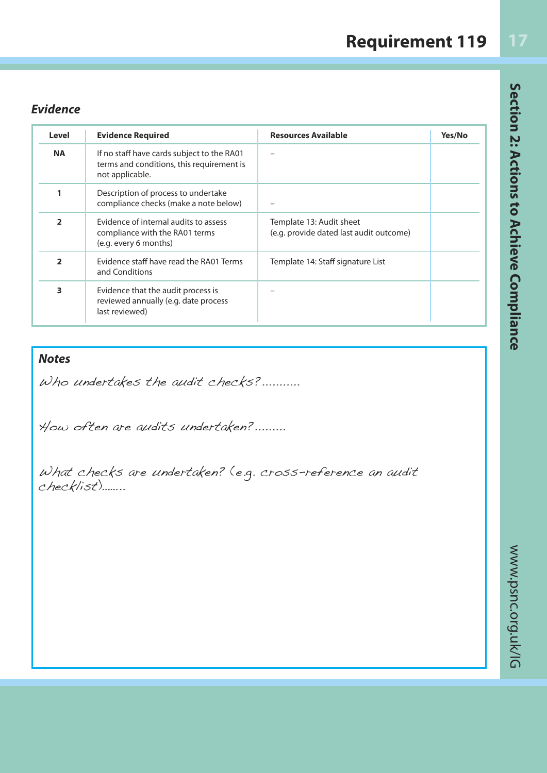### **Requirement 119**

### *Evidence*

| Level          | <b>Evidence Required</b>                                                                                   | <b>Resources Available</b>                                          | Yes/No |
|----------------|------------------------------------------------------------------------------------------------------------|---------------------------------------------------------------------|--------|
| <b>NA</b>      | If no staff have cards subject to the RA01<br>terms and conditions, this requirement is<br>not applicable. |                                                                     |        |
|                | Description of process to undertake<br>compliance checks (make a note below)                               |                                                                     |        |
| $\overline{2}$ | Evidence of internal audits to assess<br>compliance with the RA01 terms<br>(e.g. every 6 months)           | Template 13: Audit sheet<br>(e.g. provide dated last audit outcome) |        |
| $\overline{2}$ | Evidence staff have read the RA01 Terms<br>and Conditions                                                  | Template 14: Staff signature List                                   |        |
| 3              | Evidence that the audit process is<br>reviewed annually (e.g. date process<br>last reviewed)               |                                                                     |        |

### *Notes*

Who undertakes the audit checks?...........

How often are audits undertaken?.........

What checks are undertaken? (e.g. cross-reference an audit checklist)……..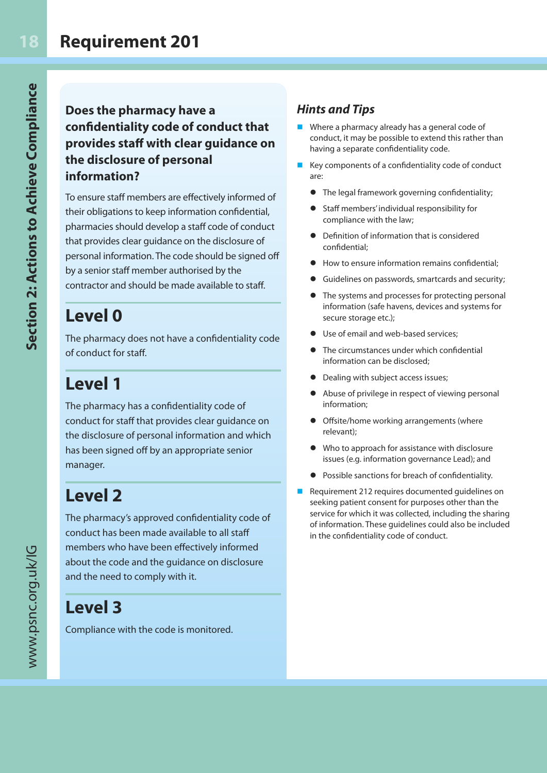### **Does the pharmacy have a confidentiality code of conduct that provides staff with clear guidance on the disclosure of personal information?**

To ensure staff members are effectively informed of their obligations to keep information confidential, pharmacies should develop a staff code of conduct that provides clear guidance on the disclosure of personal information. The code should be signed off by a senior staff member authorised by the contractor and should be made available to staff.

## **Level 0**

The pharmacy does not have a confidentiality code of conduct for staff.

## **Level 1**

The pharmacy has a confidentiality code of conduct for staff that provides clear guidance on the disclosure of personal information and which has been signed off by an appropriate senior manager.

## **Level 2**

The pharmacy's approved confidentiality code of conduct has been made available to all staff members who have been effectively informed about the code and the guidance on disclosure and the need to comply with it.

### **Level 3**

Compliance with the code is monitored.

### *Hints and Tips*

- $\blacksquare$  Where a pharmacy already has a general code of conduct, it may be possible to extend this rather than having a separate confidentiality code.
- $\blacksquare$  Key components of a confidentiality code of conduct are:
	- **•** The legal framework governing confidentiality;
	- Staff members' individual responsibility for compliance with the law;
	- **•** Definition of information that is considered confidential;
	- $\bullet$  How to ensure information remains confidential;
	- Guidelines on passwords, smartcards and security;
	- $\bullet$  The systems and processes for protecting personal information (safe havens, devices and systems for secure storage etc.);
	- Use of email and web-based services:
	- The circumstances under which confidential information can be disclosed;
	- **•** Dealing with subject access issues;
	- Abuse of privilege in respect of viewing personal information;
	- **•** Offsite/home working arrangements (where relevant);
	- Who to approach for assistance with disclosure issues (e.g. information governance Lead); and
	- **•** Possible sanctions for breach of confidentiality.
- $\blacksquare$  Requirement 212 requires documented quidelines on seeking patient consent for purposes other than the service for which it was collected, including the sharing of information. These guidelines could also be included in the confidentiality code of conduct.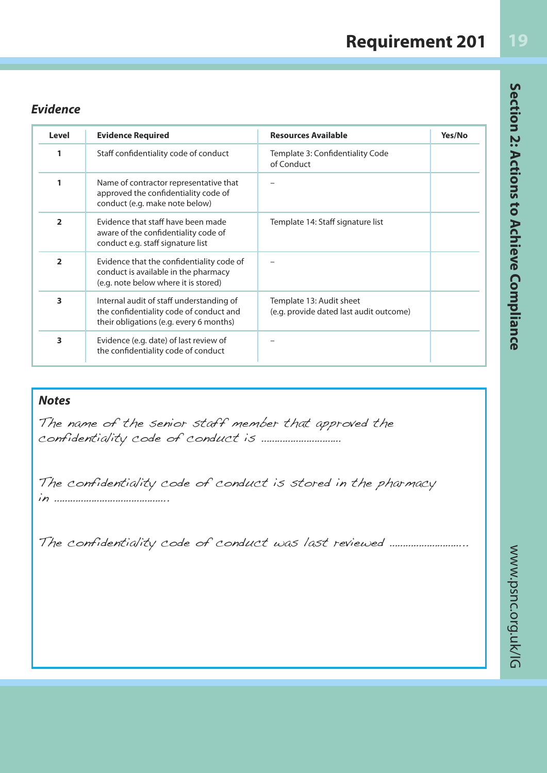| <b>Requirement 201</b> |  |
|------------------------|--|
|------------------------|--|

#### *Evidence*

| Level          | <b>Evidence Required</b>                                                                                                       | <b>Resources Available</b>                                          | Yes/No |
|----------------|--------------------------------------------------------------------------------------------------------------------------------|---------------------------------------------------------------------|--------|
| 1              | Staff confidentiality code of conduct                                                                                          | Template 3: Confidentiality Code<br>of Conduct                      |        |
| 1              | Name of contractor representative that<br>approved the confidentiality code of<br>conduct (e.g. make note below)               |                                                                     |        |
| $\overline{2}$ | Evidence that staff have been made<br>aware of the confidentiality code of<br>conduct e.g. staff signature list                | Template 14: Staff signature list                                   |        |
| $\overline{2}$ | Evidence that the confidentiality code of<br>conduct is available in the pharmacy<br>(e.g. note below where it is stored)      |                                                                     |        |
| 3              | Internal audit of staff understanding of<br>the confidentiality code of conduct and<br>their obligations (e.g. every 6 months) | Template 13: Audit sheet<br>(e.g. provide dated last audit outcome) |        |
| 3              | Evidence (e.g. date) of last review of<br>the confidentiality code of conduct                                                  |                                                                     |        |

### *Notes*

The name of the senior staff member that approved the confidentiality code of conduct is …………………………

The confidentiality code of conduct is stored in the pharmacy in …………………………………….

The confidentiality code of conduct was last reviewed ...........................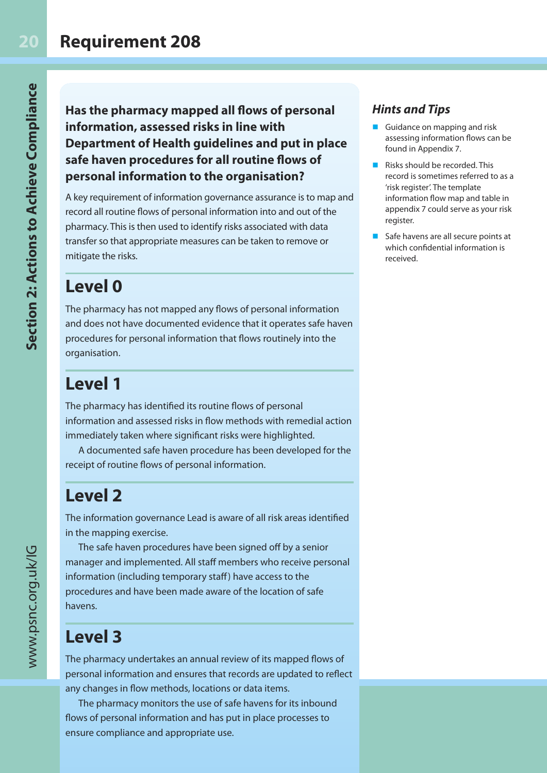**Has the pharmacy mapped all flows of personal information, assessed risks in line with Department of Health guidelines and put in place safe haven procedures for all routine flows of personal information to the organisation?**

A key requirement of information governance assurance is to map and record all routine flows of personal information into and out of the pharmacy. This is then used to identify risks associated with data transfer so that appropriate measures can be taken to remove or mitigate the risks.

## **Level 0**

The pharmacy has not mapped any flows of personal information and does not have documented evidence that it operates safe haven procedures for personal information that flows routinely into the organisation.

## **Level 1**

The pharmacy has identified its routine flows of personal information and assessed risks in flow methods with remedial action immediately taken where significant risks were highlighted.

A documented safe haven procedure has been developed for the receipt of routine flows of personal information.

## **Level 2**

The information governance Lead is aware of all risk areas identified in the mapping exercise.

The safe haven procedures have been signed off by a senior manager and implemented. All staff members who receive personal information (including temporary staff) have access to the procedures and have been made aware of the location of safe havens.

## **Level 3**

The pharmacy undertakes an annual review of its mapped flows of personal information and ensures that records are updated to reflect any changes in flow methods, locations or data items.

The pharmacy monitors the use of safe havens for its inbound flows of personal information and has put in place processes to ensure compliance and appropriate use.

### *Hints and Tips*

- Guidance on mapping and risk assessing information flows can be found in Appendix 7.
- $\blacksquare$  Risks should be recorded. This record is sometimes referred to as a 'risk register'. The template information flow map and table in appendix 7 could serve as your risk register.
- $\blacksquare$  Safe havens are all secure points at which confidential information is received.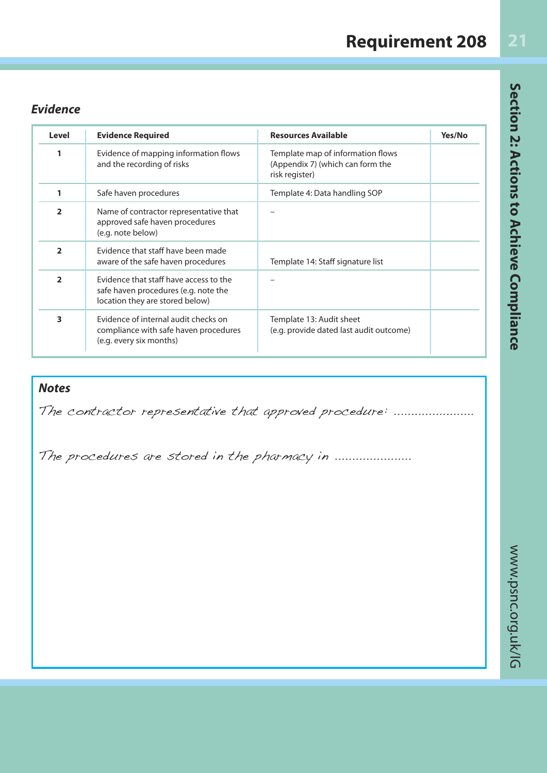| <b>Requirement 208</b> |
|------------------------|
|------------------------|

### *Evidence*

| Level          | <b>Evidence Required</b>                                                                                          | <b>Resources Available</b>                                                              | Yes/No |
|----------------|-------------------------------------------------------------------------------------------------------------------|-----------------------------------------------------------------------------------------|--------|
| 1              | Evidence of mapping information flows<br>and the recording of risks                                               | Template map of information flows<br>(Appendix 7) (which can form the<br>risk register) |        |
| 1              | Safe haven procedures                                                                                             | Template 4: Data handling SOP                                                           |        |
| $\overline{2}$ | Name of contractor representative that<br>approved safe haven procedures<br>(e.g. note below)                     |                                                                                         |        |
| $\overline{2}$ | Evidence that staff have been made<br>aware of the safe haven procedures                                          | Template 14: Staff signature list                                                       |        |
| $\overline{2}$ | Evidence that staff have access to the<br>safe haven procedures (e.g. note the<br>location they are stored below) |                                                                                         |        |
| 3              | Evidence of internal audit checks on<br>compliance with safe haven procedures<br>(e.g. every six months)          | Template 13: Audit sheet<br>(e.g. provide dated last audit outcome)                     |        |

### *Notes*

The contractor representative that approved procedure: .........................

The procedures are stored in the pharmacy in .....................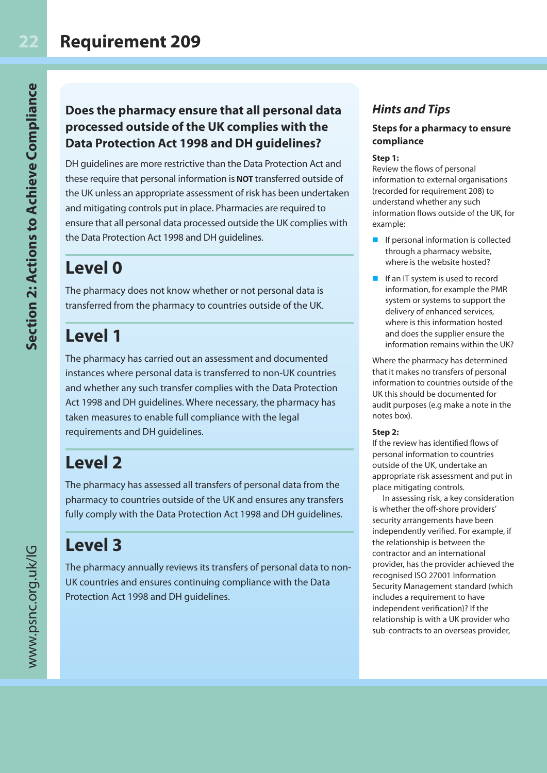### **Does the pharmacy ensure that all personal data processed outside of the UK complies with the Data Protection Act 1998 and DH guidelines?**

DH guidelines are more restrictive than the Data Protection Act and these require that personal information is **NOT** transferred outside of the UK unless an appropriate assessment of risk has been undertaken and mitigating controls put in place. Pharmacies are required to ensure that all personal data processed outside the UK complies with the Data Protection Act 1998 and DH guidelines.

### **Level 0**

The pharmacy does not know whether or not personal data is transferred from the pharmacy to countries outside of the UK.

## **Level 1**

The pharmacy has carried out an assessment and documented instances where personal data is transferred to non-UK countries and whether any such transfer complies with the Data Protection Act 1998 and DH guidelines. Where necessary, the pharmacy has taken measures to enable full compliance with the legal requirements and DH guidelines.

## **Level 2**

The pharmacy has assessed all transfers of personal data from the pharmacy to countries outside of the UK and ensures any transfers fully comply with the Data Protection Act 1998 and DH guidelines.

## **Level 3**

The pharmacy annually reviews its transfers of personal data to non-UK countries and ensures continuing compliance with the Data Protection Act 1998 and DH guidelines.

### *Hints and Tips*

#### **Steps for a pharmacy to ensure compliance**

#### **Step 1:**

Review the flows of personal information to external organisations (recorded for requirement 208) to understand whether any such information flows outside of the UK, for example:

- $\blacksquare$  If personal information is collected through a pharmacy website, where is the website hosted?
- $\blacksquare$  If an IT system is used to record information, for example the PMR system or systems to support the delivery of enhanced services, where is this information hosted and does the supplier ensure the information remains within the UK?

Where the pharmacy has determined that it makes no transfers of personal information to countries outside of the UK this should be documented for audit purposes (e.g make a note in the notes box).

#### **Step 2:**

If the review has identified flows of personal information to countries outside of the UK, undertake an appropriate risk assessment and put in place mitigating controls.

In assessing risk, a key consideration is whether the off-shore providers' security arrangements have been independently verified. For example, if the relationship is between the contractor and an international provider, has the provider achieved the recognised ISO 27001 Information Security Management standard (which includes a requirement to have independent verification)? If the relationship is with a UK provider who sub-contracts to an overseas provider,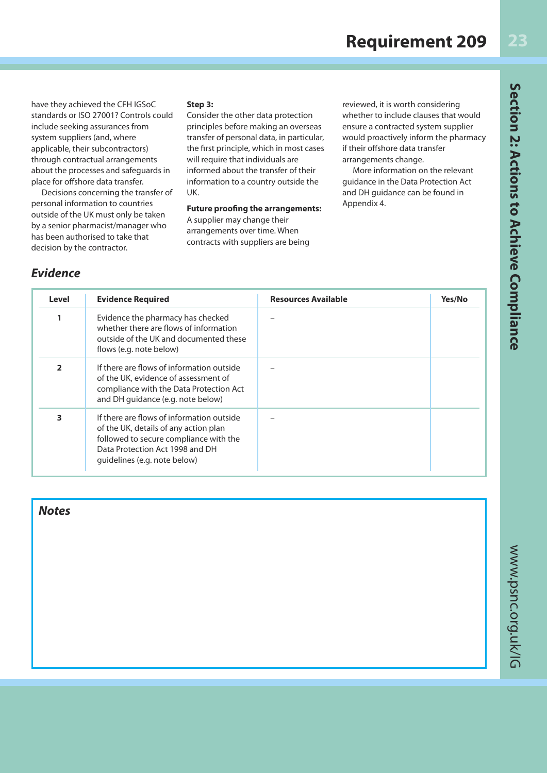have they achieved the CFH IGSoC standards or ISO 27001? Controls could include seeking assurances from system suppliers (and, where applicable, their subcontractors) through contractual arrangements about the processes and safeguards in place for offshore data transfer.

Decisions concerning the transfer of personal information to countries outside of the UK must only be taken by a senior pharmacist/manager who has been authorised to take that decision by the contractor.

#### **Step 3:**

Consider the other data protection principles before making an overseas transfer of personal data, in particular, the first principle, which in most cases will require that individuals are informed about the transfer of their information to a country outside the UK.

#### **Future proofing the arrangements:** A supplier may change their arrangements over time. When

contracts with suppliers are being

reviewed, it is worth considering whether to include clauses that would ensure a contracted system supplier would proactively inform the pharmacy if their offshore data transfer arrangements change.

More information on the relevant guidance in the Data Protection Act and DH guidance can be found in Appendix 4.

#### *Evidence*

| Level | <b>Evidence Required</b>                                                                                                                                                                        | <b>Resources Available</b> | Yes/No |
|-------|-------------------------------------------------------------------------------------------------------------------------------------------------------------------------------------------------|----------------------------|--------|
|       | Evidence the pharmacy has checked<br>whether there are flows of information<br>outside of the UK and documented these<br>flows (e.g. note below)                                                |                            |        |
| 2     | If there are flows of information outside<br>of the UK, evidence of assessment of<br>compliance with the Data Protection Act<br>and DH quidance (e.g. note below)                               |                            |        |
| 3     | If there are flows of information outside<br>of the UK, details of any action plan<br>followed to secure compliance with the<br>Data Protection Act 1998 and DH<br>quidelines (e.g. note below) |                            |        |

*Notes*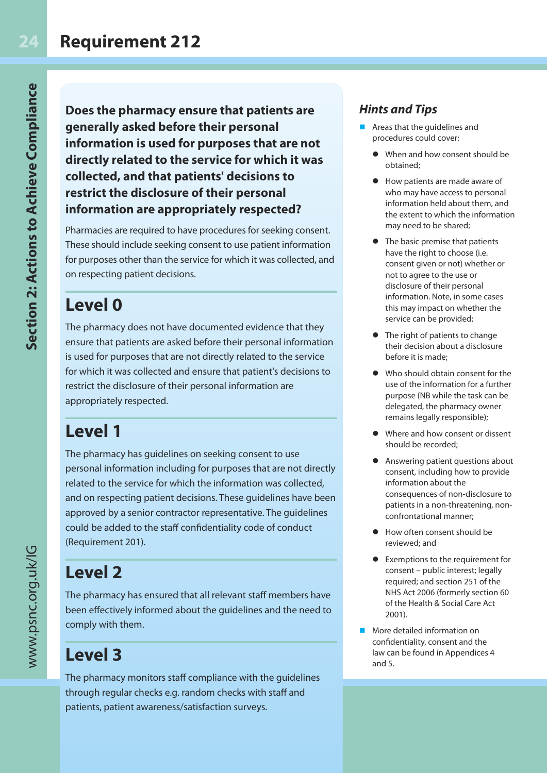**Does the pharmacy ensure that patients are generally asked before their personal information is used for purposes that are not directly related to the service for which it was collected, and that patients' decisions to restrict the disclosure of their personal information are appropriately respected?**

Pharmacies are required to have procedures for seeking consent. These should include seeking consent to use patient information for purposes other than the service for which it was collected, and on respecting patient decisions.

## **Level 0**

The pharmacy does not have documented evidence that they ensure that patients are asked before their personal information is used for purposes that are not directly related to the service for which it was collected and ensure that patient's decisions to restrict the disclosure of their personal information are appropriately respected.

## **Level 1**

The pharmacy has guidelines on seeking consent to use personal information including for purposes that are not directly related to the service for which the information was collected, and on respecting patient decisions. These guidelines have been approved by a senior contractor representative. The guidelines could be added to the staff confidentiality code of conduct (Requirement 201).

## **Level 2**

The pharmacy has ensured that all relevant staff members have been effectively informed about the guidelines and the need to comply with them.

## **Level 3**

The pharmacy monitors staff compliance with the guidelines through regular checks e.g. random checks with staff and patients, patient awareness/satisfaction surveys.

### *Hints and Tips*

- Areas that the quidelines and procedures could cover:
	- When and how consent should be obtained;
	- How patients are made aware of who may have access to personal information held about them, and the extent to which the information may need to be shared;
	- The basic premise that patients have the right to choose (i.e. consent given or not) whether or not to agree to the use or disclosure of their personal information. Note, in some cases this may impact on whether the service can be provided;
	- $\bullet$  The right of patients to change their decision about a disclosure before it is made;
	- Who should obtain consent for the use of the information for a further purpose (NB while the task can be delegated, the pharmacy owner remains legally responsible);
	- **I** Where and how consent or dissent should be recorded;
	- **•** Answering patient questions about consent, including how to provide information about the consequences of non-disclosure to patients in a non-threatening, nonconfrontational manner;
	- How often consent should be reviewed; and
	- Exemptions to the requirement for consent – public interest; legally required; and section 251 of the NHS Act 2006 (formerly section 60 of the Health & Social Care Act 2001).
- **n** More detailed information on confidentiality, consent and the law can be found in Appendices 4 and 5.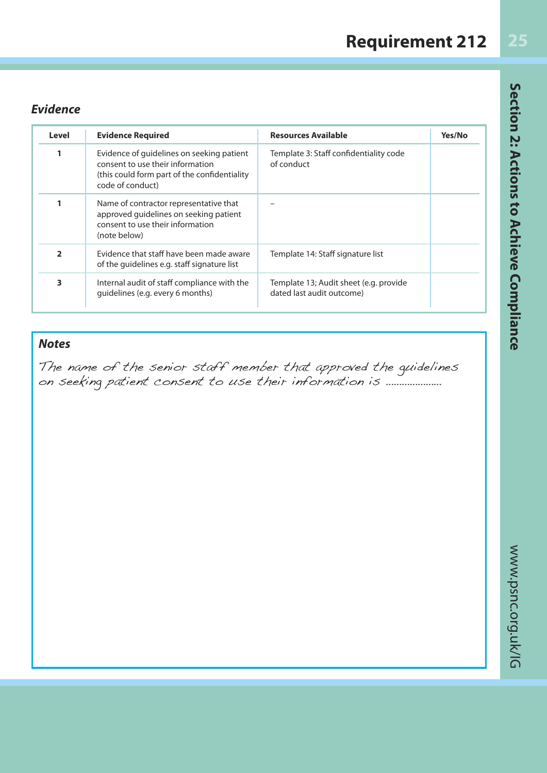#### *Evidence*

| Level          | <b>Evidence Required</b>                                                                                                                          | <b>Resources Available</b>                                          | Yes/No |
|----------------|---------------------------------------------------------------------------------------------------------------------------------------------------|---------------------------------------------------------------------|--------|
|                | Evidence of guidelines on seeking patient<br>consent to use their information<br>(this could form part of the confidentiality<br>code of conduct) | Template 3: Staff confidentiality code<br>of conduct                |        |
|                | Name of contractor representative that<br>approved guidelines on seeking patient<br>consent to use their information<br>(note below)              |                                                                     |        |
| $\overline{2}$ | Evidence that staff have been made aware<br>of the quidelines e.g. staff signature list                                                           | Template 14: Staff signature list                                   |        |
| 3              | Internal audit of staff compliance with the<br>quidelines (e.g. every 6 months)                                                                   | Template 13; Audit sheet (e.g. provide<br>dated last audit outcome) |        |

### *Notes*

The name of the senior staff member that approved the guidelines on seeking patient consent to use their information is …………………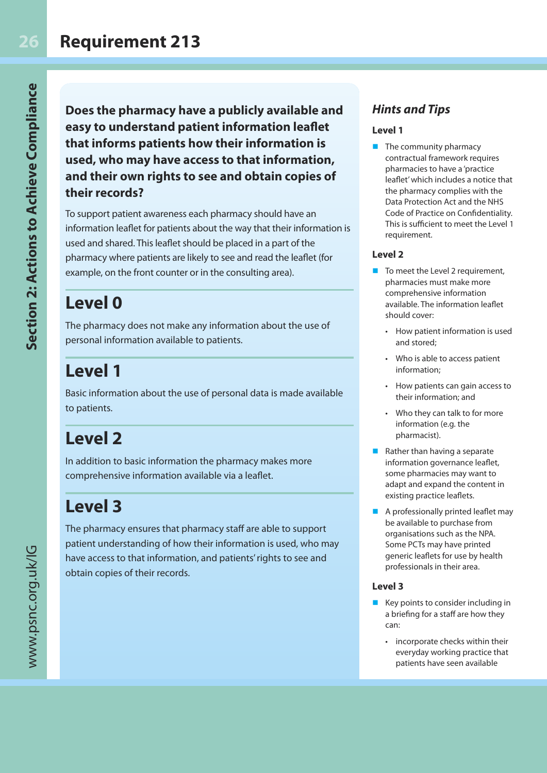**Does the pharmacy have a publicly available and easy to understand patient information leaflet that informs patients how their information is used, who may have access to that information, and their own rights to see and obtain copies of their records?**

To support patient awareness each pharmacy should have an information leaflet for patients about the way that their information is used and shared. This leaflet should be placed in a part of the pharmacy where patients are likely to see and read the leaflet (for example, on the front counter or in the consulting area).

## **Level 0**

The pharmacy does not make any information about the use of personal information available to patients.

## **Level 1**

Basic information about the use of personal data is made available to patients.

## **Level 2**

In addition to basic information the pharmacy makes more comprehensive information available via a leaflet.

## **Level 3**

The pharmacy ensures that pharmacy staff are able to support patient understanding of how their information is used, who may have access to that information, and patients' rights to see and obtain copies of their records.

### *Hints and Tips*

#### **Level 1**

 $\blacksquare$  The community pharmacy contractual framework requires pharmacies to have a 'practice leaflet' which includes a notice that the pharmacy complies with the Data Protection Act and the NHS Code of Practice on Confidentiality. This is sufficient to meet the Level 1 requirement.

#### **Level 2**

- $\blacksquare$  To meet the Level 2 requirement, pharmacies must make more comprehensive information available. The information leaflet should cover:
	- How patient information is used and stored;
	- Who is able to access patient information;
	- How patients can gain access to their information; and
	- Who they can talk to for more information (e.g. the pharmacist).
- Rather than having a separate information governance leaflet, some pharmacies may want to adapt and expand the content in existing practice leaflets.
- A professionally printed leaflet may be available to purchase from organisations such as the NPA. Some PCTs may have printed generic leaflets for use by health professionals in their area.

#### **Level 3**

- $\blacksquare$  Key points to consider including in a briefing for a staff are how they can:
	- incorporate checks within their everyday working practice that patients have seen available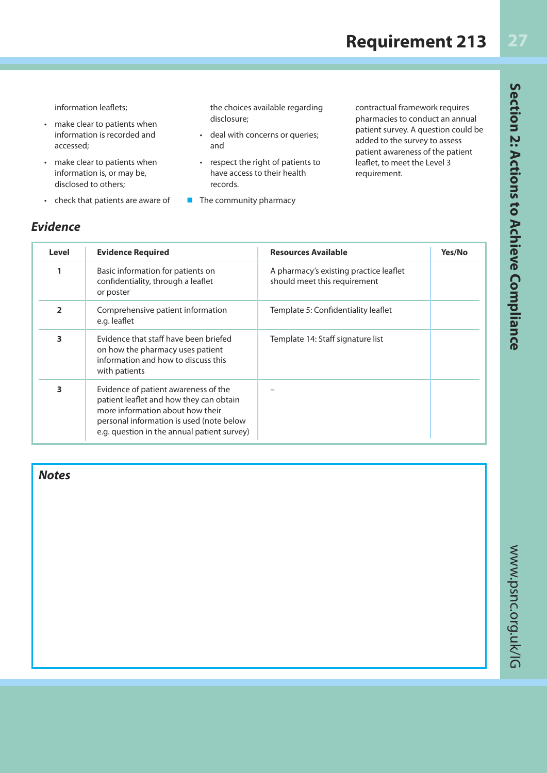### **Requirement 213**

**27**

information leaflets;

- make clear to patients when information is recorded and accessed;
- make clear to patients when information is, or may be, disclosed to others;
- check that patients are aware of

the choices available regarding disclosure;

- deal with concerns or queries; and
- respect the right of patients to have access to their health records.
- $\blacksquare$  The community pharmacy

contractual framework requires pharmacies to conduct an annual patient survey. A question could be added to the survey to assess patient awareness of the patient leaflet, to meet the Level 3 requirement.

| Level        | <b>Evidence Required</b>                                                                                                                                                                                       | <b>Resources Available</b>                                             | Yes/No |
|--------------|----------------------------------------------------------------------------------------------------------------------------------------------------------------------------------------------------------------|------------------------------------------------------------------------|--------|
|              | Basic information for patients on<br>confidentiality, through a leaflet<br>or poster                                                                                                                           | A pharmacy's existing practice leaflet<br>should meet this requirement |        |
| $\mathbf{z}$ | Comprehensive patient information<br>e.g. leaflet                                                                                                                                                              | Template 5: Confidentiality leaflet                                    |        |
| 3            | Evidence that staff have been briefed<br>on how the pharmacy uses patient<br>information and how to discuss this<br>with patients                                                                              | Template 14: Staff signature list                                      |        |
| 3            | Evidence of patient awareness of the<br>patient leaflet and how they can obtain<br>more information about how their<br>personal information is used (note below<br>e.g. question in the annual patient survey) |                                                                        |        |

*Notes*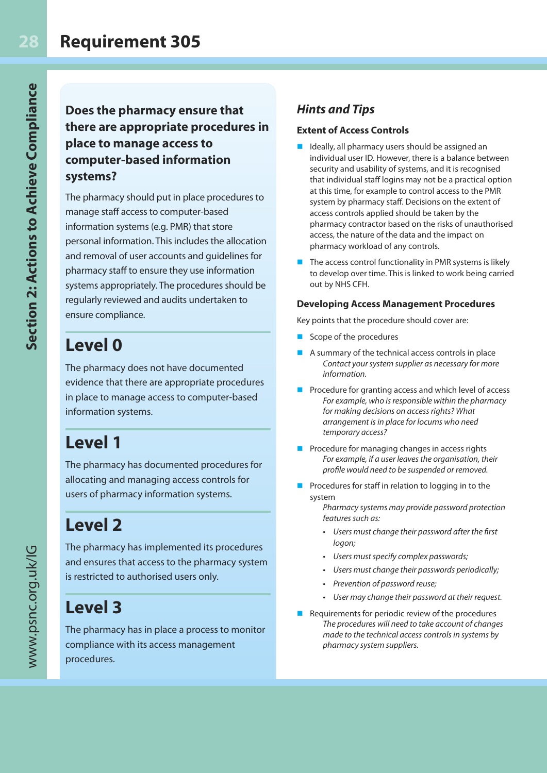**Does the pharmacy ensure that there are appropriate procedures in place to manage access to computer-based information systems?**

The pharmacy should put in place procedures to manage staff access to computer-based information systems (e.g. PMR) that store personal information. This includes the allocation and removal of user accounts and guidelines for pharmacy staff to ensure they use information systems appropriately. The procedures should be regularly reviewed and audits undertaken to ensure compliance.

## **Level 0**

The pharmacy does not have documented evidence that there are appropriate procedures in place to manage access to computer-based information systems.

## **Level 1**

The pharmacy has documented procedures for allocating and managing access controls for users of pharmacy information systems.

## **Level 2**

The pharmacy has implemented its procedures and ensures that access to the pharmacy system is restricted to authorised users only.

## **Level 3**

The pharmacy has in place a process to monitor compliance with its access management procedures.

### *Hints and Tips*

#### **Extent of Access Controls**

- Ideally, all pharmacy users should be assigned an individual user ID. However, there is a balance between security and usability of systems, and it is recognised that individual staff logins may not be a practical option at this time, for example to control access to the PMR system by pharmacy staff. Decisions on the extent of access controls applied should be taken by the pharmacy contractor based on the risks of unauthorised access, the nature of the data and the impact on pharmacy workload of any controls.
- $\blacksquare$  The access control functionality in PMR systems is likely to develop over time. This is linked to work being carried out by NHS CFH.

#### **Developing Access Management Procedures**

Key points that the procedure should cover are:

- $\blacksquare$  Scope of the procedures
- A summary of the technical access controls in place Contact your system supplier as necessary for more information.
- $\blacksquare$  Procedure for granting access and which level of access For example, who is responsible within the pharmacy for making decisions on access rights? What arrangement is in place for locums who need temporary access?
- $\blacksquare$  Procedure for managing changes in access rights For example, if a user leaves the organisation, their profile would need to be suspended or removed.
- **n** Procedures for staff in relation to logging in to the system

Pharmacy systems may provide password protection features such as:

- Users must change their password after the first logon;
- Users must specify complex passwords;
- Users must change their passwords periodically;
- Prevention of password reuse;
- User may change their password at their request.
- $\blacksquare$  Requirements for periodic review of the procedures The procedures will need to take account of changes made to the technical access controls in systems by pharmacy system suppliers.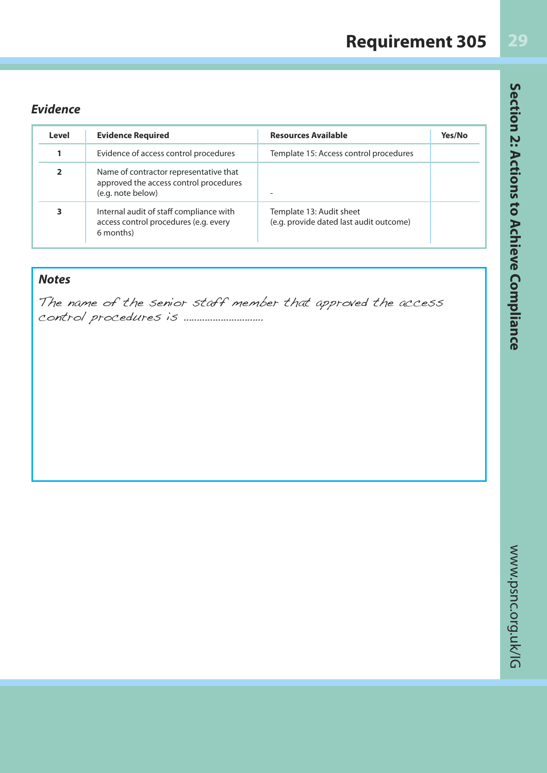| <b>Requirement 305</b> |
|------------------------|
|------------------------|

Section 2: Actions to Achieve Compliance

### *Evidence*

| Level | <b>Evidence Required</b>                                                                              | <b>Resources Available</b>                                          | Yes/No |
|-------|-------------------------------------------------------------------------------------------------------|---------------------------------------------------------------------|--------|
|       | Evidence of access control procedures                                                                 | Template 15: Access control procedures                              |        |
| 2     | Name of contractor representative that<br>approved the access control procedures<br>(e.g. note below) |                                                                     |        |
| 3     | Internal audit of staff compliance with<br>access control procedures (e.g. every<br>6 months)         | Template 13: Audit sheet<br>(e.g. provide dated last audit outcome) |        |

### *Notes*

The name of the senior staff member that approved the access control procedures is …………………………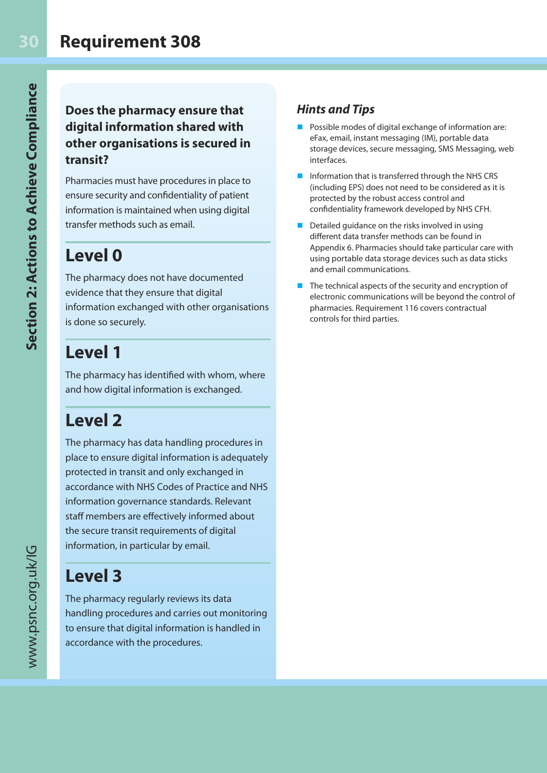### **Requirement 308**

### **Does the pharmacy ensure that digital information shared with other organisations is secured in transit?**

Pharmacies must have procedures in place to ensure security and confidentiality of patient information is maintained when using digital transfer methods such as email.

### **Level 0**

The pharmacy does not have documented evidence that they ensure that digital information exchanged with other organisations is done so securely.

### **Level 1**

The pharmacy has identified with whom, where and how digital information is exchanged.

### **Level 2**

The pharmacy has data handling procedures in place to ensure digital information is adequately protected in transit and only exchanged in accordance with NHS Codes of Practice and NHS information governance standards. Relevant staff members are effectively informed about the secure transit requirements of digital information, in particular by email.

### **Level 3**

The pharmacy regularly reviews its data handling procedures and carries out monitoring to ensure that digital information is handled in accordance with the procedures.

### *Hints and Tips*

- Possible modes of digital exchange of information are: eFax, email, instant messaging (IM), portable data storage devices, secure messaging, SMS Messaging, web interfaces.
- Information that is transferred through the NHS CRS (including EPS) does not need to be considered as it is protected by the robust access control and confidentiality framework developed by NHS CFH.
- $\blacksquare$  Detailed guidance on the risks involved in using different data transfer methods can be found in Appendix 6. Pharmacies should take particular care with using portable data storage devices such as data sticks and email communications.
- $\blacksquare$  The technical aspects of the security and encryption of electronic communications will be beyond the control of pharmacies. Requirement 116 covers contractual controls for third parties.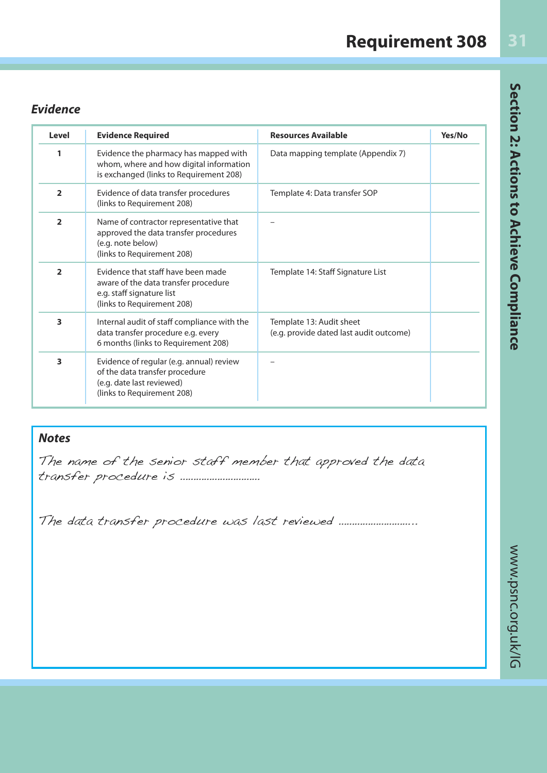### *Evidence*

| Level          | <b>Evidence Required</b>                                                                                                              | <b>Resources Available</b>                                          | Yes/No |
|----------------|---------------------------------------------------------------------------------------------------------------------------------------|---------------------------------------------------------------------|--------|
| 1              | Evidence the pharmacy has mapped with<br>whom, where and how digital information<br>is exchanged (links to Requirement 208)           | Data mapping template (Appendix 7)                                  |        |
| $\overline{2}$ | Evidence of data transfer procedures<br>(links to Requirement 208)                                                                    | Template 4: Data transfer SOP                                       |        |
| $\overline{2}$ | Name of contractor representative that<br>approved the data transfer procedures<br>(e.g. note below)<br>(links to Requirement 208)    |                                                                     |        |
| $\overline{2}$ | Evidence that staff have been made<br>aware of the data transfer procedure<br>e.g. staff signature list<br>(links to Requirement 208) | Template 14: Staff Signature List                                   |        |
| 3              | Internal audit of staff compliance with the<br>data transfer procedure e.g. every<br>6 months (links to Requirement 208)              | Template 13: Audit sheet<br>(e.g. provide dated last audit outcome) |        |
| 3              | Evidence of regular (e.g. annual) review<br>of the data transfer procedure<br>(e.g. date last reviewed)<br>(links to Requirement 208) |                                                                     |        |

#### *Notes*

The name of the senior staff member that approved the data transfer procedure is …………………………

The data transfer procedure was last reviewed ………………………..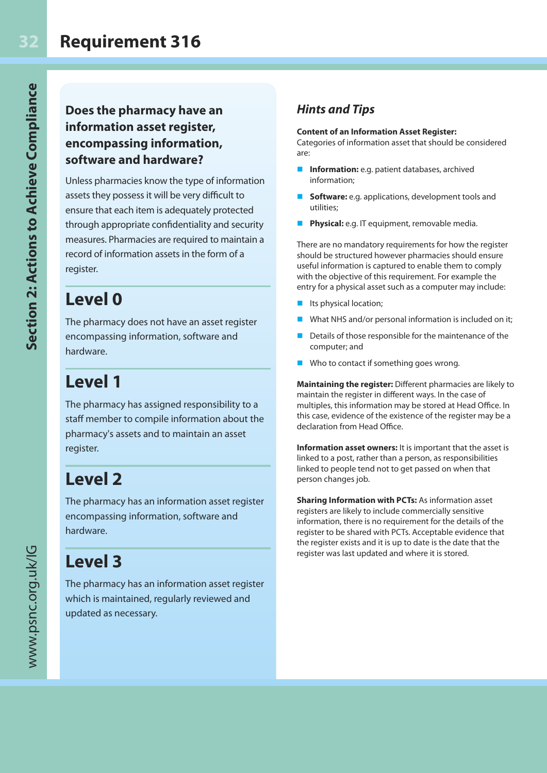### **Does the pharmacy have an information asset register, encompassing information, software and hardware?**

Unless pharmacies know the type of information assets they possess it will be very difficult to ensure that each item is adequately protected through appropriate confidentiality and security measures. Pharmacies are required to maintain a record of information assets in the form of a register.

### **Level 0**

The pharmacy does not have an asset register encompassing information, software and hardware.

## **Level 1**

The pharmacy has assigned responsibility to a staff member to compile information about the pharmacy's assets and to maintain an asset register.

## **Level 2**

The pharmacy has an information asset register encompassing information, software and hardware.

## **Level 3**

The pharmacy has an information asset register which is maintained, regularly reviewed and updated as necessary.

### *Hints and Tips*

#### **Content of an Information Asset Register:**

Categories of information asset that should be considered are:

- **n** Information: e.g. patient databases, archived information;
- **Software:** e.g. applications, development tools and utilities;
- Physical: e.g. IT equipment, removable media.

There are no mandatory requirements for how the register should be structured however pharmacies should ensure useful information is captured to enable them to comply with the objective of this requirement. For example the entry for a physical asset such as a computer may include:

- $\blacksquare$  Its physical location;
- What NHS and/or personal information is included on it;
- Details of those responsible for the maintenance of the computer; and
- $\blacksquare$  Who to contact if something goes wrong.

**Maintaining the register:** Different pharmacies are likely to maintain the register in different ways. In the case of multiples, this information may be stored at Head Office. In this case, evidence of the existence of the register may be a declaration from Head Office.

**Information asset owners:** It is important that the asset is linked to a post, rather than a person, as responsibilities linked to people tend not to get passed on when that person changes job.

**Sharing Information with PCTs:** As information asset registers are likely to include commercially sensitive information, there is no requirement for the details of the register to be shared with PCTs. Acceptable evidence that the register exists and it is up to date is the date that the register was last updated and where it is stored.

**Section 2: Actions to Achieve Compliance**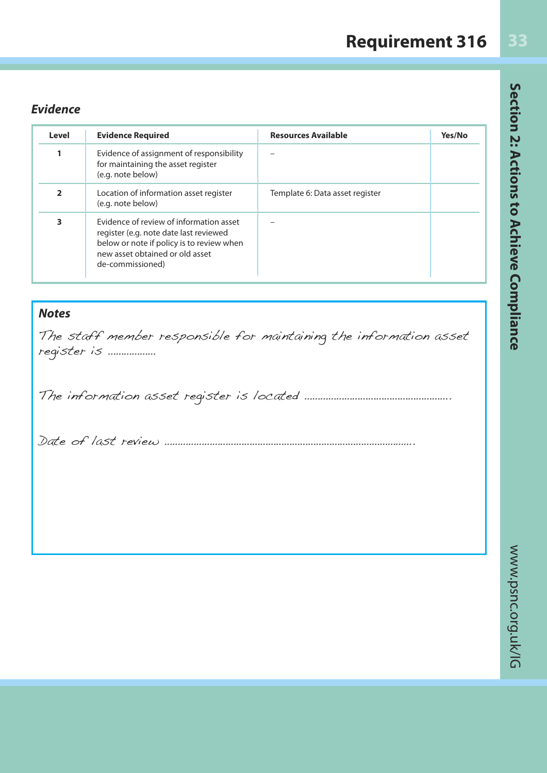## **Requirement 316**

### *Evidence*

| Level          | <b>Evidence Required</b>                                                                                                                                                              | <b>Resources Available</b>      | Yes/No |
|----------------|---------------------------------------------------------------------------------------------------------------------------------------------------------------------------------------|---------------------------------|--------|
|                | Evidence of assignment of responsibility<br>for maintaining the asset register<br>(e.g. note below)                                                                                   |                                 |        |
| $\overline{2}$ | Location of information asset register<br>(e.g. note below)                                                                                                                           | Template 6: Data asset register |        |
| 3              | Evidence of review of information asset<br>register (e.g. note date last reviewed<br>below or note if policy is to review when<br>new asset obtained or old asset<br>de-commissioned) |                                 |        |

#### *Notes*

The staff member responsible for maintaining the information asset register is ………………

The information asset register is located ……………………………………………….

Date of last review ………………………………………………………………………………….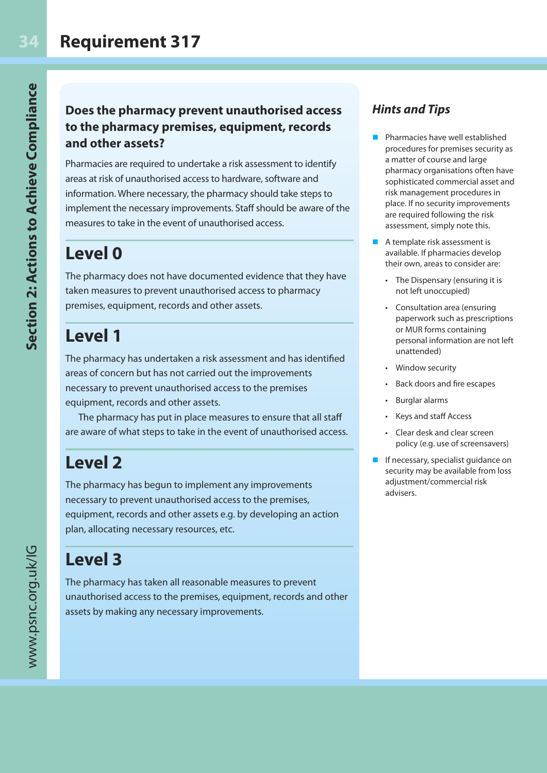### **Does the pharmacy prevent unauthorised access to the pharmacy premises, equipment, records and other assets?**

Pharmacies are required to undertake a risk assessment to identify areas at risk of unauthorised access to hardware, software and information. Where necessary, the pharmacy should take steps to implement the necessary improvements. Staff should be aware of the measures to take in the event of unauthorised access.

## **Level 0**

The pharmacy does not have documented evidence that they have taken measures to prevent unauthorised access to pharmacy premises, equipment, records and other assets.

### **Level 1**

The pharmacy has undertaken a risk assessment and has identified areas of concern but has not carried out the improvements necessary to prevent unauthorised access to the premises equipment, records and other assets.

The pharmacy has put in place measures to ensure that all staff are aware of what steps to take in the event of unauthorised access.

### **Level 2**

The pharmacy has begun to implement any improvements necessary to prevent unauthorised access to the premises, equipment, records and other assets e.g. by developing an action plan, allocating necessary resources, etc.

## **Level 3**

The pharmacy has taken all reasonable measures to prevent unauthorised access to the premises, equipment, records and other assets by making any necessary improvements.

### *Hints and Tips*

- n Pharmacies have well established procedures for premises security as a matter of course and large pharmacy organisations often have sophisticated commercial asset and risk management procedures in place. If no security improvements are required following the risk assessment, simply note this.
- $\blacksquare$  A template risk assessment is available. If pharmacies develop their own, areas to consider are:
	- The Dispensary (ensuring it is not left unoccupied)
	- Consultation area (ensuring paperwork such as prescriptions or MUR forms containing personal information are not left unattended)
	- Window security
	- Back doors and fire escapes
	- Burglar alarms
	- Keys and staff Access
	- Clear desk and clear screen policy (e.g. use of screensavers)
- $\blacksquare$  If necessary, specialist guidance on security may be available from loss adjustment/commercial risk advisers.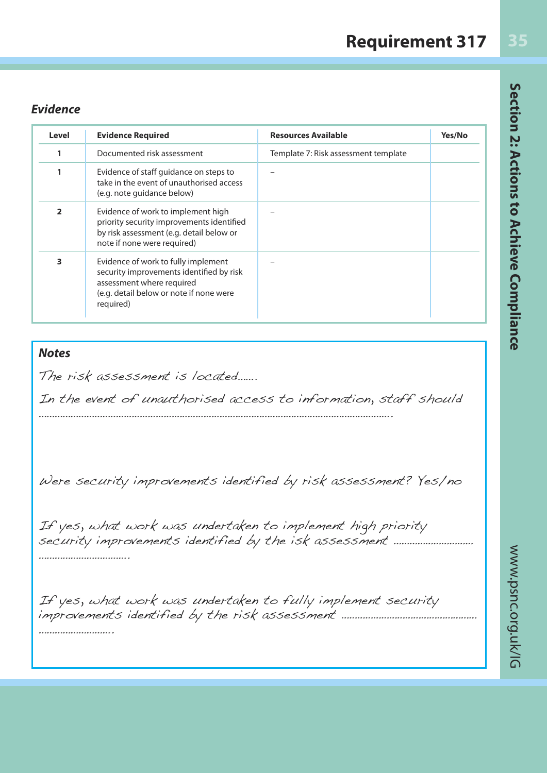### *Evidence*

| Level          | <b>Evidence Required</b>                                                                                                                                             | <b>Resources Available</b>           | Yes/No |
|----------------|----------------------------------------------------------------------------------------------------------------------------------------------------------------------|--------------------------------------|--------|
| 1              | Documented risk assessment                                                                                                                                           | Template 7: Risk assessment template |        |
| 1              | Evidence of staff guidance on steps to<br>take in the event of unauthorised access<br>(e.g. note guidance below)                                                     |                                      |        |
| $\overline{2}$ | Evidence of work to implement high<br>priority security improvements identified<br>by risk assessment (e.g. detail below or<br>note if none were required)           |                                      |        |
| 3              | Evidence of work to fully implement<br>security improvements identified by risk<br>assessment where required<br>(e.g. detail below or note if none were<br>required) |                                      |        |

#### *Notes*

The risk assessment is located…….

In the event of unauthorised access to information, staff should …………………………………………………………………………………………………………………….

Were security improvements identified by risk assessment? Yes/no

If yes, what work was undertaken to implement high priority security improvements identified by the isk assessment ………………………… …………………………………

If yes, what work was undertaken to fully implement security improvements identified by the risk assessment …………………………………………… ………………………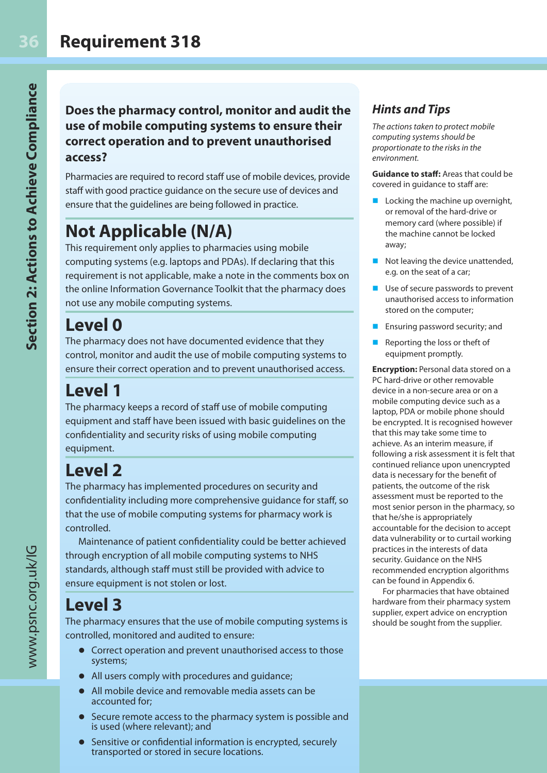#### **Does the pharmacy control, monitor and audit the use of mobile computing systems to ensure their correct operation and to prevent unauthorised access?**

Pharmacies are required to record staff use of mobile devices, provide staff with good practice guidance on the secure use of devices and ensure that the guidelines are being followed in practice.

## **Not Applicable (N/A)**

This requirement only applies to pharmacies using mobile computing systems (e.g. laptops and PDAs). If declaring that this requirement is not applicable, make a note in the comments box on the online Information Governance Toolkit that the pharmacy does not use any mobile computing systems.

### **Level 0**

The pharmacy does not have documented evidence that they control, monitor and audit the use of mobile computing systems to ensure their correct operation and to prevent unauthorised access.

## **Level 1**

The pharmacy keeps a record of staff use of mobile computing equipment and staff have been issued with basic guidelines on the confidentiality and security risks of using mobile computing equipment.

## **Level 2**

The pharmacy has implemented procedures on security and confidentiality including more comprehensive guidance for staff, so that the use of mobile computing systems for pharmacy work is controlled.

Maintenance of patient confidentiality could be better achieved through encryption of all mobile computing systems to NHS standards, although staff must still be provided with advice to ensure equipment is not stolen or lost.

## **Level 3**

The pharmacy ensures that the use of mobile computing systems is controlled, monitored and audited to ensure:

- Correct operation and prevent unauthorised access to those systems;
- All users comply with procedures and guidance;
- l All mobile device and removable media assets can be accounted for;
- **•** Secure remote access to the pharmacy system is possible and is used (where relevant); and
- Sensitive or confidential information is encrypted, securely transported or stored in secure locations.

### *Hints and Tips*

The actions taken to protect mobile computing systems should be proportionate to the risks in the environment.

**Guidance to staff:** Areas that could be covered in guidance to staff are:

- $\blacksquare$  Locking the machine up overnight, or removal of the hard-drive or memory card (where possible) if the machine cannot be locked away;
- Not leaving the device unattended, e.g. on the seat of a car;
- Use of secure passwords to prevent unauthorised access to information stored on the computer;
- Ensuring password security; and
- Reporting the loss or theft of equipment promptly.

**Encryption:** Personal data stored on a PC hard-drive or other removable device in a non-secure area or on a mobile computing device such as a laptop, PDA or mobile phone should be encrypted. It is recognised however that this may take some time to achieve. As an interim measure, if following a risk assessment it is felt that continued reliance upon unencrypted data is necessary for the benefit of patients, the outcome of the risk assessment must be reported to the most senior person in the pharmacy, so that he/she is appropriately accountable for the decision to accept data vulnerability or to curtail working practices in the interests of data security. Guidance on the NHS recommended encryption algorithms can be found in Appendix 6.

For pharmacies that have obtained hardware from their pharmacy system supplier, expert advice on encryption should be sought from the supplier.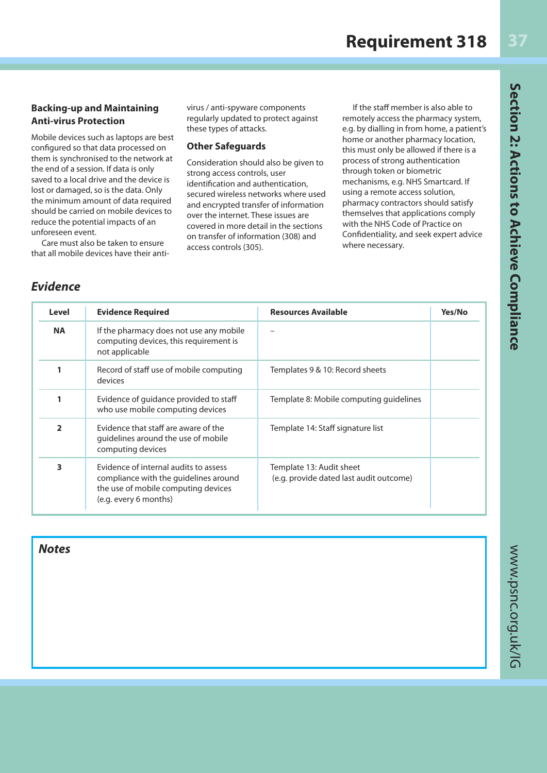**Backing-up and Maintaining Anti-virus Protection**

Mobile devices such as laptops are best configured so that data processed on them is synchronised to the network at the end of a session. If data is only saved to a local drive and the device is lost or damaged, so is the data. Only the minimum amount of data required should be carried on mobile devices to reduce the potential impacts of an unforeseen event.

Care must also be taken to ensure that all mobile devices have their antivirus / anti-spyware components regularly updated to protect against these types of attacks.

#### **Other Safeguards**

Consideration should also be given to strong access controls, user identification and authentication, secured wireless networks where used and encrypted transfer of information over the internet. These issues are covered in more detail in the sections on transfer of information (308) and access controls (305).

If the staff member is also able to remotely access the pharmacy system, e.g. by dialling in from home, a patient's home or another pharmacy location, this must only be allowed if there is a process of strong authentication through token or biometric mechanisms, e.g. NHS Smartcard. If using a remote access solution, pharmacy contractors should satisfy themselves that applications comply with the NHS Code of Practice on Confidentiality, and seek expert advice where necessary.

### *Evidence*

| Level          | <b>Evidence Required</b>                                                                                                                       | <b>Resources Available</b>                                          | Yes/No |
|----------------|------------------------------------------------------------------------------------------------------------------------------------------------|---------------------------------------------------------------------|--------|
| <b>NA</b>      | If the pharmacy does not use any mobile<br>computing devices, this requirement is<br>not applicable                                            |                                                                     |        |
| 1              | Record of staff use of mobile computing<br>devices                                                                                             | Templates 9 & 10: Record sheets                                     |        |
| 1              | Evidence of guidance provided to staff<br>who use mobile computing devices                                                                     | Template 8: Mobile computing quidelines                             |        |
| $\overline{2}$ | Evidence that staff are aware of the<br>guidelines around the use of mobile<br>computing devices                                               | Template 14: Staff signature list                                   |        |
| 3              | Evidence of internal audits to assess<br>compliance with the guidelines around<br>the use of mobile computing devices<br>(e.g. every 6 months) | Template 13: Audit sheet<br>(e.g. provide dated last audit outcome) |        |

*Notes*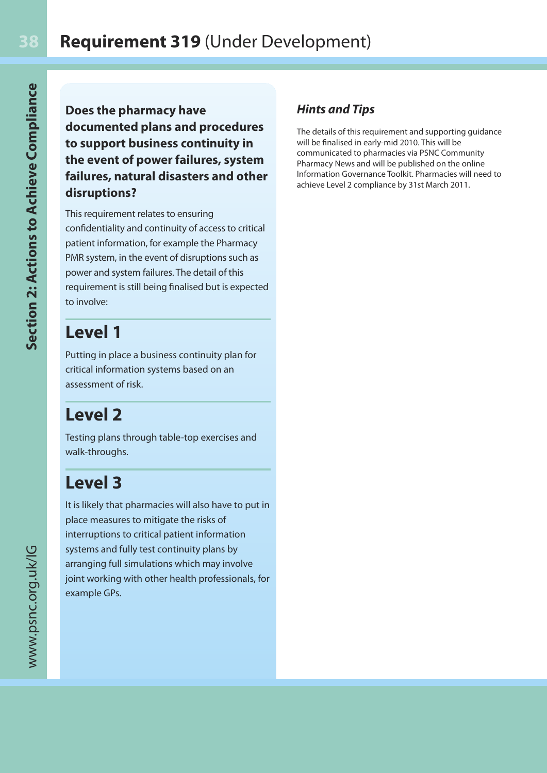**Does the pharmacy have documented plans and procedures to support business continuity in the event of power failures, system failures, natural disasters and other disruptions?**

This requirement relates to ensuring confidentiality and continuity of access to critical patient information, for example the Pharmacy PMR system, in the event of disruptions such as power and system failures. The detail of this requirement is still being finalised but is expected to involve:

### **Level 1**

Putting in place a business continuity plan for critical information systems based on an assessment of risk.

## **Level 2**

Testing plans through table-top exercises and walk-throughs.

## **Level 3**

It is likely that pharmacies will also have to put in place measures to mitigate the risks of interruptions to critical patient information systems and fully test continuity plans by arranging full simulations which may involve joint working with other health professionals, for example GPs.

### *Hints and Tips*

The details of this requirement and supporting guidance will be finalised in early-mid 2010. This will be communicated to pharmacies via PSNC Community Pharmacy News and will be published on the online Information Governance Toolkit. Pharmacies will need to achieve Level 2 compliance by 31st March 2011.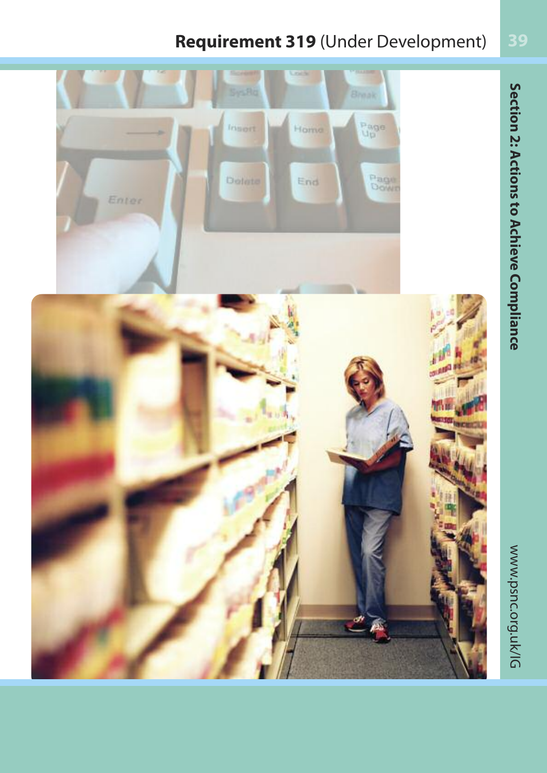### **Requirement 319** (Under Development)

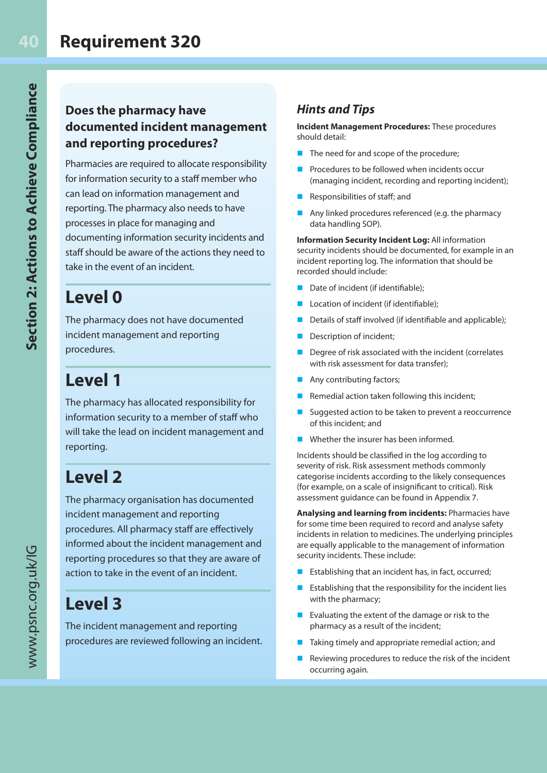### **Does the pharmacy have documented incident management and reporting procedures?**

Pharmacies are required to allocate responsibility for information security to a staff member who can lead on information management and reporting. The pharmacy also needs to have processes in place for managing and documenting information security incidents and staff should be aware of the actions they need to take in the event of an incident.

### **Level 0**

The pharmacy does not have documented incident management and reporting procedures.

## **Level 1**

The pharmacy has allocated responsibility for information security to a member of staff who will take the lead on incident management and reporting.

## **Level 2**

The pharmacy organisation has documented incident management and reporting procedures. All pharmacy staff are effectively informed about the incident management and reporting procedures so that they are aware of action to take in the event of an incident.

### **Level 3**

The incident management and reporting procedures are reviewed following an incident.

### *Hints and Tips*

**Incident Management Procedures:** These procedures should detail:

- $\blacksquare$  The need for and scope of the procedure;
- Procedures to be followed when incidents occur (managing incident, recording and reporting incident);
- Responsibilities of staff; and
- Any linked procedures referenced (e.g. the pharmacy data handling SOP).

**Information Security Incident Log:** All information security incidents should be documented, for example in an incident reporting log. The information that should be recorded should include:

- Date of incident (if identifiable);
- Location of incident (if identifiable);
- Details of staff involved (if identifiable and applicable);
- Description of incident;
- Degree of risk associated with the incident (correlates with risk assessment for data transfer);
- Any contributing factors;
- Remedial action taken following this incident;
- Suggested action to be taken to prevent a reoccurrence of this incident; and
- $\blacksquare$  Whether the insurer has been informed.

Incidents should be classified in the log according to severity of risk. Risk assessment methods commonly categorise incidents according to the likely consequences (for example, on a scale of insignificant to critical). Risk assessment guidance can be found in Appendix 7.

**Analysing and learning from incidents:** Pharmacies have for some time been required to record and analyse safety incidents in relation to medicines. The underlying principles are equally applicable to the management of information security incidents. These include:

- Establishing that an incident has, in fact, occurred;
- Establishing that the responsibility for the incident lies with the pharmacy;
- **n** Evaluating the extent of the damage or risk to the pharmacy as a result of the incident;
- $\blacksquare$  Taking timely and appropriate remedial action; and
- $\blacksquare$  Reviewing procedures to reduce the risk of the incident occurring again.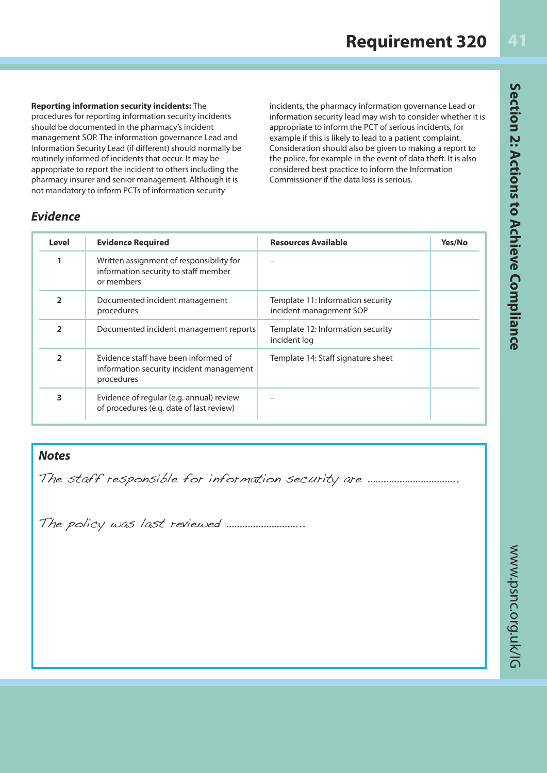#### **Reporting information security incidents:** The

procedures for reporting information security incidents should be documented in the pharmacy's incident management SOP. The information governance Lead and Information Security Lead (if different) should normally be routinely informed of incidents that occur. It may be appropriate to report the incident to others including the pharmacy insurer and senior management. Although it is not mandatory to inform PCTs of information security

incidents, the pharmacy information governance Lead or information security lead may wish to consider whether it is appropriate to inform the PCT of serious incidents, for example if this is likely to lead to a patient complaint. Consideration should also be given to making a report to the police, for example in the event of data theft. It is also considered best practice to inform the Information Commissioner if the data loss is serious.

#### *Evidence*

| Level          | <b>Evidence Required</b>                                                                       | <b>Resources Available</b>                                   | Yes/No |
|----------------|------------------------------------------------------------------------------------------------|--------------------------------------------------------------|--------|
|                | Written assignment of responsibility for<br>information security to staff member<br>or members |                                                              |        |
| $\overline{2}$ | Documented incident management<br>procedures                                                   | Template 11: Information security<br>incident management SOP |        |
| $\overline{2}$ | Documented incident management reports                                                         | Template 12: Information security<br>incident log            |        |
| $\overline{2}$ | Evidence staff have been informed of<br>information security incident management<br>procedures | Template 14: Staff signature sheet                           |        |
| 3              | Evidence of regular (e.g. annual) review<br>of procedures (e.g. date of last review)           |                                                              |        |

#### *Notes*

The staff responsible for information security are …………………………….

The policy was last reviewed ………………………..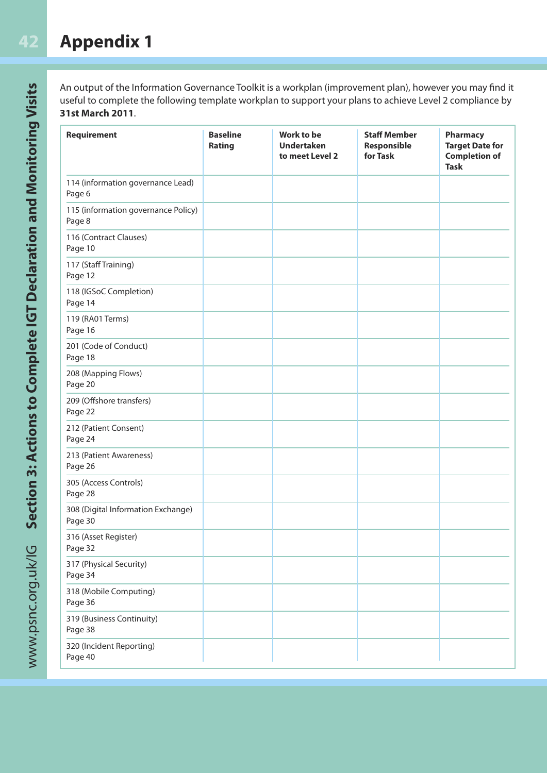**42**

An output of the Information Governance Toolkit is a workplan (improvement plan), however you may find it useful to complete the following template workplan to support your plans to achieve Level 2 compliance by **31st March 2011**.

| <b>Requirement</b>                            | <b>Baseline</b><br>Rating | Work to be<br><b>Undertaken</b><br>to meet Level 2 | <b>Staff Member</b><br>Responsible<br>for Task | <b>Pharmacy</b><br><b>Target Date for</b><br><b>Completion of</b><br><b>Task</b> |
|-----------------------------------------------|---------------------------|----------------------------------------------------|------------------------------------------------|----------------------------------------------------------------------------------|
| 114 (information governance Lead)<br>Page 6   |                           |                                                    |                                                |                                                                                  |
| 115 (information governance Policy)<br>Page 8 |                           |                                                    |                                                |                                                                                  |
| 116 (Contract Clauses)<br>Page 10             |                           |                                                    |                                                |                                                                                  |
| 117 (Staff Training)<br>Page 12               |                           |                                                    |                                                |                                                                                  |
| 118 (IGSoC Completion)<br>Page 14             |                           |                                                    |                                                |                                                                                  |
| 119 (RA01 Terms)<br>Page 16                   |                           |                                                    |                                                |                                                                                  |
| 201 (Code of Conduct)<br>Page 18              |                           |                                                    |                                                |                                                                                  |
| 208 (Mapping Flows)<br>Page 20                |                           |                                                    |                                                |                                                                                  |
| 209 (Offshore transfers)<br>Page 22           |                           |                                                    |                                                |                                                                                  |
| 212 (Patient Consent)<br>Page 24              |                           |                                                    |                                                |                                                                                  |
| 213 (Patient Awareness)<br>Page 26            |                           |                                                    |                                                |                                                                                  |
| 305 (Access Controls)<br>Page 28              |                           |                                                    |                                                |                                                                                  |
| 308 (Digital Information Exchange)<br>Page 30 |                           |                                                    |                                                |                                                                                  |
| 316 (Asset Register)<br>Page 32               |                           |                                                    |                                                |                                                                                  |
| 317 (Physical Security)<br>Page 34            |                           |                                                    |                                                |                                                                                  |
| 318 (Mobile Computing)<br>Page 36             |                           |                                                    |                                                |                                                                                  |
| 319 (Business Continuity)<br>Page 38          |                           |                                                    |                                                |                                                                                  |
| 320 (Incident Reporting)<br>Page 40           |                           |                                                    |                                                |                                                                                  |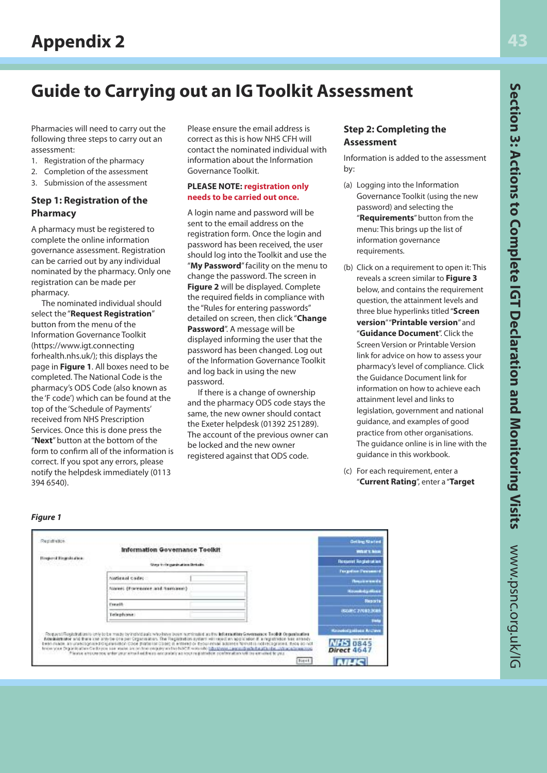## **Guide to Carrying out an IG Toolkit Assessment**

Pharmacies will need to carry out the following three steps to carry out an assessment:

- 1. Registration of the pharmacy
- 2. Completion of the assessment
- 3. Submission of the assessment

#### **Step 1: Registration of the Pharmacy**

A pharmacy must be registered to complete the online information governance assessment. Registration can be carried out by any individual nominated by the pharmacy. Only one registration can be made per pharmacy.

The nominated individual should select the "**Request Registration**" button from the menu of the Information Governance Toolkit (https://www.igt.connecting forhealth.nhs.uk/); this displays the page in **Figure 1**. All boxes need to be completed. The National Code is the pharmacy's ODS Code (also known as the 'F code') which can be found at the top of the 'Schedule of Payments' received from NHS Prescription Services. Once this is done press the "**Next**" button at the bottom of the form to confirm all of the information is correct. If you spot any errors, please notify the helpdesk immediately (0113 394 6540).

Please ensure the email address is correct as this is how NHS CFH will contact the nominated individual with information about the Information Governance Toolkit.

#### **PLEASE NOTE: registration only needs to be carried out once.**

A login name and password will be sent to the email address on the registration form. Once the login and password has been received, the user should log into the Toolkit and use the "**My Password**" facility on the menu to change the password. The screen in **Figure 2** will be displayed. Complete the required fields in compliance with the "Rules for entering passwords" detailed on screen, then click "**Change Password**". A message will be displayed informing the user that the password has been changed. Log out of the Information Governance Toolkit and log back in using the new password.

If there is a change of ownership and the pharmacy ODS code stays the same, the new owner should contact the Exeter helpdesk (01392 251289). The account of the previous owner can be locked and the new owner registered against that ODS code.

#### **Step 2: Completing the Assessment**

Information is added to the assessment by:

- (a) Logging into the Information Governance Toolkit (using the new password) and selecting the "**Requirements**" button from the menu: This brings up the list of information governance requirements.
- (b) Click on a requirement to open it: This reveals a screen similar to **Figure 3** below, and contains the requirement question, the attainment levels and three blue hyperlinks titled "**Screen version**" "**Printable version**" and "**Guidance Document**". Click the Screen Version or Printable Version link for advice on how to assess your pharmacy's level of compliance. Click the Guidance Document link for information on how to achieve each attainment level and links to legislation, government and national guidance, and examples of good practice from other organisations. The guidance online is in line with the guidance in this workbook.
- (c) For each requirement, enter a "**Current Rating**", enter a "**Target**

#### *Figure 1*

|                       | Information Governance Toolkit                                                                                                                                                                                                                                                                                                                                                                                                         |                                                                                                                | <b>WORK'S BOOK</b>                                       |
|-----------------------|----------------------------------------------------------------------------------------------------------------------------------------------------------------------------------------------------------------------------------------------------------------------------------------------------------------------------------------------------------------------------------------------------------------------------------------|----------------------------------------------------------------------------------------------------------------|----------------------------------------------------------|
| Respond Tograh after: | Shep in Originals at less Details.                                                                                                                                                                                                                                                                                                                                                                                                     |                                                                                                                | <b>Respont Registration</b>                              |
|                       |                                                                                                                                                                                                                                                                                                                                                                                                                                        |                                                                                                                | <b>Torgetten Devanced</b>                                |
|                       | National code:                                                                                                                                                                                                                                                                                                                                                                                                                         |                                                                                                                | <b><i><u><i><u><b>Denvis munitis</b></u></i></u></i></b> |
|                       | Attores: (Formulater.and.humanon)                                                                                                                                                                                                                                                                                                                                                                                                      |                                                                                                                | <b>HavedolasHisa</b>                                     |
|                       | Freeth                                                                                                                                                                                                                                                                                                                                                                                                                                 |                                                                                                                | Reports                                                  |
|                       | Telephone:                                                                                                                                                                                                                                                                                                                                                                                                                             |                                                                                                                | (SOURC 27082,2085                                        |
|                       |                                                                                                                                                                                                                                                                                                                                                                                                                                        |                                                                                                                |                                                          |
|                       | Porquest Restabilitates of this between made by including who have been nothingled as the information Governance Teolog Organization                                                                                                                                                                                                                                                                                                   |                                                                                                                | <b>RooseoCanibas Archeve</b>                             |
|                       | Konikers and me there can any de one per Organisation. The Registration system will reject an application it is registration from an any adv<br>been naam an unebognsed digulariation coor that six does in entered or typur enabladores formatia notreceprises type ao not<br>In the your Digital is after Cedar you saw mater are not find only one find M-R-CP with rabi Educations at annough whether after children in the annual | Please encourage antervisor ensel editions excussive as source patrelox conferenties will be excelled to year. | <b>NHS</b> 0845<br>Direct 4647                           |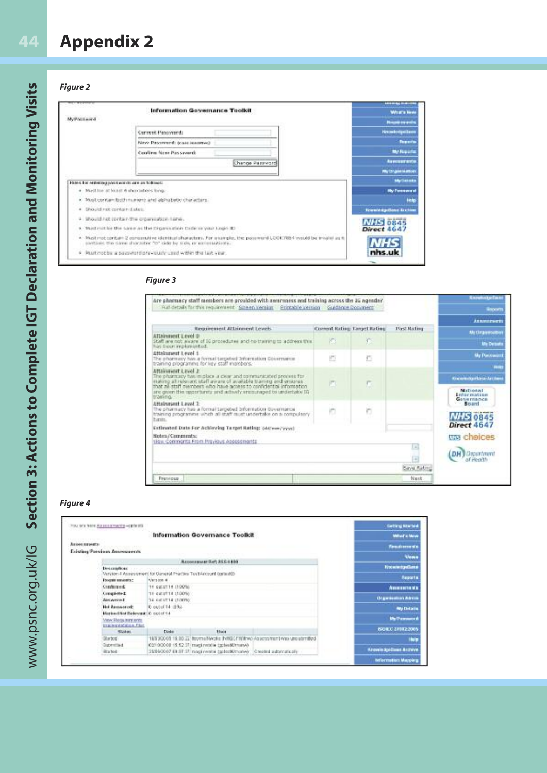## **Appendix 2**

#### *Figure 2*

**44**

|                                                                 | <b>Information Governance Toolkit</b>                                                                                                                                             | .<br><b>Wrat's New</b>       |
|-----------------------------------------------------------------|-----------------------------------------------------------------------------------------------------------------------------------------------------------------------------------|------------------------------|
| <b>My Postaverd</b>                                             |                                                                                                                                                                                   | <b>Nouse counts</b>          |
|                                                                 | Current Password:                                                                                                                                                                 | Necesiologiciam              |
|                                                                 | New Passwerf: train insurers)                                                                                                                                                     | <b><i><u>Departs</u></i></b> |
|                                                                 | Confirm New Passworth                                                                                                                                                             | My Florada                   |
|                                                                 | Change Password                                                                                                                                                                   | Asecuratio                   |
|                                                                 |                                                                                                                                                                                   | <b>My triginisiation</b>     |
|                                                                 | Fallent for restering paint worlds are an followed.                                                                                                                               | <b>My fistake</b>            |
|                                                                 | · Middle at hunt 6 shandards long-                                                                                                                                                | <b>High Permanent of</b>     |
|                                                                 | x. Must contain both numerizared abinabetic characters.                                                                                                                           | <b>Hote</b>                  |
| $\sim$                                                          | Dhould not contain dates.                                                                                                                                                         | <b>Krawing-Base Breken</b>   |
| ۰                                                               | Should hot contain the growwiston hang.                                                                                                                                           | <b>NHS 0845</b>              |
| Must not be the same as the Digamorbin Critic in your Legis 33. | Direct 4647                                                                                                                                                                       |                              |
|                                                                 | 4. Musk rest contain 2 companies identical sharacters. For an imply, the passmend LOOK/RB4 would be impair as it<br>partials the same sharaster "o" cide by subs or consessionly. |                              |
|                                                                 | * Must not be a paigward previously used within the last year.                                                                                                                    | nhs.uk                       |

#### *Figure 3*

| Are pharmacy staff members are provided with assuresses and training across the 3G agenda?                                                                                                                                                                                                               |             |                                     |                     | <b>KnowledgeFax</b>                                         |  |
|----------------------------------------------------------------------------------------------------------------------------------------------------------------------------------------------------------------------------------------------------------------------------------------------------------|-------------|-------------------------------------|---------------------|-------------------------------------------------------------|--|
| Full-details for this requirement. Screen Version Frintable version Guidance Document                                                                                                                                                                                                                    |             |                                     |                     | <b>BROOM</b>                                                |  |
|                                                                                                                                                                                                                                                                                                          |             |                                     |                     | <b>ALMARTHER</b>                                            |  |
| <b>Requirement Attainment Levels</b>                                                                                                                                                                                                                                                                     |             | <b>Corrent Rating Target Rating</b> | <b>Pirst Rating</b> | My Drawwodben                                               |  |
| Attainment Level @<br>ariff are not alware of 50 procedures and no training to address this.<br>has been motimented.                                                                                                                                                                                     | IO.         | o                                   |                     | <b>Me Details</b>                                           |  |
| Attakuneut Level 1<br>The pharmacy has a formal targeted Information Governance<br>training programms for key staff morebors.                                                                                                                                                                            | 固           | 凸                                   |                     | <b>My Punzowan</b><br><b>Hote</b>                           |  |
| Attainment ( evel 3)<br>The pharmacy has in place a clear and communicated process for<br>carcere bre growth siddiary to snow that power to grown<br>notesmotel lettebres of assess such ofte tradress fists list list<br>are given the opportunity and achiefy erequiraged to undertake 10<br>training. | m           | C.                                  |                     | <b>Knowledge/System Art East</b><br>National<br>Endarmacien |  |
| Attainment Level 3<br>The pharmacy has a formal targebal beformation dovernance.<br>yoniuginos e no elettetus taust facti lle dadu aminetorio princip<br>hanin.                                                                                                                                          |             | ö                                   |                     | Governance<br>Board<br><b>NHS 0845</b>                      |  |
| Extimated Date For Achieving Target Rating: (44/ww/yoys)                                                                                                                                                                                                                                                 | Direct 4647 |                                     |                     |                                                             |  |
| Notes/Comments:<br>View Contingrita From Previous Assessments                                                                                                                                                                                                                                            |             |                                     |                     | this cheices                                                |  |
|                                                                                                                                                                                                                                                                                                          |             |                                     | шI<br>m             | <b>DH</b> Drophhent<br>of Health                            |  |
|                                                                                                                                                                                                                                                                                                          |             |                                     | <b>Bave Rating</b>  |                                                             |  |
| Previous                                                                                                                                                                                                                                                                                                 |             |                                     | Nant                |                                                             |  |

#### *Figure 4*

| You are here Azizonimetry-celests                  |                                                                    |                                                                        |                                                                                  | <b>Exting Started</b>             |
|----------------------------------------------------|--------------------------------------------------------------------|------------------------------------------------------------------------|----------------------------------------------------------------------------------|-----------------------------------|
|                                                    |                                                                    | Information Governance Toolkit                                         |                                                                                  | <b>What's New</b>                 |
| Акономическ                                        |                                                                    |                                                                        |                                                                                  | Tondomeda                         |
| Existing Previous Associations                     |                                                                    |                                                                        |                                                                                  |                                   |
|                                                    |                                                                    | <b>RESOLUTION SUCH SECURE</b>                                          |                                                                                  | <b>Vens</b>                       |
|                                                    | Designations                                                       |                                                                        |                                                                                  | <b><i>Virginitarians</i></b>      |
|                                                    | Version 4 Assessment for General Phactics Text Ancount (calls (40) |                                                                        |                                                                                  | Reports                           |
| <b>Forecast resultation</b>                        | Version 4                                                          |                                                                        |                                                                                  |                                   |
| Confinencia                                        | 14 pacents (100%)                                                  |                                                                        |                                                                                  | <b>ABSESSED VA</b>                |
| Completed                                          | 11-4403714-100%(v)                                                 |                                                                        |                                                                                  |                                   |
| <b>Arrivered</b>                                   | 14 EACAT14 (TORPRO)                                                |                                                                        |                                                                                  | <b>Gracement Admin</b>            |
| <b>Hot Autovasco</b> R                             | 0.0010 T4 (E%)                                                     |                                                                        |                                                                                  | <b>My Details</b>                 |
|                                                    | Marked Not Relevant: 6 potof 14                                    |                                                                        |                                                                                  |                                   |
| View Regulator anto<br><b>Internet Malace Flat</b> |                                                                    |                                                                        |                                                                                  | <b>My Parment</b>                 |
| Stoket.                                            | <b>Code</b>                                                        | Hune                                                                   |                                                                                  | 600 B.C. 21082-2005               |
| Started.                                           |                                                                    |                                                                        | 18/83/2008 18:00:22 Bootna Neglia: INNBCF16/Itwo-Associatisti visis una atmitted | m                                 |
| Dubmitted                                          |                                                                    | 02/10/2008 15:52:37 traginwalle (gcles@htursA)                         |                                                                                  |                                   |
| <b>Range</b>                                       |                                                                    | 19/89/0007 EB ST-ST mispineerini (gatestilimume) Crested automatically |                                                                                  | <b>Region Specialized Accrove</b> |
|                                                    |                                                                    |                                                                        |                                                                                  | Information Mapping               |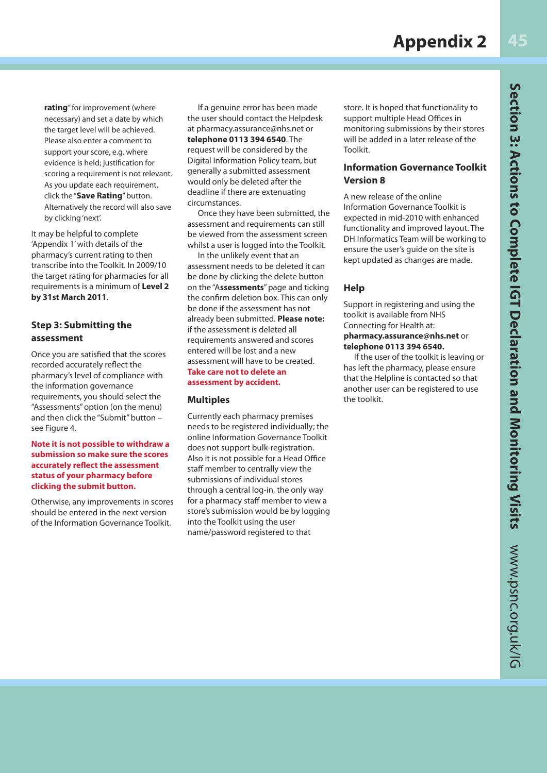**rating**" for improvement (where necessary) and set a date by which the target level will be achieved. Please also enter a comment to support your score, e.g. where evidence is held; justification for scoring a requirement is not relevant. As you update each requirement, click the "**Save Rating**" button. Alternatively the record will also save by clicking 'next'.

It may be helpful to complete 'Appendix 1' with details of the pharmacy's current rating to then transcribe into the Toolkit. In 2009/10 the target rating for pharmacies for all requirements is a minimum of **Level 2 by 31st March 2011**.

#### **Step 3: Submitting the assessment**

Once you are satisfied that the scores recorded accurately reflect the pharmacy's level of compliance with the information governance requirements, you should select the "Assessments" option (on the menu) and then click the "Submit" button – see Figure 4.

#### **Note it is not possible to withdraw a submission so make sure the scores accurately reflect the assessment status of your pharmacy before clicking the submit button.**

Otherwise, any improvements in scores should be entered in the next version of the Information Governance Toolkit.

If a genuine error has been made the user should contact the Helpdesk at pharmacy.assurance@nhs.net or **telephone 0113 394 6540**. The request will be considered by the Digital Information Policy team, but generally a submitted assessment would only be deleted after the deadline if there are extenuating circumstances.

Once they have been submitted, the assessment and requirements can still be viewed from the assessment screen whilst a user is logged into the Toolkit.

In the unlikely event that an assessment needs to be deleted it can be done by clicking the delete button on the "A**ssessments**" page and ticking the confirm deletion box. This can only be done if the assessment has not already been submitted. **Please note:** if the assessment is deleted all requirements answered and scores entered will be lost and a new assessment will have to be created. **Take care not to delete an assessment by accident.** 

#### **Multiples**

Currently each pharmacy premises needs to be registered individually; the online Information Governance Toolkit does not support bulk-registration. Also it is not possible for a Head Office staff member to centrally view the submissions of individual stores through a central log-in, the only way for a pharmacy staff member to view a store's submission would be by logging into the Toolkit using the user name/password registered to that

store. It is hoped that functionality to support multiple Head Offices in monitoring submissions by their stores will be added in a later release of the Toolkit.

#### **Information Governance Toolkit Version 8**

A new release of the online Information Governance Toolkit is expected in mid-2010 with enhanced functionality and improved layout. The DH Informatics Team will be working to ensure the user's guide on the site is kept updated as changes are made.

#### **Help**

Support in registering and using the toolkit is available from NHS Connecting for Health at: **pharmacy.assurance@nhs.net** or **telephone 0113 394 6540.**

If the user of the toolkit is leaving or has left the pharmacy, please ensure that the Helpline is contacted so that another user can be registered to use the toolkit.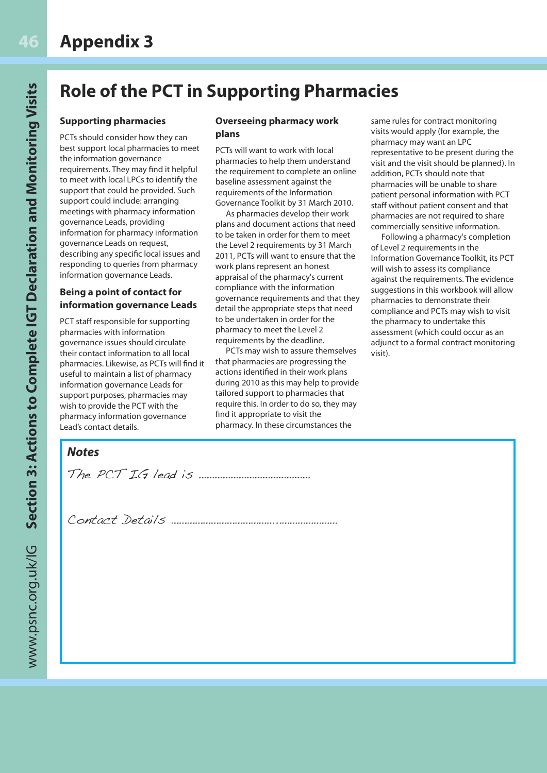### **Role of the PCT in Supporting Pharmacies**

#### **Supporting pharmacies**

PCTs should consider how they can best support local pharmacies to meet the information governance requirements. They may find it helpful to meet with local LPCs to identify the support that could be provided. Such support could include: arranging meetings with pharmacy information governance Leads, providing information for pharmacy information governance Leads on request, describing any specific local issues and responding to queries from pharmacy information governance Leads.

#### **Being a point of contact for information governance Leads**

PCT staff responsible for supporting pharmacies with information governance issues should circulate their contact information to all local pharmacies. Likewise, as PCTs will find it useful to maintain a list of pharmacy information governance Leads for support purposes, pharmacies may wish to provide the PCT with the pharmacy information governance Lead's contact details.

#### **Overseeing pharmacy work plans**

PCTs will want to work with local pharmacies to help them understand the requirement to complete an online baseline assessment against the requirements of the Information Governance Toolkit by 31 March 2010.

As pharmacies develop their work plans and document actions that need to be taken in order for them to meet the Level 2 requirements by 31 March 2011, PCTs will want to ensure that the work plans represent an honest appraisal of the pharmacy's current compliance with the information governance requirements and that they detail the appropriate steps that need to be undertaken in order for the pharmacy to meet the Level 2 requirements by the deadline.

PCTs may wish to assure themselves that pharmacies are progressing the actions identified in their work plans during 2010 as this may help to provide tailored support to pharmacies that require this. In order to do so, they may find it appropriate to visit the pharmacy. In these circumstances the

same rules for contract monitoring visits would apply (for example, the pharmacy may want an LPC representative to be present during the visit and the visit should be planned). In addition, PCTs should note that pharmacies will be unable to share patient personal information with PCT staff without patient consent and that pharmacies are not required to share commercially sensitive information.

Following a pharmacy's completion of Level 2 requirements in the Information Governance Toolkit, its PCT will wish to assess its compliance against the requirements. The evidence suggestions in this workbook will allow pharmacies to demonstrate their compliance and PCTs may wish to visit the pharmacy to undertake this assessment (which could occur as an adjunct to a formal contract monitoring visit).

#### *Notes*

The PCT IG lead is ……………………………………

Contact Details …………………………………..…………………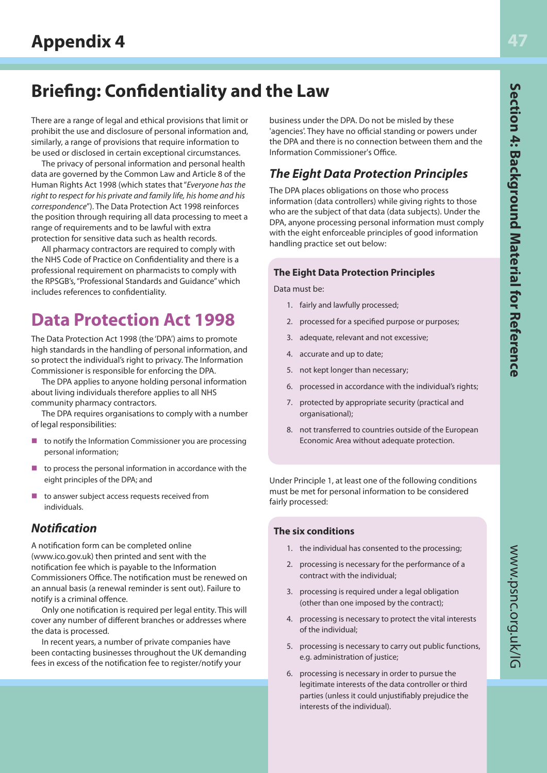### **Briefing: Confidentiality and the Law**

There are a range of legal and ethical provisions that limit or prohibit the use and disclosure of personal information and, similarly, a range of provisions that require information to be used or disclosed in certain exceptional circumstances.

The privacy of personal information and personal health data are governed by the Common Law and Article 8 of the Human Rights Act 1998 (which states that "Everyone has the right to respect for his private and family life, his home and his correspondence"). The Data Protection Act 1998 reinforces the position through requiring all data processing to meet a range of requirements and to be lawful with extra protection for sensitive data such as health records.

All pharmacy contractors are required to comply with the NHS Code of Practice on Confidentiality and there is a professional requirement on pharmacists to comply with the RPSGB's, "Professional Standards and Guidance" which includes references to confidentiality.

### **Data Protection Act 1998**

The Data Protection Act 1998 (the 'DPA') aims to promote high standards in the handling of personal information, and so protect the individual's right to privacy. The Information Commissioner is responsible for enforcing the DPA.

The DPA applies to anyone holding personal information about living individuals therefore applies to all NHS community pharmacy contractors.

The DPA requires organisations to comply with a number of legal responsibilities:

- to notify the Information Commissioner you are processing personal information;
- $\blacksquare$  to process the personal information in accordance with the eight principles of the DPA; and
- $\blacksquare$  to answer subject access requests received from individuals.

#### *Notification*

A notification form can be completed online (www.ico.gov.uk) then printed and sent with the notification fee which is payable to the Information Commissioners Office. The notification must be renewed on an annual basis (a renewal reminder is sent out). Failure to notify is a criminal offence.

Only one notification is required per legal entity. This will cover any number of different branches or addresses where the data is processed.

In recent years, a number of private companies have been contacting businesses throughout the UK demanding fees in excess of the notification fee to register/notify your

business under the DPA. Do not be misled by these 'agencies'. They have no official standing or powers under the DPA and there is no connection between them and the Information Commissioner's Office.

#### *The Eight Data Protection Principles*

The DPA places obligations on those who process information (data controllers) while giving rights to those who are the subject of that data (data subjects). Under the DPA, anyone processing personal information must comply with the eight enforceable principles of good information handling practice set out below:

#### **The Eight Data Protection Principles**

Data must be:

- 1. fairly and lawfully processed;
- 2. processed for a specified purpose or purposes;
- 3. adequate, relevant and not excessive;
- 4. accurate and up to date;
- 5. not kept longer than necessary;
- 6. processed in accordance with the individual's rights;
- 7. protected by appropriate security (practical and organisational);
- 8. not transferred to countries outside of the European Economic Area without adequate protection.

Under Principle 1, at least one of the following conditions must be met for personal information to be considered fairly processed:

#### **The six conditions**

- 1. the individual has consented to the processing;
- 2. processing is necessary for the performance of a contract with the individual;
- 3. processing is required under a legal obligation (other than one imposed by the contract);
- 4. processing is necessary to protect the vital interests of the individual;
- 5. processing is necessary to carry out public functions, e.g. administration of justice;
- 6. processing is necessary in order to pursue the legitimate interests of the data controller or third parties (unless it could unjustifiably prejudice the interests of the individual).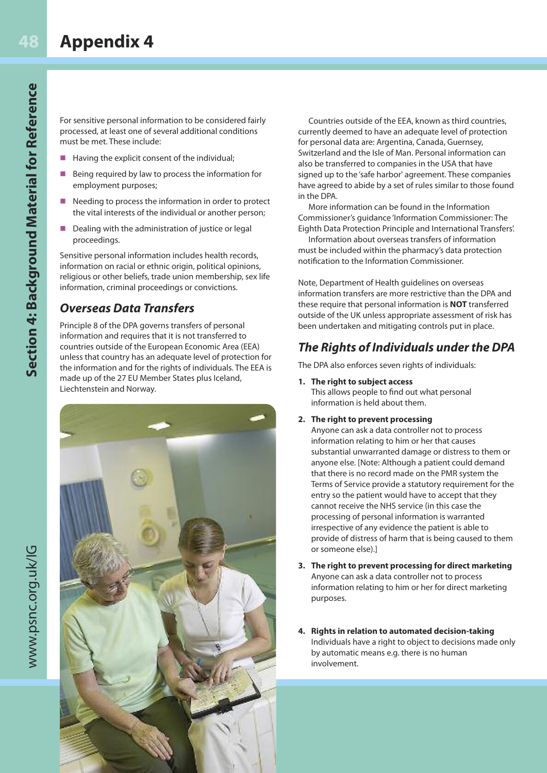For sensitive personal information to be considered fairly processed, at least one of several additional conditions must be met. These include:

- $\blacksquare$  Having the explicit consent of the individual;
- Being required by law to process the information for employment purposes;
- Needing to process the information in order to protect the vital interests of the individual or another person;
- Dealing with the administration of justice or legal proceedings.

Sensitive personal information includes health records, information on racial or ethnic origin, political opinions, religious or other beliefs, trade union membership, sex life information, criminal proceedings or convictions.

#### *Overseas Data Transfers*

Principle 8 of the DPA governs transfers of personal information and requires that it is not transferred to countries outside of the European Economic Area (EEA) unless that country has an adequate level of protection for the information and for the rights of individuals. The EEA is made up of the 27 EU Member States plus Iceland, Liechtenstein and Norway.



Countries outside of the EEA, known as third countries, currently deemed to have an adequate level of protection for personal data are: Argentina, Canada, Guernsey, Switzerland and the Isle of Man. Personal information can also be transferred to companies in the USA that have signed up to the 'safe harbor' agreement. These companies have agreed to abide by a set of rules similar to those found in the DPA.

More information can be found in the Information Commissioner's guidance 'Information Commissioner: The Eighth Data Protection Principle and International Transfers'.

Information about overseas transfers of information must be included within the pharmacy's data protection notification to the Information Commissioner.

Note, Department of Health guidelines on overseas information transfers are more restrictive than the DPA and these require that personal information is **NOT** transferred outside of the UK unless appropriate assessment of risk has been undertaken and mitigating controls put in place.

#### *The Rights of Individuals under the DPA*

The DPA also enforces seven rights of individuals:

**1. The right to subject access**

This allows people to find out what personal information is held about them.

**2. The right to prevent processing**

Anyone can ask a data controller not to process information relating to him or her that causes substantial unwarranted damage or distress to them or anyone else. [Note: Although a patient could demand that there is no record made on the PMR system the Terms of Service provide a statutory requirement for the entry so the patient would have to accept that they cannot receive the NHS service (in this case the processing of personal information is warranted irrespective of any evidence the patient is able to provide of distress of harm that is being caused to them or someone else).]

- **3. The right to prevent processing for direct marketing** Anyone can ask a data controller not to process information relating to him or her for direct marketing purposes.
- **4. Rights in relation to automated decision-taking** Individuals have a right to object to decisions made only by automatic means e.g. there is no human involvement.

www.psnc.org.uk/IG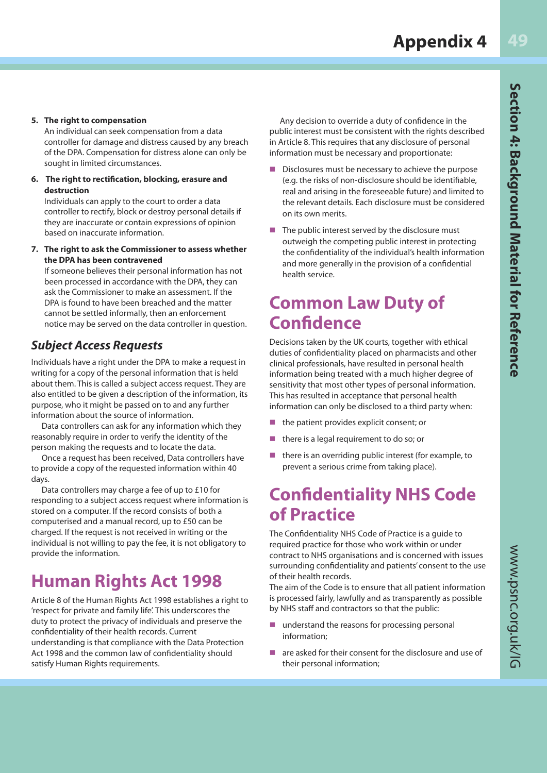#### **5. The right to compensation**

An individual can seek compensation from a data controller for damage and distress caused by any breach of the DPA. Compensation for distress alone can only be sought in limited circumstances.

**6. The right to rectification, blocking, erasure and destruction**

Individuals can apply to the court to order a data controller to rectify, block or destroy personal details if they are inaccurate or contain expressions of opinion based on inaccurate information.

**7. The right to ask the Commissioner to assess whether the DPA has been contravened**

If someone believes their personal information has not been processed in accordance with the DPA, they can ask the Commissioner to make an assessment. If the DPA is found to have been breached and the matter cannot be settled informally, then an enforcement notice may be served on the data controller in question.

#### *Subject Access Requests*

Individuals have a right under the DPA to make a request in writing for a copy of the personal information that is held about them. This is called a subject access request. They are also entitled to be given a description of the information, its purpose, who it might be passed on to and any further information about the source of information.

Data controllers can ask for any information which they reasonably require in order to verify the identity of the person making the requests and to locate the data.

Once a request has been received, Data controllers have to provide a copy of the requested information within 40 days.

Data controllers may charge a fee of up to £10 for responding to a subject access request where information is stored on a computer. If the record consists of both a computerised and a manual record, up to £50 can be charged. If the request is not received in writing or the individual is not willing to pay the fee, it is not obligatory to provide the information.

## **Human Rights Act 1998**

Article 8 of the Human Rights Act 1998 establishes a right to 'respect for private and family life'. This underscores the duty to protect the privacy of individuals and preserve the confidentiality of their health records. Current understanding is that compliance with the Data Protection Act 1998 and the common law of confidentiality should satisfy Human Rights requirements.

Any decision to override a duty of confidence in the public interest must be consistent with the rights described in Article 8. This requires that any disclosure of personal information must be necessary and proportionate:

- $\blacksquare$  Disclosures must be necessary to achieve the purpose (e.g. the risks of non-disclosure should be identifiable, real and arising in the foreseeable future) and limited to the relevant details. Each disclosure must be considered on its own merits.
- $\blacksquare$  The public interest served by the disclosure must outweigh the competing public interest in protecting the confidentiality of the individual's health information and more generally in the provision of a confidential health service.

### **Common Law Duty of Confidence**

Decisions taken by the UK courts, together with ethical duties of confidentiality placed on pharmacists and other clinical professionals, have resulted in personal health information being treated with a much higher degree of sensitivity that most other types of personal information. This has resulted in acceptance that personal health information can only be disclosed to a third party when:

- the patient provides explicit consent; or
- there is a legal requirement to do so; or
- there is an overriding public interest (for example, to prevent a serious crime from taking place).

### **Confidentiality NHS Code of Practice**

The Confidentiality NHS Code of Practice is a guide to required practice for those who work within or under contract to NHS organisations and is concerned with issues surrounding confidentiality and patients' consent to the use of their health records.

The aim of the Code is to ensure that all patient information is processed fairly, lawfully and as transparently as possible by NHS staff and contractors so that the public:

- $\blacksquare$  understand the reasons for processing personal information;
- are asked for their consent for the disclosure and use of their personal information;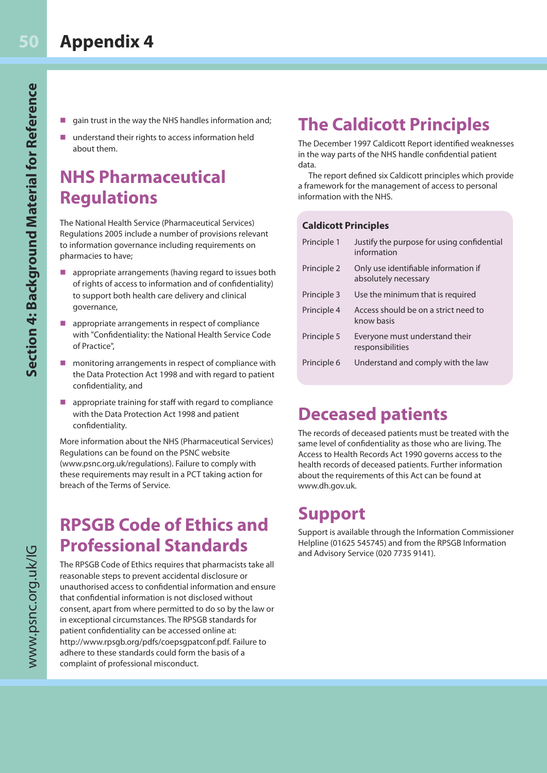- gain trust in the way the NHS handles information and;
- n understand their rights to access information held about them.

### **NHS Pharmaceutical Regulations**

The National Health Service (Pharmaceutical Services) Regulations 2005 include a number of provisions relevant to information governance including requirements on pharmacies to have;

- $\blacksquare$  appropriate arrangements (having regard to issues both of rights of access to information and of confidentiality) to support both health care delivery and clinical governance,
- $\blacksquare$  appropriate arrangements in respect of compliance with "Confidentiality: the National Health Service Code of Practice",
- monitoring arrangements in respect of compliance with the Data Protection Act 1998 and with regard to patient confidentiality, and
- $\blacksquare$  appropriate training for staff with regard to compliance with the Data Protection Act 1998 and patient confidentiality.

More information about the NHS (Pharmaceutical Services) Regulations can be found on the PSNC website (www.psnc.org.uk/regulations). Failure to comply with these requirements may result in a PCT taking action for breach of the Terms of Service.

### **RPSGB Code of Ethics and Professional Standards**

The RPSGB Code of Ethics requires that pharmacists take all reasonable steps to prevent accidental disclosure or unauthorised access to confidential information and ensure that confidential information is not disclosed without consent, apart from where permitted to do so by the law or in exceptional circumstances. The RPSGB standards for patient confidentiality can be accessed online at: http://www.rpsgb.org/pdfs/coepsgpatconf.pdf. Failure to adhere to these standards could form the basis of a complaint of professional misconduct.

## **The Caldicott Principles**

The December 1997 Caldicott Report identified weaknesses in the way parts of the NHS handle confidential patient data.

The report defined six Caldicott principles which provide a framework for the management of access to personal information with the NHS.

#### **Caldicott Principles**

| Principle 1 | Justify the purpose for using confidential<br>information    |
|-------------|--------------------------------------------------------------|
| Principle 2 | Only use identifiable information if<br>absolutely necessary |
| Principle 3 | Use the minimum that is required                             |
| Principle 4 | Access should be on a strict need to<br>know basis           |
| Principle 5 | Everyone must understand their<br>responsibilities           |
| Principle 6 | Understand and comply with the law                           |

### **Deceased patients**

The records of deceased patients must be treated with the same level of confidentiality as those who are living. The Access to Health Records Act 1990 governs access to the health records of deceased patients. Further information about the requirements of this Act can be found at www.dh.gov.uk.

### **Support**

Support is available through the Information Commissioner Helpline (01625 545745) and from the RPSGB Information and Advisory Service (020 7735 9141).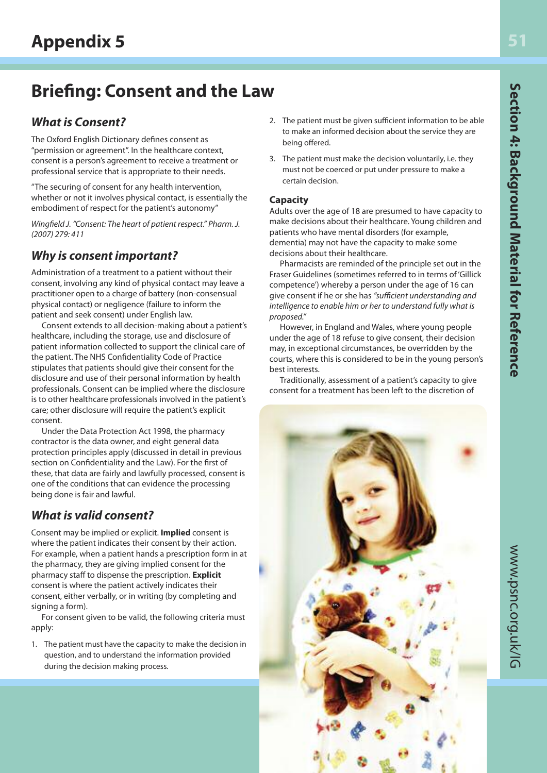### **Briefing: Consent and the Law**

### *What is Consent?*

The Oxford English Dictionary defines consent as "permission or agreement". In the healthcare context, consent is a person's agreement to receive a treatment or professional service that is appropriate to their needs.

"The securing of consent for any health intervention, whether or not it involves physical contact, is essentially the embodiment of respect for the patient's autonomy"

Wingfield J. "Consent: The heart of patient respect." Pharm. J. (2007) 279: 411

### *Why is consent important?*

Administration of a treatment to a patient without their consent, involving any kind of physical contact may leave a practitioner open to a charge of battery (non-consensual physical contact) or negligence (failure to inform the patient and seek consent) under English law.

Consent extends to all decision-making about a patient's healthcare, including the storage, use and disclosure of patient information collected to support the clinical care of the patient. The NHS Confidentiality Code of Practice stipulates that patients should give their consent for the disclosure and use of their personal information by health professionals. Consent can be implied where the disclosure is to other healthcare professionals involved in the patient's care; other disclosure will require the patient's explicit consent.

Under the Data Protection Act 1998, the pharmacy contractor is the data owner, and eight general data protection principles apply (discussed in detail in previous section on Confidentiality and the Law). For the first of these, that data are fairly and lawfully processed, consent is one of the conditions that can evidence the processing being done is fair and lawful.

### *What is valid consent?*

Consent may be implied or explicit. **Implied** consent is where the patient indicates their consent by their action. For example, when a patient hands a prescription form in at the pharmacy, they are giving implied consent for the pharmacy staff to dispense the prescription. **Explicit** consent is where the patient actively indicates their consent, either verbally, or in writing (by completing and signing a form).

For consent given to be valid, the following criteria must apply:

1. The patient must have the capacity to make the decision in question, and to understand the information provided during the decision making process.

- 2. The patient must be given sufficient information to be able to make an informed decision about the service they are being offered.
- 3. The patient must make the decision voluntarily, i.e. they must not be coerced or put under pressure to make a certain decision.

#### **Capacity**

Adults over the age of 18 are presumed to have capacity to make decisions about their healthcare. Young children and patients who have mental disorders (for example, dementia) may not have the capacity to make some decisions about their healthcare.

Pharmacists are reminded of the principle set out in the Fraser Guidelines (sometimes referred to in terms of 'Gillick competence') whereby a person under the age of 16 can give consent if he or she has "sufficient understanding and intelligence to enable him or her to understand fully what is proposed."

However, in England and Wales, where young people under the age of 18 refuse to give consent, their decision may, in exceptional circumstances, be overridden by the courts, where this is considered to be in the young person's best interests.

Traditionally, assessment of a patient's capacity to give consent for a treatment has been left to the discretion of

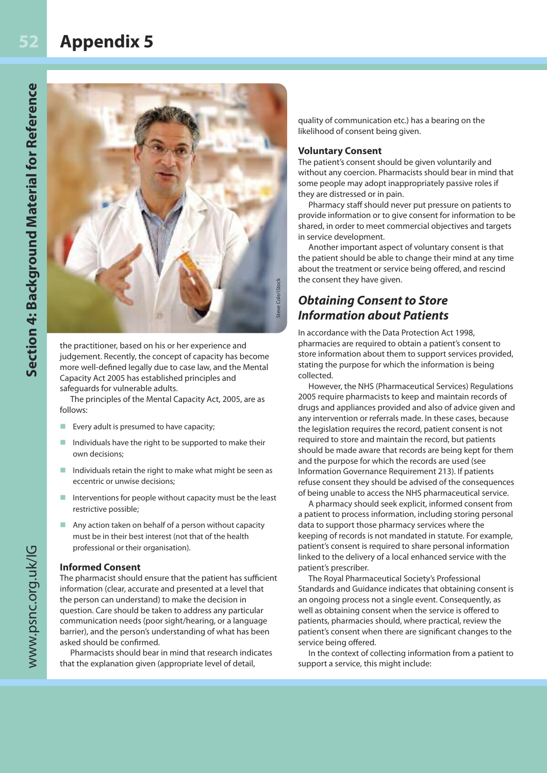### **Appendix 5**



the practitioner, based on his or her experience and judgement. Recently, the concept of capacity has become more well-defined legally due to case law, and the Mental Capacity Act 2005 has established principles and safeguards for vulnerable adults.

The principles of the Mental Capacity Act, 2005, are as follows:

- $\blacksquare$  Every adult is presumed to have capacity;
- Individuals have the right to be supported to make their own decisions;
- $\blacksquare$  Individuals retain the right to make what might be seen as eccentric or unwise decisions;
- $\blacksquare$  Interventions for people without capacity must be the least restrictive possible;
- $\blacksquare$  Any action taken on behalf of a person without capacity must be in their best interest (not that of the health professional or their organisation).

#### **Informed Consent**

The pharmacist should ensure that the patient has sufficient information (clear, accurate and presented at a level that the person can understand) to make the decision in question. Care should be taken to address any particular communication needs (poor sight/hearing, or a language barrier), and the person's understanding of what has been asked should be confirmed.

Pharmacists should bear in mind that research indicates that the explanation given (appropriate level of detail,

quality of communication etc.) has a bearing on the likelihood of consent being given.

#### **Voluntary Consent**

The patient's consent should be given voluntarily and without any coercion. Pharmacists should bear in mind that some people may adopt inappropriately passive roles if they are distressed or in pain.

Pharmacy staff should never put pressure on patients to provide information or to give consent for information to be shared, in order to meet commercial objectives and targets in service development.

Another important aspect of voluntary consent is that the patient should be able to change their mind at any time about the treatment or service being offered, and rescind the consent they have given.

#### *Obtaining Consent to Store Information about Patients*

In accordance with the Data Protection Act 1998, pharmacies are required to obtain a patient's consent to store information about them to support services provided, stating the purpose for which the information is being collected.

However, the NHS (Pharmaceutical Services) Regulations 2005 require pharmacists to keep and maintain records of drugs and appliances provided and also of advice given and any intervention or referrals made. In these cases, because the legislation requires the record, patient consent is not required to store and maintain the record, but patients should be made aware that records are being kept for them and the purpose for which the records are used (see Information Governance Requirement 213). If patients refuse consent they should be advised of the consequences of being unable to access the NHS pharmaceutical service.

A pharmacy should seek explicit, informed consent from a patient to process information, including storing personal data to support those pharmacy services where the keeping of records is not mandated in statute. For example, patient's consent is required to share personal information linked to the delivery of a local enhanced service with the patient's prescriber.

The Royal Pharmaceutical Society's Professional Standards and Guidance indicates that obtaining consent is an ongoing process not a single event. Consequently, as well as obtaining consent when the service is offered to patients, pharmacies should, where practical, review the patient's consent when there are significant changes to the service being offered.

In the context of collecting information from a patient to support a service, this might include: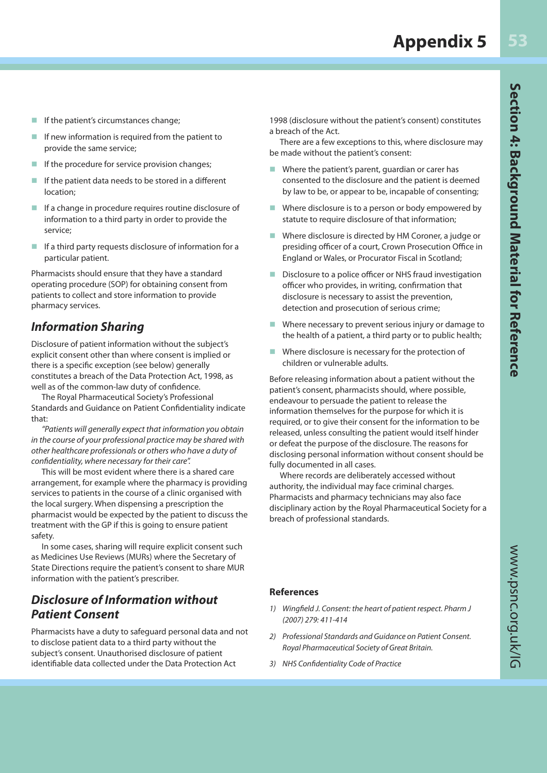- If the patient's circumstances change;
- If new information is required from the patient to provide the same service;
- If the procedure for service provision changes;
- If the patient data needs to be stored in a different location;
- $\blacksquare$  If a change in procedure requires routine disclosure of information to a third party in order to provide the service;
- $\blacksquare$  If a third party requests disclosure of information for a particular patient.

Pharmacists should ensure that they have a standard operating procedure (SOP) for obtaining consent from patients to collect and store information to provide pharmacy services.

#### *Information Sharing*

Disclosure of patient information without the subject's explicit consent other than where consent is implied or there is a specific exception (see below) generally constitutes a breach of the Data Protection Act, 1998, as well as of the common-law duty of confidence.

The Royal Pharmaceutical Society's Professional Standards and Guidance on Patient Confidentiality indicate that:

"Patients will generally expect that information you obtain in the course of your professional practice may be shared with other healthcare professionals or others who have a duty of confidentiality, where necessary for their care".

This will be most evident where there is a shared care arrangement, for example where the pharmacy is providing services to patients in the course of a clinic organised with the local surgery. When dispensing a prescription the pharmacist would be expected by the patient to discuss the treatment with the GP if this is going to ensure patient safety.

In some cases, sharing will require explicit consent such as Medicines Use Reviews (MURs) where the Secretary of State Directions require the patient's consent to share MUR information with the patient's prescriber.

#### *Disclosure of Information without Patient Consent*

Pharmacists have a duty to safeguard personal data and not to disclose patient data to a third party without the subject's consent. Unauthorised disclosure of patient identifiable data collected under the Data Protection Act

1998 (disclosure without the patient's consent) constitutes a breach of the Act.

There are a few exceptions to this, where disclosure may be made without the patient's consent:

- $\blacksquare$  Where the patient's parent, guardian or carer has consented to the disclosure and the patient is deemed by law to be, or appear to be, incapable of consenting;
- $\blacksquare$  Where disclosure is to a person or body empowered by statute to require disclosure of that information;
- Where disclosure is directed by HM Coroner, a judge or presiding officer of a court, Crown Prosecution Office in England or Wales, or Procurator Fiscal in Scotland;
- Disclosure to a police officer or NHS fraud investigation officer who provides, in writing, confirmation that disclosure is necessary to assist the prevention, detection and prosecution of serious crime;
- Where necessary to prevent serious injury or damage to the health of a patient, a third party or to public health;
- $\blacksquare$  Where disclosure is necessary for the protection of children or vulnerable adults.

Before releasing information about a patient without the patient's consent, pharmacists should, where possible, endeavour to persuade the patient to release the information themselves for the purpose for which it is required, or to give their consent for the information to be released, unless consulting the patient would itself hinder or defeat the purpose of the disclosure. The reasons for disclosing personal information without consent should be fully documented in all cases.

Where records are deliberately accessed without authority, the individual may face criminal charges. Pharmacists and pharmacy technicians may also face disciplinary action by the Royal Pharmaceutical Society for a breach of professional standards.

#### **References**

- 1) Wingfield J. Consent: the heart of patient respect. Pharm J (2007) 279: 411-414
- 2) Professional Standards and Guidance on Patient Consent. Royal Pharmaceutical Society of Great Britain.
- 3) NHS Confidentiality Code of Practice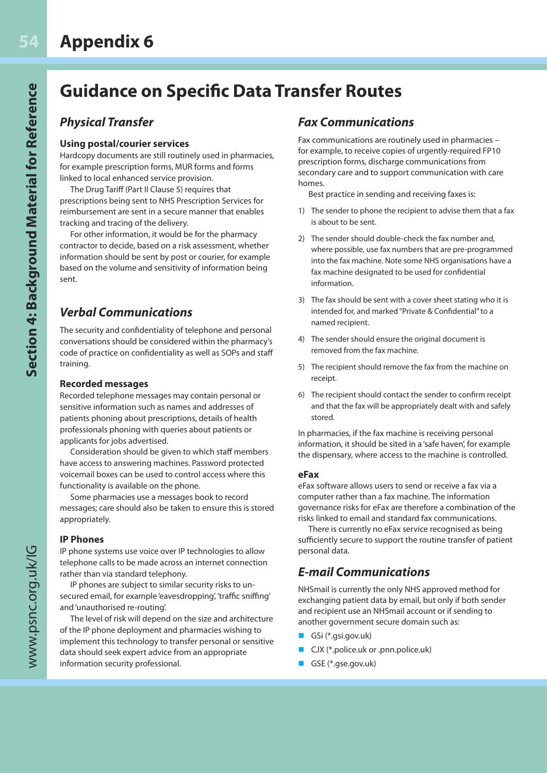### **Guidance on Specific Data Transfer Routes**

#### *Physical Transfer*

#### **Using postal/courier services**

Hardcopy documents are still routinely used in pharmacies, for example prescription forms, MUR forms and forms linked to local enhanced service provision.

The Drug Tariff (Part II Clause 5) requires that prescriptions being sent to NHS Prescription Services for reimbursement are sent in a secure manner that enables tracking and tracing of the delivery.

For other information, it would be for the pharmacy contractor to decide, based on a risk assessment, whether information should be sent by post or courier, for example based on the volume and sensitivity of information being sent.

#### *Verbal Communications*

The security and confidentiality of telephone and personal conversations should be considered within the pharmacy's code of practice on confidentiality as well as SOPs and staff training.

#### **Recorded messages**

Recorded telephone messages may contain personal or sensitive information such as names and addresses of patients phoning about prescriptions, details of health professionals phoning with queries about patients or applicants for jobs advertised.

Consideration should be given to which staff members have access to answering machines. Password protected voicemail boxes can be used to control access where this functionality is available on the phone.

Some pharmacies use a messages book to record messages; care should also be taken to ensure this is stored appropriately.

#### **IP Phones**

IP phone systems use voice over IP technologies to allow telephone calls to be made across an internet connection rather than via standard telephony.

IP phones are subject to similar security risks to unsecured email, for example 'eavesdropping', 'traffic sniffing' and 'unauthorised re-routing'.

The level of risk will depend on the size and architecture of the IP phone deployment and pharmacies wishing to implement this technology to transfer personal or sensitive data should seek expert advice from an appropriate information security professional.

#### *Fax Communications*

Fax communications are routinely used in pharmacies – for example, to receive copies of urgently-required FP10 prescription forms, discharge communications from secondary care and to support communication with care homes.

Best practice in sending and receiving faxes is:

- 1) The sender to phone the recipient to advise them that a fax is about to be sent.
- 2) The sender should double-check the fax number and, where possible, use fax numbers that are pre-programmed into the fax machine. Note some NHS organisations have a fax machine designated to be used for confidential information.
- 3) The fax should be sent with a cover sheet stating who it is intended for, and marked "Private & Confidential" to a named recipient.
- 4) The sender should ensure the original document is removed from the fax machine.
- 5) The recipient should remove the fax from the machine on receipt.
- 6) The recipient should contact the sender to confirm receipt and that the fax will be appropriately dealt with and safely stored.

In pharmacies, if the fax machine is receiving personal information, it should be sited in a 'safe haven', for example the dispensary, where access to the machine is controlled.

#### **eFax**

eFax software allows users to send or receive a fax via a computer rather than a fax machine. The information governance risks for eFax are therefore a combination of the risks linked to email and standard fax communications.

There is currently no eFax service recognised as being sufficiently secure to support the routine transfer of patient personal data.

#### *E-mail Communications*

NHSmail is currently the only NHS approved method for exchanging patient data by email, but only if both sender and recipient use an NHSmail account or if sending to another government secure domain such as:

- n GSi (\*.gsi.gov.uk)
- CJX (\*.police.uk or .pnn.police.uk)
- GSE (\*.gse.gov.uk)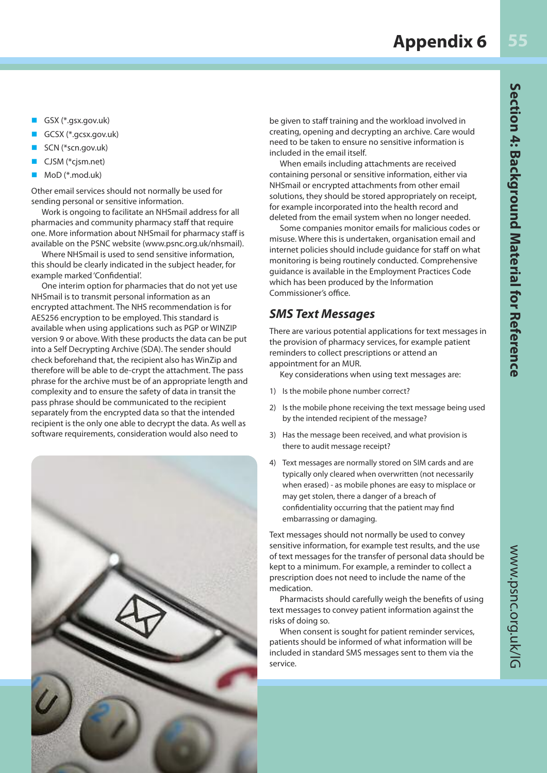- n GSX (\*.gsx.gov.uk)
- n GCSX (\*.gcsx.gov.uk)
- SCN (\*scn.gov.uk)
- CJSM (\*cjsm.net)
- MoD (\*.mod.uk)

Other email services should not normally be used for sending personal or sensitive information.

Work is ongoing to facilitate an NHSmail address for all pharmacies and community pharmacy staff that require one. More information about NHSmail for pharmacy staff is available on the PSNC website (www.psnc.org.uk/nhsmail).

Where NHSmail is used to send sensitive information, this should be clearly indicated in the subject header, for example marked 'Confidential'.

One interim option for pharmacies that do not yet use NHSmail is to transmit personal information as an encrypted attachment. The NHS recommendation is for AES256 encryption to be employed. This standard is available when using applications such as PGP or WINZIP version 9 or above. With these products the data can be put into a Self Decrypting Archive (SDA). The sender should check beforehand that, the recipient also has WinZip and therefore will be able to de-crypt the attachment. The pass phrase for the archive must be of an appropriate length and complexity and to ensure the safety of data in transit the pass phrase should be communicated to the recipient separately from the encrypted data so that the intended recipient is the only one able to decrypt the data. As well as software requirements, consideration would also need to



be given to staff training and the workload involved in creating, opening and decrypting an archive. Care would need to be taken to ensure no sensitive information is included in the email itself.

When emails including attachments are received containing personal or sensitive information, either via NHSmail or encrypted attachments from other email solutions, they should be stored appropriately on receipt, for example incorporated into the health record and deleted from the email system when no longer needed.

Some companies monitor emails for malicious codes or misuse. Where this is undertaken, organisation email and internet policies should include guidance for staff on what monitoring is being routinely conducted. Comprehensive guidance is available in the Employment Practices Code which has been produced by the Information Commissioner's office.

#### *SMS Text Messages*

There are various potential applications for text messages in the provision of pharmacy services, for example patient reminders to collect prescriptions or attend an appointment for an MUR.

Key considerations when using text messages are:

- 1) Is the mobile phone number correct?
- 2) Is the mobile phone receiving the text message being used by the intended recipient of the message?
- 3) Has the message been received, and what provision is there to audit message receipt?
- 4) Text messages are normally stored on SIM cards and are typically only cleared when overwritten (not necessarily when erased) - as mobile phones are easy to misplace or may get stolen, there a danger of a breach of confidentiality occurring that the patient may find embarrassing or damaging.

Text messages should not normally be used to convey sensitive information, for example test results, and the use of text messages for the transfer of personal data should be kept to a minimum. For example, a reminder to collect a prescription does not need to include the name of the medication.

Pharmacists should carefully weigh the benefits of using text messages to convey patient information against the risks of doing so.

When consent is sought for patient reminder services, patients should be informed of what information will be included in standard SMS messages sent to them via the service.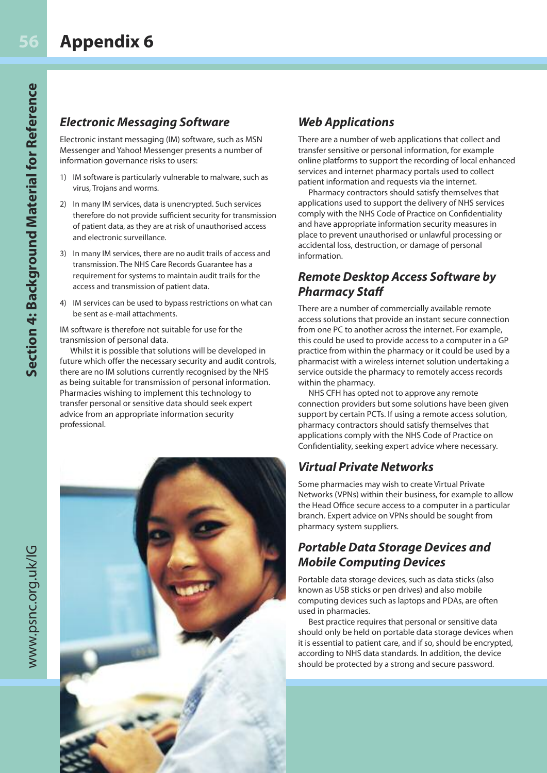#### *Electronic Messaging Software*

Electronic instant messaging (IM) software, such as MSN Messenger and Yahoo! Messenger presents a number of information governance risks to users:

- 1) IM software is particularly vulnerable to malware, such as virus, Trojans and worms.
- 2) In many IM services, data is unencrypted. Such services therefore do not provide sufficient security for transmission of patient data, as they are at risk of unauthorised access and electronic surveillance.
- 3) In many IM services, there are no audit trails of access and transmission. The NHS Care Records Guarantee has a requirement for systems to maintain audit trails for the access and transmission of patient data.
- 4) IM services can be used to bypass restrictions on what can be sent as e-mail attachments.

IM software is therefore not suitable for use for the transmission of personal data.

Whilst it is possible that solutions will be developed in future which offer the necessary security and audit controls, there are no IM solutions currently recognised by the NHS as being suitable for transmission of personal information. Pharmacies wishing to implement this technology to transfer personal or sensitive data should seek expert advice from an appropriate information security professional.

#### *Web Applications*

There are a number of web applications that collect and transfer sensitive or personal information, for example online platforms to support the recording of local enhanced services and internet pharmacy portals used to collect patient information and requests via the internet.

Pharmacy contractors should satisfy themselves that applications used to support the delivery of NHS services comply with the NHS Code of Practice on Confidentiality and have appropriate information security measures in place to prevent unauthorised or unlawful processing or accidental loss, destruction, or damage of personal information.

#### *Remote Desktop Access Software by Pharmacy Staff*

There are a number of commercially available remote access solutions that provide an instant secure connection from one PC to another across the internet. For example, this could be used to provide access to a computer in a GP practice from within the pharmacy or it could be used by a pharmacist with a wireless internet solution undertaking a service outside the pharmacy to remotely access records within the pharmacy.

NHS CFH has opted not to approve any remote connection providers but some solutions have been given support by certain PCTs. If using a remote access solution, pharmacy contractors should satisfy themselves that applications comply with the NHS Code of Practice on Confidentiality, seeking expert advice where necessary.

#### *Virtual Private Networks*

Some pharmacies may wish to create Virtual Private Networks (VPNs) within their business, for example to allow the Head Office secure access to a computer in a particular branch. Expert advice on VPNs should be sought from pharmacy system suppliers.

#### *Portable Data Storage Devices and Mobile Computing Devices*

Portable data storage devices, such as data sticks (also known as USB sticks or pen drives) and also mobile computing devices such as laptops and PDAs, are often used in pharmacies.

Best practice requires that personal or sensitive data should only be held on portable data storage devices when it is essential to patient care, and if so, should be encrypted, according to NHS data standards. In addition, the device should be protected by a strong and secure password.

www.psnc.org.uk/IG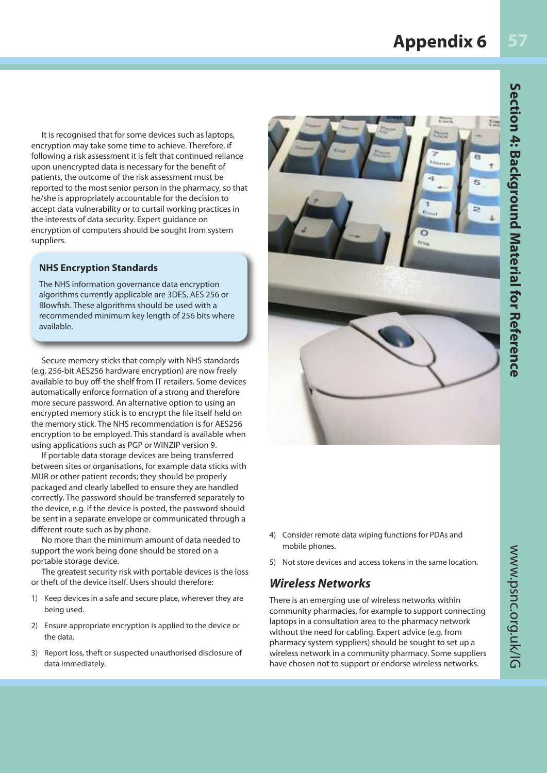### **Appendix 6**

Cm<sub></sub>

 $E_{\rm m}$ 

 $\overline{c}$ 

It is recognised that for some devices such as laptops, encryption may take some time to achieve. Therefore, if following a risk assessment it is felt that continued reliance upon unencrypted data is necessary for the benefit of patients, the outcome of the risk assessment must be reported to the most senior person in the pharmacy, so that he/she is appropriately accountable for the decision to accept data vulnerability or to curtail working practices in the interests of data security. Expert guidance on encryption of computers should be sought from system suppliers.

#### **NHS Encryption Standards**

The NHS information governance data encryption algorithms currently applicable are 3DES, AES 256 or Blowfish. These algorithms should be used with a recommended minimum key length of 256 bits where available.

Secure memory sticks that comply with NHS standards (e.g. 256-bit AES256 hardware encryption) are now freely available to buy off-the shelf from IT retailers. Some devices automatically enforce formation of a strong and therefore more secure password. An alternative option to using an encrypted memory stick is to encrypt the file itself held on the memory stick. The NHS recommendation is for AES256 encryption to be employed. This standard is available when using applications such as PGP or WINZIP version 9.

If portable data storage devices are being transferred between sites or organisations, for example data sticks with MUR or other patient records; they should be properly packaged and clearly labelled to ensure they are handled correctly. The password should be transferred separately to the device, e.g. if the device is posted, the password should be sent in a separate envelope or communicated through a different route such as by phone.

No more than the minimum amount of data needed to support the work being done should be stored on a portable storage device.

The greatest security risk with portable devices is the loss or theft of the device itself. Users should therefore:

- 1) Keep devices in a safe and secure place, wherever they are being used.
- 2) Ensure appropriate encryption is applied to the device or the data.
- 3) Report loss, theft or suspected unauthorised disclosure of data immediately.
- 4) Consider remote data wiping functions for PDAs and mobile phones.
- 5) Not store devices and access tokens in the same location.

#### *Wireless Networks*

There is an emerging use of wireless networks within community pharmacies, for example to support connecting laptops in a consultation area to the pharmacy network without the need for cabling. Expert advice (e.g. from pharmacy system syppliers) should be sought to set up a wireless network in a community pharmacy. Some suppliers have chosen not to support or endorse wireless networks.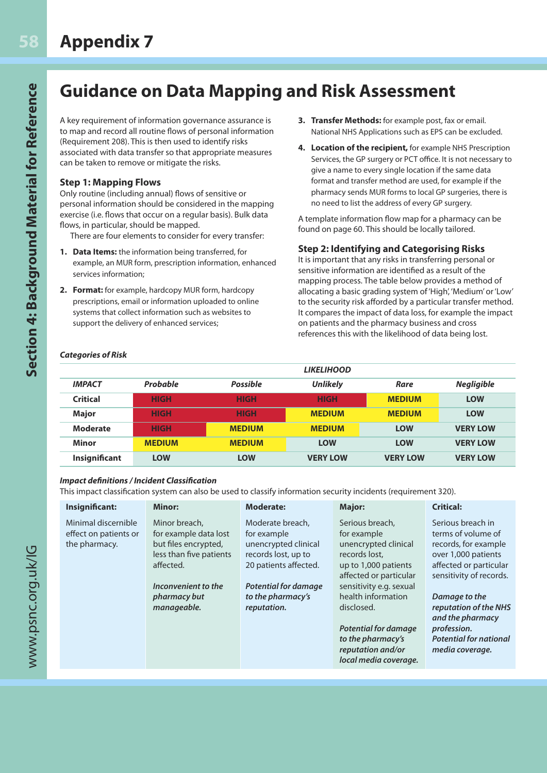## **Guidance on Data Mapping and Risk Assessment**

A key requirement of information governance assurance is to map and record all routine flows of personal information (Requirement 208). This is then used to identify risks associated with data transfer so that appropriate measures can be taken to remove or mitigate the risks.

#### **Step 1: Mapping Flows**

Only routine (including annual) flows of sensitive or personal information should be considered in the mapping exercise (i.e. flows that occur on a regular basis). Bulk data flows, in particular, should be mapped.

There are four elements to consider for every transfer:

- **1. Data Items:** the information being transferred, for example, an MUR form, prescription information, enhanced services information;
- **2. Format:** for example, hardcopy MUR form, hardcopy prescriptions, email or information uploaded to online systems that collect information such as websites to support the delivery of enhanced services;
- **3. Transfer Methods:** for example post, fax or email. National NHS Applications such as EPS can be excluded.
- **4. Location of the recipient,** for example NHS Prescription Services, the GP surgery or PCT office. It is not necessary to give a name to every single location if the same data format and transfer method are used, for example if the pharmacy sends MUR forms to local GP surgeries, there is no need to list the address of every GP surgery.

A template information flow map for a pharmacy can be found on page 60. This should be locally tailored.

#### **Step 2: Identifying and Categorising Risks**

It is important that any risks in transferring personal or sensitive information are identified as a result of the mapping process. The table below provides a method of allocating a basic grading system of 'High', 'Medium' or 'Low' to the security risk afforded by a particular transfer method. It compares the impact of data loss, for example the impact on patients and the pharmacy business and cross references this with the likelihood of data being lost.

#### *Categories of Risk*

|                      |               |                 | <b>LIKELIHOOD</b> |                 |                   |
|----------------------|---------------|-----------------|-------------------|-----------------|-------------------|
| <b>IMPACT</b>        | Probable      | <b>Possible</b> | <b>Unlikely</b>   | Rare            | <b>Negligible</b> |
| <b>Critical</b>      | <b>HIGH</b>   | <b>HIGH</b>     | <b>HIGH</b>       | <b>MEDIUM</b>   | <b>LOW</b>        |
| <b>Major</b>         | <b>HIGH</b>   | <b>HIGH</b>     | <b>MEDIUM</b>     | <b>MEDIUM</b>   | <b>LOW</b>        |
| <b>Moderate</b>      | <b>HIGH</b>   | <b>MEDIUM</b>   | <b>MEDIUM</b>     | <b>LOW</b>      | <b>VERY LOW</b>   |
| <b>Minor</b>         | <b>MEDIUM</b> | <b>MEDIUM</b>   | <b>LOW</b>        | <b>LOW</b>      | <b>VERY LOW</b>   |
| <b>Insignificant</b> | <b>LOW</b>    | <b>LOW</b>      | <b>VERY LOW</b>   | <b>VERY LOW</b> | <b>VERY LOW</b>   |

#### *Impact definitions / Incident Classification*

This impact classification system can also be used to classify information security incidents (requirement 320).

| Insignificant:                                                | Minor:                                                                                                 | <b>Moderate:</b>                                                                                        | <b>Major:</b>                                                                                                             | <b>Critical:</b>                                                                                                                            |
|---------------------------------------------------------------|--------------------------------------------------------------------------------------------------------|---------------------------------------------------------------------------------------------------------|---------------------------------------------------------------------------------------------------------------------------|---------------------------------------------------------------------------------------------------------------------------------------------|
| Minimal discernible<br>effect on patients or<br>the pharmacy. | Minor breach.<br>for example data lost<br>but files encrypted,<br>less than five patients<br>affected. | Moderate breach,<br>for example<br>unencrypted clinical<br>records lost, up to<br>20 patients affected. | Serious breach.<br>for example<br>unencrypted clinical<br>records lost.<br>up to 1,000 patients<br>affected or particular | Serious breach in<br>terms of volume of<br>records, for example<br>over 1,000 patients<br>affected or particular<br>sensitivity of records. |
|                                                               | Inconvenient to the                                                                                    | <b>Potential for damage</b>                                                                             | sensitivity e.g. sexual                                                                                                   |                                                                                                                                             |
|                                                               | pharmacy but                                                                                           | to the pharmacy's                                                                                       | health information                                                                                                        | Damage to the                                                                                                                               |
|                                                               | manageable.                                                                                            | reputation.                                                                                             | disclosed.<br><b>Potential for damage</b><br>to the pharmacy's<br>reputation and/or<br>local media coverage.              | reputation of the NHS<br>and the pharmacy<br>profession.<br><b>Potential for national</b><br>media coverage.                                |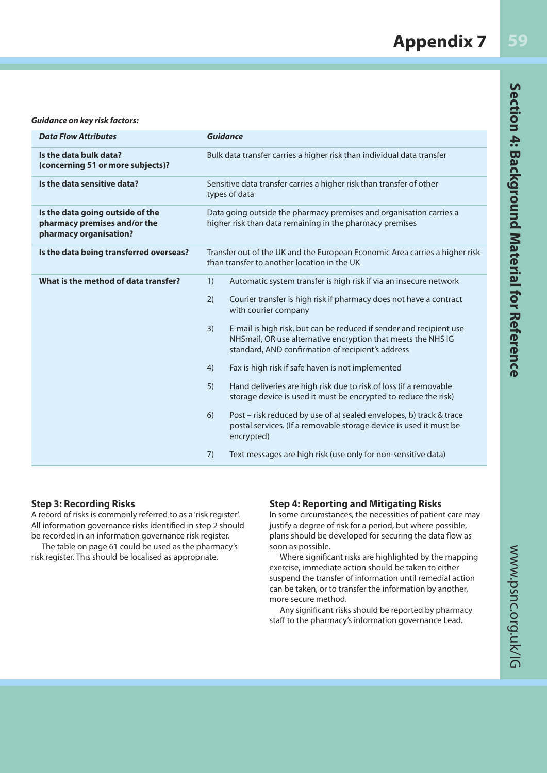| <b>Data Flow Attributes</b>                                                                | <b>Guidance</b>                                                                                                                                                                                                                                                                                                                                                                                                                                                                                                                                                                                                                                                                                                                                                                      |  |  |
|--------------------------------------------------------------------------------------------|--------------------------------------------------------------------------------------------------------------------------------------------------------------------------------------------------------------------------------------------------------------------------------------------------------------------------------------------------------------------------------------------------------------------------------------------------------------------------------------------------------------------------------------------------------------------------------------------------------------------------------------------------------------------------------------------------------------------------------------------------------------------------------------|--|--|
| Is the data bulk data?<br>(concerning 51 or more subjects)?                                | Bulk data transfer carries a higher risk than individual data transfer                                                                                                                                                                                                                                                                                                                                                                                                                                                                                                                                                                                                                                                                                                               |  |  |
| Is the data sensitive data?                                                                | Sensitive data transfer carries a higher risk than transfer of other<br>types of data                                                                                                                                                                                                                                                                                                                                                                                                                                                                                                                                                                                                                                                                                                |  |  |
| Is the data going outside of the<br>pharmacy premises and/or the<br>pharmacy organisation? | Data going outside the pharmacy premises and organisation carries a<br>higher risk than data remaining in the pharmacy premises                                                                                                                                                                                                                                                                                                                                                                                                                                                                                                                                                                                                                                                      |  |  |
| Is the data being transferred overseas?                                                    | Transfer out of the UK and the European Economic Area carries a higher risk<br>than transfer to another location in the UK                                                                                                                                                                                                                                                                                                                                                                                                                                                                                                                                                                                                                                                           |  |  |
| What is the method of data transfer?                                                       | Automatic system transfer is high risk if via an insecure network<br>Courier transfer is high risk if pharmacy does not have a contract<br>with courier company<br>E-mail is high risk, but can be reduced if sender and recipient use<br>NHSmail, OR use alternative encryption that meets the NHS IG<br>standard, AND confirmation of recipient's address<br>Fax is high risk if safe haven is not implemented<br>Hand deliveries are high risk due to risk of loss (if a removable<br>storage device is used it must be encrypted to reduce the risk)<br>Post - risk reduced by use of a) sealed envelopes, b) track & trace<br>postal services. (If a removable storage device is used it must be<br>encrypted)<br>Text messages are high risk (use only for non-sensitive data) |  |  |
|                                                                                            |                                                                                                                                                                                                                                                                                                                                                                                                                                                                                                                                                                                                                                                                                                                                                                                      |  |  |

#### **Step 3: Recording Risks**

A record of risks is commonly referred to as a 'risk register'. All information governance risks identified in step 2 should be recorded in an information governance risk register.

The table on page 61 could be used as the pharmacy's risk register. This should be localised as appropriate.

#### **Step 4: Reporting and Mitigating Risks**

In some circumstances, the necessities of patient care may justify a degree of risk for a period, but where possible, plans should be developed for securing the data flow as soon as possible.

Where significant risks are highlighted by the mapping exercise, immediate action should be taken to either suspend the transfer of information until remedial action can be taken, or to transfer the information by another, more secure method.

Any significant risks should be reported by pharmacy staff to the pharmacy's information governance Lead.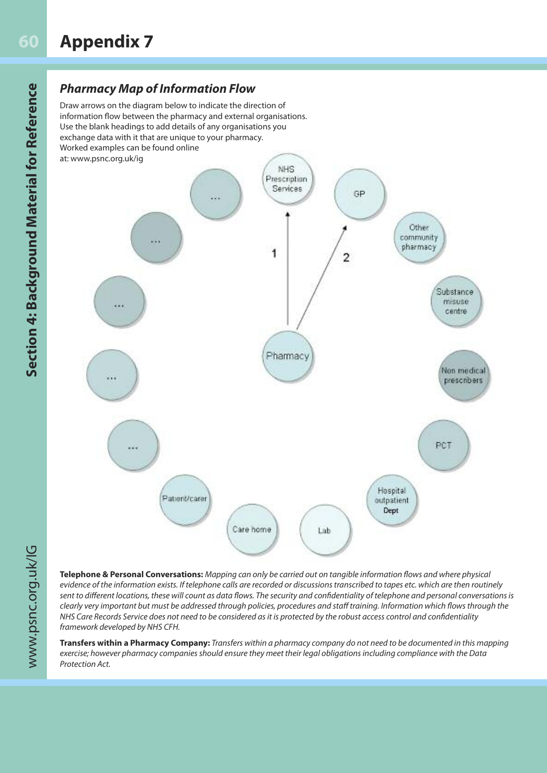### *Pharmacy Map of Information Flow*

Draw arrows on the diagram below to indicate the direction of information flow between the pharmacy and external organisations. Use the blank headings to add details of any organisations you exchange data with it that are unique to your pharmacy. Worked examples can be found online



**Telephone & Personal Conversations:** Mapping can only be carried out on tangible information flows and where physical evidence of the information exists. If telephone calls are recorded or discussions transcribed to tapes etc. which are then routinely sent to different locations, these will count as data flows. The security and confidentiality of telephone and personal conversations is clearly very important but must be addressed through policies, procedures and staff training. Information which flows through the NHS Care Records Service does not need to be considered as it is protected by the robust access control and confidentiality framework developed by NHS CFH.

**Transfers within a Pharmacy Company:** Transfers within a pharmacy company do not need to be documented in this mapping exercise; however pharmacy companies should ensure they meet their legal obligations including compliance with the Data Protection Act.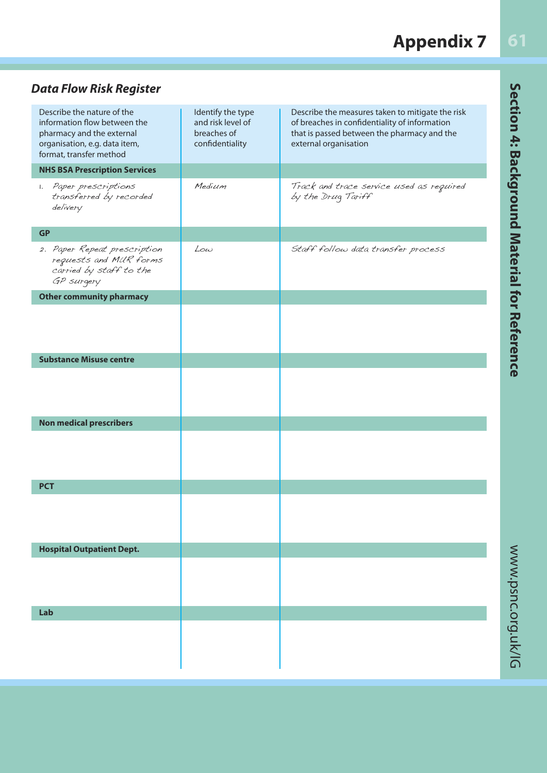#### **61Appendix 7**

### *Data Flow Risk Register*

| Describe the nature of the<br>information flow between the<br>pharmacy and the external<br>organisation, e.g. data item,<br>format, transfer method | Identify the type<br>and risk level of<br>breaches of<br>confidentiality | Describe the measures taken to mitigate the risk<br>of breaches in confidentiality of information<br>that is passed between the pharmacy and the<br>external organisation |
|-----------------------------------------------------------------------------------------------------------------------------------------------------|--------------------------------------------------------------------------|---------------------------------------------------------------------------------------------------------------------------------------------------------------------------|
| <b>NHS BSA Prescription Services</b>                                                                                                                |                                                                          |                                                                                                                                                                           |
| 1. Paper prescriptions<br>transferred by recorded<br>delivery                                                                                       | Medium                                                                   | Track and trace service used as required<br>by the Drug Tariff                                                                                                            |
| <b>GP</b>                                                                                                                                           |                                                                          |                                                                                                                                                                           |
| 2. Paper Repeat prescription<br>requests and MUR forms<br>carried by staff to the<br>GP surgery                                                     | Low                                                                      | Staff follow data transfer process                                                                                                                                        |
| <b>Other community pharmacy</b>                                                                                                                     |                                                                          |                                                                                                                                                                           |
|                                                                                                                                                     |                                                                          |                                                                                                                                                                           |
| <b>Substance Misuse centre</b>                                                                                                                      |                                                                          |                                                                                                                                                                           |
|                                                                                                                                                     |                                                                          |                                                                                                                                                                           |
| <b>Non medical prescribers</b>                                                                                                                      |                                                                          |                                                                                                                                                                           |
|                                                                                                                                                     |                                                                          |                                                                                                                                                                           |
| <b>PCT</b>                                                                                                                                          |                                                                          |                                                                                                                                                                           |
|                                                                                                                                                     |                                                                          |                                                                                                                                                                           |
| <b>Hospital Outpatient Dept.</b>                                                                                                                    |                                                                          |                                                                                                                                                                           |
|                                                                                                                                                     |                                                                          |                                                                                                                                                                           |
| Lab                                                                                                                                                 |                                                                          |                                                                                                                                                                           |
|                                                                                                                                                     |                                                                          |                                                                                                                                                                           |

Section 4: Background Material for Reference www.psnc.org.uk/IG **Section 4: Background Material for Reference**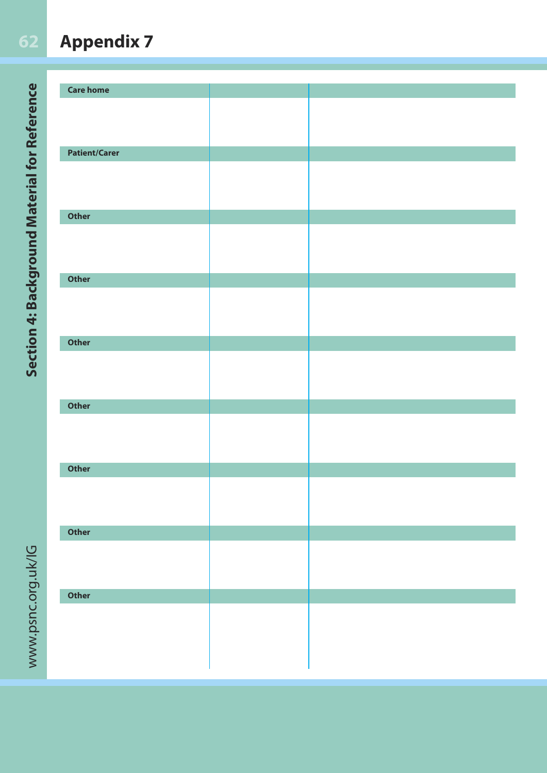#### **62Appendix 7**

Section 4: Background Material for Reference www.psnc.org.uk/IG **Section 4: Background Material for Reference**

| <b>Care home</b>     |  |
|----------------------|--|
|                      |  |
|                      |  |
|                      |  |
| <b>Patient/Carer</b> |  |
|                      |  |
|                      |  |
|                      |  |
| <b>Other</b>         |  |
|                      |  |
|                      |  |
|                      |  |
|                      |  |
| <b>Other</b>         |  |
|                      |  |
|                      |  |
|                      |  |
| <b>Other</b>         |  |
|                      |  |
|                      |  |
|                      |  |
| <b>Other</b>         |  |
|                      |  |
|                      |  |
|                      |  |
|                      |  |
| <b>Other</b>         |  |
|                      |  |
|                      |  |
|                      |  |
| Other                |  |
|                      |  |
|                      |  |
|                      |  |
| Other                |  |
|                      |  |
|                      |  |
|                      |  |
|                      |  |
|                      |  |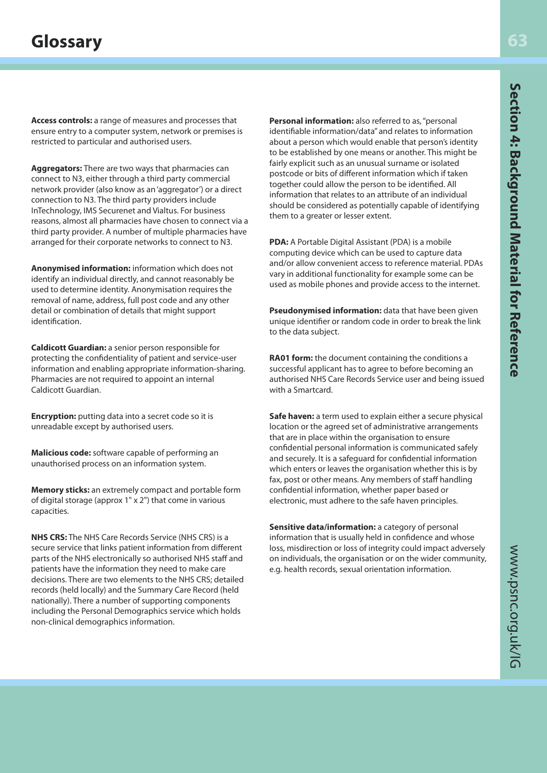**Access controls:** a range of measures and processes that ensure entry to a computer system, network or premises is restricted to particular and authorised users.

**Aggregators:** There are two ways that pharmacies can connect to N3, either through a third party commercial network provider (also know as an 'aggregator') or a direct connection to N3. The third party providers include InTechnology, IMS Securenet and Vialtus. For business reasons, almost all pharmacies have chosen to connect via a third party provider. A number of multiple pharmacies have arranged for their corporate networks to connect to N3.

**Anonymised information:** information which does not identify an individual directly, and cannot reasonably be used to determine identity. Anonymisation requires the removal of name, address, full post code and any other detail or combination of details that might support identification.

**Caldicott Guardian:** a senior person responsible for protecting the confidentiality of patient and service-user information and enabling appropriate information-sharing. Pharmacies are not required to appoint an internal Caldicott Guardian.

**Encryption:** putting data into a secret code so it is unreadable except by authorised users.

**Malicious code:** software capable of performing an unauthorised process on an information system.

**Memory sticks:** an extremely compact and portable form of digital storage (approx 1" x 2") that come in various capacities.

**NHS CRS:** The NHS Care Records Service (NHS CRS) is a secure service that links patient information from different parts of the NHS electronically so authorised NHS staff and patients have the information they need to make care decisions. There are two elements to the NHS CRS; detailed records (held locally) and the Summary Care Record (held nationally). There a number of supporting components including the Personal Demographics service which holds non-clinical demographics information.

**Personal information:** also referred to as, "personal identifiable information/data" and relates to information about a person which would enable that person's identity to be established by one means or another. This might be fairly explicit such as an unusual surname or isolated postcode or bits of different information which if taken together could allow the person to be identified. All information that relates to an attribute of an individual should be considered as potentially capable of identifying them to a greater or lesser extent.

**PDA:** A Portable Digital Assistant (PDA) is a mobile computing device which can be used to capture data and/or allow convenient access to reference material. PDAs vary in additional functionality for example some can be used as mobile phones and provide access to the internet.

**Pseudonymised information:** data that have been given unique identifier or random code in order to break the link to the data subject.

**RA01 form:** the document containing the conditions a successful applicant has to agree to before becoming an authorised NHS Care Records Service user and being issued with a Smartcard.

**Safe haven:** a term used to explain either a secure physical location or the agreed set of administrative arrangements that are in place within the organisation to ensure confidential personal information is communicated safely and securely. It is a safeguard for confidential information which enters or leaves the organisation whether this is by fax, post or other means. Any members of staff handling confidential information, whether paper based or electronic, must adhere to the safe haven principles.

**Sensitive data/information:** a category of personal information that is usually held in confidence and whose loss, misdirection or loss of integrity could impact adversely on individuals, the organisation or on the wider community, e.g. health records, sexual orientation information.